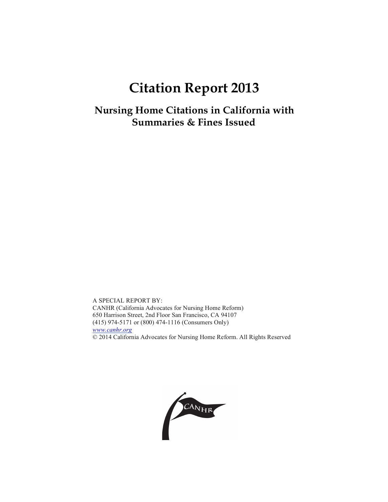# **Citation Report 2013**

**Nursing Home Citations in California with Summaries & Fines Issued**

A SPECIAL REPORT BY: CANHR (California Advocates for Nursing Home Reform) 650 Harrison Street, 2nd Floor San Francisco, CA 94107 (415) 974-5171 or (800) 474-1116 (Consumers Only) *www.canhr.org* © 2014 California Advocates for Nursing Home Reform. All Rights Reserved

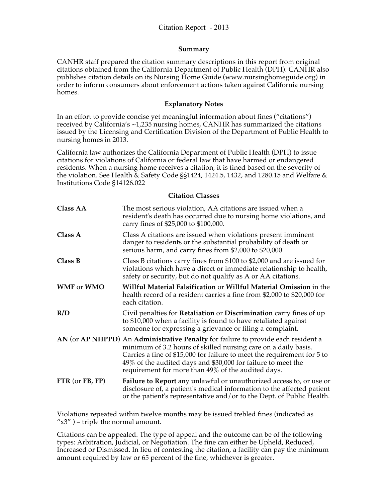# **Summary**

CANHR staff prepared the citation summary descriptions in this report from original citations obtained from the California Department of Public Health (DPH). CANHR also publishes citation details on its Nursing Home Guide (www.nursinghomeguide.org) in order to inform consumers about enforcement actions taken against California nursing homes.

# **Explanatory Notes**

In an effort to provide concise yet meaningful information about fines ("citations") received by California's ~1,235 nursing homes, CANHR has summarized the citations issued by the Licensing and Certification Division of the Department of Public Health to nursing homes in 2013.

California law authorizes the California Department of Public Health (DPH) to issue citations for violations of California or federal law that have harmed or endangered residents. When a nursing home receives a citation, it is fined based on the severity of the violation. See Health & Safety Code §§1424, 1424.5, 1432, and 1280.15 and Welfare & Institutions Code §14126.022

# **Citation Classes**

| <b>Class AA</b>                                          | The most serious violation, AA citations are issued when a<br>resident's death has occurred due to nursing home violations, and<br>carry fines of \$25,000 to \$100,000.                                                                                                                                                                             |
|----------------------------------------------------------|------------------------------------------------------------------------------------------------------------------------------------------------------------------------------------------------------------------------------------------------------------------------------------------------------------------------------------------------------|
| Class A                                                  | Class A citations are issued when violations present imminent<br>danger to residents or the substantial probability of death or<br>serious harm, and carry fines from \$2,000 to \$20,000.                                                                                                                                                           |
| Class B                                                  | Class B citations carry fines from \$100 to \$2,000 and are issued for<br>violations which have a direct or immediate relationship to health,<br>safety or security, but do not qualify as A or AA citations.                                                                                                                                        |
| <b>WMF</b> or <b>WMO</b>                                 | Willful Material Falsification or Willful Material Omission in the<br>health record of a resident carries a fine from \$2,000 to \$20,000 for<br>each citation.                                                                                                                                                                                      |
| R/D                                                      | Civil penalties for Retaliation or Discrimination carry fines of up<br>to \$10,000 when a facility is found to have retaliated against<br>someone for expressing a grievance or filing a complaint.                                                                                                                                                  |
|                                                          | AN (or AP NHPPD) An Administrative Penalty for failure to provide each resident a<br>minimum of 3.2 hours of skilled nursing care on a daily basis.<br>Carries a fine of \$15,000 for failure to meet the requirement for 5 to<br>49% of the audited days and \$30,000 for failure to meet the<br>requirement for more than 49% of the audited days. |
| $\overline{FTR}$ (or $\overline{FB}$ , $\overline{FP}$ ) | Failure to Report any unlawful or unauthorized access to, or use or<br>disclosure of, a patient's medical information to the affected patient<br>or the patient's representative and/or to the Dept. of Public Health.                                                                                                                               |

Violations repeated within twelve months may be issued trebled fines (indicated as " $x3$ " ) – triple the normal amount.

Citations can be appealed. The type of appeal and the outcome can be of the following types: Arbitration, Judicial, or Negotiation. The fine can either be Upheld, Reduced, Increased or Dismissed. In lieu of contesting the citation, a facility can pay the minimum amount required by law or 65 percent of the fine, whichever is greater.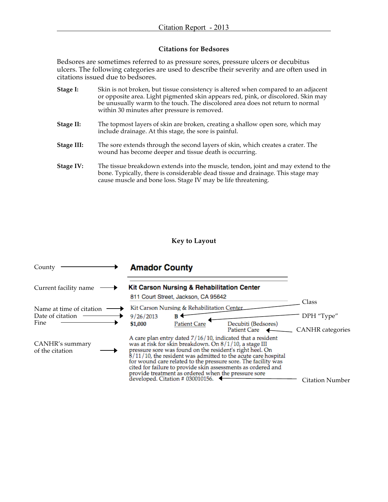# **Citations for Bedsores**

Bedsores are sometimes referred to as pressure sores, pressure ulcers or decubitus ulcers. The following categories are used to describe their severity and are often used in citations issued due to bedsores.

| Stage I:   | Skin is not broken, but tissue consistency is altered when compared to an adjacent<br>or opposite area. Light pigmented skin appears red, pink, or discolored. Skin may<br>be unusually warm to the touch. The discolored area does not return to normal<br>within 30 minutes after pressure is removed. |
|------------|----------------------------------------------------------------------------------------------------------------------------------------------------------------------------------------------------------------------------------------------------------------------------------------------------------|
| Stage II:  | The topmost layers of skin are broken, creating a shallow open sore, which may<br>include drainage. At this stage, the sore is painful.                                                                                                                                                                  |
| Stage III: | The sore extends through the second layers of skin, which creates a crater. The<br>wound has become deeper and tissue death is occurring.                                                                                                                                                                |
| Stage IV:  | The tissue breakdown extends into the muscle, tendon, joint and may extend to the<br>bone. Typically, there is considerable dead tissue and drainage. This stage may                                                                                                                                     |

cause muscle and bone loss. Stage IV may be life threatening.

# **Key to Layout**

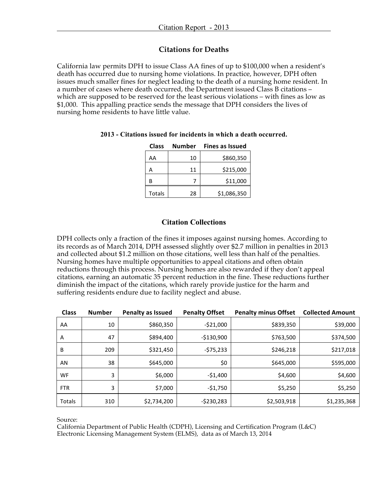# **Citations for Deaths**

California law permits DPH to issue Class AA fines of up to \$100,000 when a resident's death has occurred due to nursing home violations. In practice, however, DPH often issues much smaller fines for neglect leading to the death of a nursing home resident. In a number of cases where death occurred, the Department issued Class B citations – which are supposed to be reserved for the least serious violations – with fines as low as \$1,000. This appalling practice sends the message that DPH considers the lives of nursing home residents to have little value.

| <b>Class</b>  | Number | <b>Fines as Issued</b> |
|---------------|--------|------------------------|
| AA            | 10     | \$860,350              |
| А             | 11     | \$215,000              |
| в             |        | \$11,000               |
| <b>Totals</b> | 28     | \$1,086,350            |

# **2013 - Citations issued for incidents in which a death occurred.**

# **Citation Collections**

DPH collects only a fraction of the fines it imposes against nursing homes. According to its records as of March 2014, DPH assessed slightly over \$2.7 million in penalties in 2013 and collected about \$1.2 million on those citations, well less than half of the penalties. Nursing homes have multiple opportunities to appeal citations and often obtain reductions through this process. Nursing homes are also rewarded if they don't appeal citations, earning an automatic 35 percent reduction in the fine. These reductions further diminish the impact of the citations, which rarely provide justice for the harm and suffering residents endure due to facility neglect and abuse.

| <b>Class</b> | <b>Number</b> | <b>Penalty as Issued</b> | <b>Penalty Offset</b> | <b>Penalty minus Offset</b> | <b>Collected Amount</b> |
|--------------|---------------|--------------------------|-----------------------|-----------------------------|-------------------------|
| AA           | 10            | \$860,350                | $-521,000$            | \$839,350                   | \$39,000                |
| A            | 47            | \$894,400                | $-$130,900$           | \$763,500                   | \$374,500               |
| B            | 209           | \$321,450                | -\$75,233             | \$246,218                   | \$217,018               |
| AN           | 38            | \$645,000                | \$0                   | \$645,000                   | \$595,000               |
| WF           | 3             | \$6,000                  | $-51,400$             | \$4,600                     | \$4,600                 |
| <b>FTR</b>   | 3             | \$7,000                  | $-51,750$             | \$5,250                     | \$5,250                 |
| Totals       | 310           | \$2,734,200              | $-5230,283$           | \$2,503,918                 | \$1,235,368             |

Source:

California Department of Public Health (CDPH), Licensing and Certification Program (L&C) Electronic Licensing Management System (ELMS), data as of March 13, 2014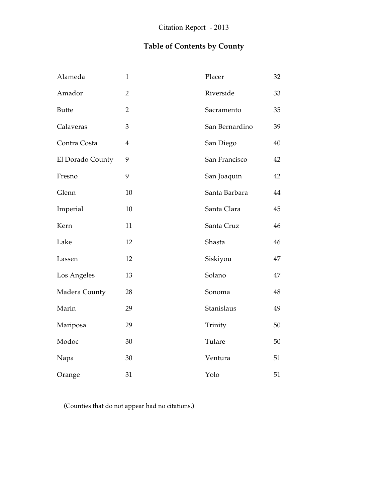# **Table of Contents by County**

| Alameda          | $\mathbf{1}$   | Placer         | 32 |
|------------------|----------------|----------------|----|
| Amador           | $\overline{2}$ | Riverside      | 33 |
| <b>Butte</b>     | $\overline{2}$ | Sacramento     | 35 |
| Calaveras        | 3              | San Bernardino | 39 |
| Contra Costa     | $\overline{4}$ | San Diego      | 40 |
| El Dorado County | 9              | San Francisco  | 42 |
| Fresno           | 9              | San Joaquin    | 42 |
| Glenn            | 10             | Santa Barbara  | 44 |
| Imperial         | 10             | Santa Clara    | 45 |
| Kern             | 11             | Santa Cruz     | 46 |
| Lake             | 12             | Shasta         | 46 |
| Lassen           | 12             | Siskiyou       | 47 |
| Los Angeles      | 13             | Solano         | 47 |
| Madera County    | 28             | Sonoma         | 48 |
| Marin            | 29             | Stanislaus     | 49 |
| Mariposa         | 29             | Trinity        | 50 |
| Modoc            | 30             | Tulare         | 50 |
| Napa             | $30\,$         | Ventura        | 51 |
| Orange           | 31             | Yolo           | 51 |

(Counties that do not appear had no citations.)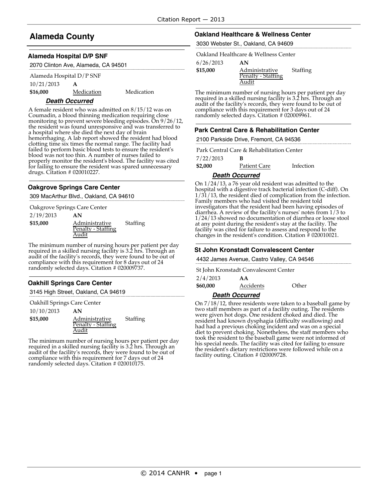# **Alameda County**

#### **Alameda Hospital D/P SNF**

|  |  |  |  | 2070 Clinton Ave, Alameda, CA 94501 |
|--|--|--|--|-------------------------------------|
|--|--|--|--|-------------------------------------|

| Alameda Hospital $D/P$ SNF |   |  |
|----------------------------|---|--|
| 10/21/2013                 | A |  |

**\$16,000** Medication Medication

### **Death Occurred**

A female resident who was admitted on 8/15/12 was on Coumadin, a blood thinning medication requiring close monitoring to prevent severe bleeding episodes. On 9/26/12, the resident was found unresponsive and was transferred to a hospital where she died the next day of brain hemorrhaging. A lab report showed the resident had blood clotting time six times the normal range. The facility had failed to perform basic blood tests to ensure the resident's blood was not too thin. A number of nurses failed to properly monitor the resident's blood. The facility was cited for failing to ensure the resident was spared unnecessary drugs. Citation # 020010227.

#### **Oakgrove Springs Care Center**

309 MacArthur Blvd., Oakland, CA 94610

| Oakgrove Springs Care Center |                    |          |
|------------------------------|--------------------|----------|
| 2/19/2013                    | AN                 |          |
| \$15,000                     | Administrative     | Staffing |
|                              | Penalty - Staffing |          |
|                              | Audit              |          |

The minimum number of nursing hours per patient per day required in a skilled nursing facility is 3.2 hrs. Through an audit of the facility's records, they were found to be out of compliance with this requirement for 8 days out of 24 randomly selected days. Citation # 020009737.

### **Oakhill Springs Care Center**

3145 High Street, Oakland, CA 94619

Oakhill Springs Care Center

10/10/2013 **AN**

**\$15,000** Administrative Penalty - Staffing Audit Staffing

The minimum number of nursing hours per patient per day required in a skilled nursing facility is 3.2 hrs. Through an audit of the facility's records, they were found to be out of compliance with this requirement for 7 days out of 24 randomly selected days. Citation # 020010175.

#### **Oakland Healthcare & Wellness Center**

3030 Webster St., Oakland, CA 94609

Oakland Healthcare & Wellness Center

6/26/2013 **AN**

| \$15,000 | Administrative     |
|----------|--------------------|
|          | Penalty - Staffing |
|          | Audit              |

The minimum number of nursing hours per patient per day required in a skilled nursing facility is 3.2 hrs. Through an audit of the facility's records, they were found to be out of compliance with this requirement for 3 days out of 24 randomly selected days. Citation # 020009961.

Staffing

#### **Park Central Care & Rehabilitation Center**

2100 Parkside Drive, Fremont, CA 94536

Park Central Care & Rehabilitation Center

7/22/2013 **B**

**\$2,000** Patient Care Infection

#### **Death Occurred**

On 1/24/13, a 76 year old resident was admitted to the hospital with a digestive track bacterial infection (C-diff). On 1/31/13, the resident died of complication from the infection. Family members who had visited the resident told investigators that the resident had been having episodes of diarrhea. <sup>A</sup> review of the facility's nurses' notes from 1/3 to 1/24/13 showed no documentation of diarrhea or loose stool at any point during the resident's stay at the facility. The facility was cited for failure to assess and respond to the changes in the resident's condition. Citation # 020010021.

### **St John Kronstadt Convalescent Center**

4432 James Avenue, Castro Valley, CA 94546

2/4/2013 **AA** St John Kronstadt Convalescent Center

| 2/4/2013 | АA        |       |
|----------|-----------|-------|
| \$60,000 | Accidents | Other |
|          |           |       |

#### **Death Occurred**

On 7/18/12, three residents were taken to a baseball game by two staff members as part of <sup>a</sup> facility outing. The residents were given hot dogs. One resident choked and died. The resident had known dysphagia (difficulty swallowing) and had had a previous choking incident and was on a special diet to prevent choking. Nonetheless, the staff members who took the resident to the baseball game were not informed of his special needs. The facility was cited for failing to ensure the resident's dietary restrictions were followed while on a facility outing. Citation # 020009728.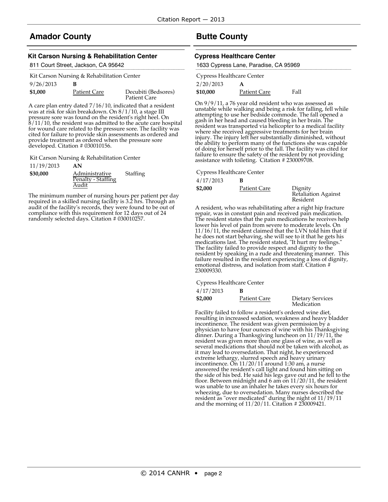# **Amador County**

#### **Kit Carson Nursing & Rehabilitation Center**

| 811 Court Street, Jackson, CA 95642 |  |
|-------------------------------------|--|
|-------------------------------------|--|

| Kit Carson Nursing & Rehabilitation Center |                     |                                            |  |
|--------------------------------------------|---------------------|--------------------------------------------|--|
| 9/26/2013                                  | в                   |                                            |  |
| \$1,000                                    | <b>Patient Care</b> | Decubiti (Bedsores)<br><b>Patient Care</b> |  |

A care plan entry dated 7/16/10, indicated that a resident was at risk for skin breakdown. On  $8/1/10$ , a stage III pressure sore was found on the resident's right heel. On 8/11/10, the resident was admitted to the acute care hospital for wound care related to the pressure sore. The facility was cited for failure to provide skin assessments as ordered and provide treatment as ordered when the pressure sore developed. Citation # 030010156.

Kit Carson Nursing & Rehabilitation Center

11/19/2013 **AN**

| \$30,000 | Administrative<br>Penalty - Staffing | Staffing |
|----------|--------------------------------------|----------|
|          | Audit                                |          |

The minimum number of nursing hours per patient per day required in a skilled nursing facility is 3.2 hrs. Through an audit of the facility's records, they were found to be out of compliance with this requirement for 12 days out of 24 randomly selected days. Citation # 030010257.

# **Butte County**

#### **Cypress Healthcare Center**

| 1633 Cypress Lane, Paradise, CA 95969 |                     |      |  |
|---------------------------------------|---------------------|------|--|
| Cypress Healthcare Center             |                     |      |  |
| 2/20/2013                             | А                   |      |  |
| \$10,000                              | <b>Patient Care</b> | Fall |  |

On 9/9/11, a 76 year old resident who was assessed as unstable while walking and being a risk for falling, fell while attempting to use her bedside commode. The fall opened a gash in her head and caused bleeding in her brain. The resident was transported via helicopter to a medical facility where she received aggressive treatments for her brain injury. The injury left her substantially diminished, without the ability to perform many of the functions she was capable of doing for herself prior to the fall. The facility was cited for failure to ensure the safety of the resident by not providing assistance with toileting. Citation # 230009708.

Cypress Healthcare Center

| 4/17/2013 |              |                                            |
|-----------|--------------|--------------------------------------------|
| \$2,000   | Patient Care | Dignity<br>Retaliation Against<br>Resident |

A resident, who was rehabilitating after a right hip fracture repair, was in constant pain and received pain medication. The resident states that the pain medications he receives help lower his level of pain from severe to moderate levels. On 11/16/11, the resident claimed that the LVN told him that if he does not start behaving, she will see to it that he gets his medications last. The resident stated, "It hurt my feelings." The facility failed to provide respect and dignity to the resident by speaking in a rude and threatening manner. This failure resulted in the resident experiencing a loss of dignity, emotional distress, and isolation from staff. Citation # 230009330.

Cypress Healthcare Center

4/17/2013 **B**

| \$2,000 | Patient Care | Dietary Services<br>Medication |
|---------|--------------|--------------------------------|
|         |              |                                |

Facility failed to follow a resident's ordered wine diet, resulting in increased sedation, weakness and heavy bladder incontinence. The resident was given permission by a physician to have four ounces of wine with his Thanksgiving dinner. During a Thanksgiving luncheon on 11/19/11, the resident was given more than one glass of wine, as well as several medications that should not be taken with alcohol, as it may lead to oversedation. That night, he experienced extreme lethargy, slurred speech and heavy urinary incontinence. On 11/20/11 around 1:30 am, a nurse answered the resident's call light and found him sitting on the side of his bed. He said his legs gave out and he fell to the floor. Between midnight and 6 am on 11/20/11, the resident was unable to use an inhaler he takes every six hours for wheezing, due to oversedation. Many nurses described the resident as "over medicated" during the night of 11/19/11 and the morning of  $11/20/11$ . Citation # 230009421.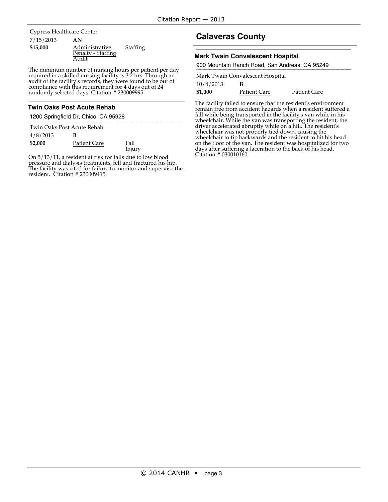7/15/2013 **AN** Cypress Healthcare Center

| \$15,000 | Administrative     |
|----------|--------------------|
|          | Penalty - Staffing |
|          | Audit              |

The minimum number of nursing hours per patient per day required in a skilled nursing facility is 3.2 hrs. Through an audit of the facility's records, they were found to be out of compliance with this requirement for 4 days out of 24 randomly selected days. Citation # 230009995.

**Staffing** 

### **Twin Oaks Post Acute Rehab**

1200 Springfield Dr, Chico, CA 95928

|          | Twin Oaks Post Acute Rehab |        |
|----------|----------------------------|--------|
| 4/8/2013 | в                          |        |
| \$2,000  | Patient Care               | Fall   |
|          |                            | Injury |

On 5/13/11, a resident at risk for falls due to low blood pressure and dialysis treatments, fell and fractured his hip. The facility was cited for failure to monitor and supervise the resident. Citation # 230009415.

# **Calaveras County**

#### **Mark Twain Convalescent Hospital**

|  |  |  | 900 Mountain Ranch Road, San Andreas, CA 95249 |
|--|--|--|------------------------------------------------|
|  |  |  |                                                |

| Mark Twain Convalescent Hospital |              |                     |  |
|----------------------------------|--------------|---------------------|--|
| 10/4/2013                        | в            |                     |  |
| \$1,000                          | Patient Care | <b>Patient Care</b> |  |

The facility failed to ensure that the resident's environment remain free from accident hazards when a resident suffered a fall while being transported in the facility's van while in his wheelchair. While the van was transporting the resident, the driver accelerated abruptly while on a hill. The resident's wheelchair was not properly tied down, causing the wheelchair to tip backwards and the resident to hit his head on the floor of the van. The resident was hospitalized for two days after suffering a laceration to the back of his head. Citation # 030010160.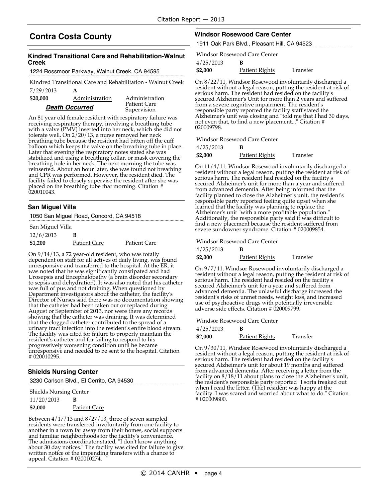# **Contra Costa County**

#### **Kindred Transitional Care and Rehabilitation-Walnut Creek**

1224 Rossmoor Parkway, Walnut Creek, CA 94595

7/29/2013 **A** Kindred Transitional Care and Rehabilitation - Walnut Creek

| \$20,000 | Administration        | Administration              |
|----------|-----------------------|-----------------------------|
|          | <b>Death Occurred</b> | Patient Care<br>Supervision |

An 81 year old female resident with respiratory failure was receiving respiratory therapy, involving a breathing tube with a valve (PMV) inserted into her neck, which she did not tolerate well. On 2/20/13, a nurse removed her neck breathing tube because the resident had bitten off the cuff balloon which keeps the valve on the breathing tube in place. Later that evening the respiratory notes stated she was stabilized and using a breathing collar, or mask covering the breathing hole in her neck. The next morning the tube was reinserted. About an hour later, she was found not breathing and CPR was performed. However, the resident died. The facility failed to closely supervise the resident after she was placed on the breathing tube that morning. Citation # 020010043.

#### **San Miguel Villa**

1050 San Miguel Road, Concord, CA 94518

#### San Miguel Villa

12/6/2013 **B \$1,200** Patient Care Patient Care

On 9/14/13, a 72 year-old resident, who was totally dependent on staff for all actives of daily living, was found unresponsive and transferred to the hospital. At the ER, it was noted that he was significantly constipated and had Urosepsis and Encephalopathy (a brain disorder secondary to sepsis and dehydration). It was also noted that his catheter was full of pus and not draining. When questioned by Department investigators about the catheter, the facility's Director of Nurses said there was no documentation showing that the catheter had been taken out or replaced during August or September of 2013, nor were there any records showing that the catheter was draining. It was determined that the clogged catheter contributed to the spread of a urinary tract infection into the resident's entire blood stream. The facility was cited for failure to properly maintain the resident's catheter and for failing to respond to his progressively worsening condition until he became unresponsive and needed to be sent to the hospital. Citation # 020010295.

### **Shields Nursing Center**

3230 Carlson Blvd., El Cerrito, CA 94530

| <b>Shields Nursing Center</b> |                     |
|-------------------------------|---------------------|
| 11/20/2013                    | в                   |
| \$2,000                       | <b>Patient Care</b> |

Between 4/17/13 and 8/27/13, three of seven sampled residents were transferred involuntarily from one facility to another in a town far away from their homes, social supports and familiar neighborhoods for the facility's convenience. The admissions coordinator stated, "I don't know anything about 30 day notices." The facility was cited for failure to give written notice of the impending transfers with a chance to appeal. Citation  $\#$  020010274.

#### **Windsor Rosewood Care Center**

1911 Oak Park Blvd., Pleasant Hill, CA 94523

Windsor Rosewood Care Center

4/25/2013 **B**

| \$2,000 | Patient Rights | Transfer |
|---------|----------------|----------|
|---------|----------------|----------|

On 8/22/11, Windsor Rosewood involuntarily discharged a resident without a legal reason, putting the resident at risk of serious harm. The resident had resided on the facility's secured Alzheimer's Unit for more than 2 years and suffered from a severe cognitive impairment. The resident's responsible party reported the facility staff stated the Alzheimer's unit was closing and "told me that I had 30 days, not even that, to find a new placement..." Citation # 020009798.

Windsor Rosewood Care Center

| 4/25/2013 | в              |          |
|-----------|----------------|----------|
| \$2,000   | Patient Rights | Transfer |

On 11/4/11, Windsor Rosewood involuntarily discharged <sup>a</sup> resident without <sup>a</sup> legal reason, putting the resident at risk of serious harm. The resident had resided on the facility's secured Alzheimer's unit for more than <sup>a</sup> year and suffered from advanced dementia. After being informed that the facility planned to close the Alzheimer's unit, the resident's responsible party reported feeling quite upset when she learned that the facility was planning to replace the Alzheimer's unit "with a more profitable population."<br>Additionally, the responsible party said it was difficult to<br>find a new placement because the resident suffered from severe sundowner syndrome. Citation # 020009854.

Windsor Rosewood Care Center

4/25/2013 **B \$2,000** Patient Rights Transfer

On 9/7/11, Windsor Rosewood involuntarily discharged a resident without a legal reason, putting the resident at risk of serious harm. The resident had resided on the facility's secured Alzheimer's unit for a year and suffered from advanced dementia. The unlawful discharge increased the resident's risks of unmet needs, weight loss, and increased use of psychoactive drugs with potentially irreversible adverse side effects. Citation # 020009799.

Windsor Rosewood Care Center

| 4/25/2013 | в              |          |
|-----------|----------------|----------|
| \$2,000   | Patient Rights | Transfer |

On 9/30/11, Windsor Rosewood involuntarily discharged a resident without a legal reason, putting the resident at risk of serious harm. The resident had resided on the facility's secured Alzheimer's unit for about 19 months and suffered from advanced dementia. After receiving a letter from the facility on 8/18/11 about plans to close the Alzheimer's unit, the resident's responsible party reported "I sorta freaked out when I read the letter. (The) resident was happy at the facility. I was scared and worried about what to do." Citation # 020009800.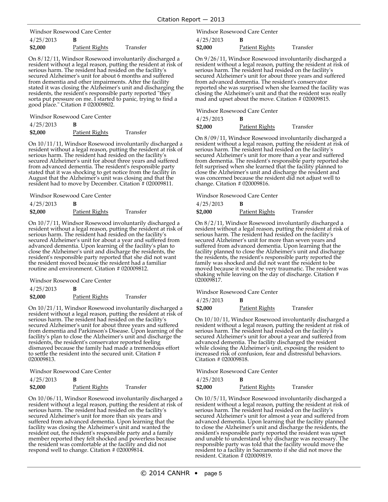4/25/2013 **B** Windsor Rosewood Care Center

| T / 2U / 2U1U |                |          |
|---------------|----------------|----------|
| \$2,000       | Patient Rights | Transfer |

On 8/12/11, Windsor Rosewood involuntarily discharged a resident without a legal reason, putting the resident at risk of serious harm. The resident had resided on the facility's secured Alzheimer's unit for about 6 months and suffered from dementia and other impairments. After the facility stated it was closing the Alzheimer's unit and discharging the residents, the resident's responsible party reported "they sorta put pressure on me. I started to panic, trying to find a good place." Citation # 020009802.

Windsor Rosewood Care Center

| 4/25/2013 | в              |          |
|-----------|----------------|----------|
| \$2,000   | Patient Rights | Transfer |

On 10/11/11, Windsor Rosewood involuntarily discharged <sup>a</sup> resident without <sup>a</sup> legal reason, putting the resident at risk of secured Alzheimer's unit for about three years and suffered<br>from advanced dementia. The resident's responsible party stated that it was shocking to get notice from the facility in August that the Alzheimer's unit was closing and that the resident had to move by December. Citation # 020009811.

Windsor Rosewood Care Center

| 4/25/2013 |                |          |
|-----------|----------------|----------|
| \$2,000   | Patient Rights | Transfer |

On 10/7/11, Windsor Rosewood involuntarily discharged a resident without a legal reason, putting the resident at risk of serious harm. The resident had resided on the facility's secured Alzheimer's unit for about a year and suffered from advanced dementia. Upon learning of the facility's plan to close the Alzheimer's unit and discharge the residents, the resident's responsible party reported that she did not want the resident moved because the resident had a familiar routine and environment. Citation # 020009812.

Windsor Rosewood Care Center

4/25/2013 **B**

**\$2,000** Patient Rights Transfer

On 10/21/11, Windsor Rosewood involuntarily discharged a resident without a legal reason, putting the resident at risk of serious harm. The resident had resided on the facility's secured Alzheimer's unit for about three years and suffered from dementia and Parkinson's Disease. Upon learning of the facility's plan to close the Alzheimer's unit and discharge the residents, the resident's conservator reported feeling dismayed because the family had made a tremendous effort to settle the resident into the secured unit. Citation # 020009813.

Windsor Rosewood Care Center

| 4/25/2013 |                |          |
|-----------|----------------|----------|
| \$2,000   | Patient Rights | Transfer |

On 10/06/11, Windsor Rosewood involuntarily discharged a resident without a legal reason, putting the resident at risk of serious harm. The resident had resided on the facility's secured Alzheimer's unit for more than six years and suffered from advanced dementia. Upon learning that the facility was closing the Alzheimer's unit and wanted the resident out, the resident's responsible party and a family member reported they felt shocked and powerless because the resident was comfortable at the facility and did not respond well to change. Citation # 020009814.

4/25/2013 **B** Windsor Rosewood Care Center

**\$2,000** Patient Rights Transfer

On 9/26/11, Windsor Rosewood involuntarily discharged a resident without a legal reason, putting the resident at risk of serious harm. The resident had resided on the facility's secured Alzheimer's unit for about three years and suffered from advanced dementia. The resident's conservator reported she was surprised when she learned the facility was closing the Alzheimer's unit and that the resident was really mad and upset about the move. Citation # 020009815.

Windsor Rosewood Care Center

| 4/25/2013 | в              |          |
|-----------|----------------|----------|
| \$2,000   | Patient Rights | Transfer |

On 8/09/11, Windsor Rosewood involuntarily discharged a<br>resident without a legal reason, putting the resident at risk of serious harm. The resident had resided on the facility's secured Alzheimer's unit for more than <sup>a</sup> year and suffered from dementia. The resident's responsible party reported she felt surprised when she learned that the facility planned to close the Alzheimer's unit and discharge the resident and was concerned because the resident did not adjust well to change. Citation # 020009816.

Windsor Rosewood Care Center

| 4/25/2013 | в              |          |
|-----------|----------------|----------|
| \$2,000   | Patient Rights | Transfer |

On 8/2/11, Windsor Rosewood involuntarily discharged a resident without a legal reason, putting the resident at risk of serious harm. The resident had resided on the facility's secured Alzheimer's unit for more than seven years and suffered from advanced dementia. Upon learning that the facility planned to close the Alzheimer's unit and discharge the residents, the resident's responsible party reported the family was shocked and did not want the resident to be moved because it would be very traumatic. The resident was shaking while leaving on the day of discharge. Citation # 020009817.

#### Windsor Rosewood Care Center

4/25/2013 **B**

**\$2,000** Patient Rights Transfer

On 10/10/11, Windsor Rosewood involuntarily discharged a resident without a legal reason, putting the resident at risk of serious harm. The resident had resided on the facility's secured Alzheimer's unit for about a year and suffered from advanced dementia. The facility discharged the resident while closing the Alzheimer's unit, exposing the resident to increased risk of confusion, fear and distressful behaviors. Citation # 020009818.

Windsor Rosewood Care Center

| 4/25/2013 | в              |          |
|-----------|----------------|----------|
| \$2,000   | Patient Rights | Transfer |

On 10/5/11, Windsor Rosewood involuntarily discharged a resident without a legal reason, putting the resident at risk of serious harm. The resident had resided on the facility's secured Alzheimer's unit for almost a year and suffered from advanced dementia. Upon learning that the facility planned to close the Alzheimer's unit and discharge the residents, the resident's responsible party reported the resident was upset and unable to understand why discharge was necessary. The responsible party was told that the facility would move the resident to a facility in Sacramento if she did not move the resident. Citation # 020009819.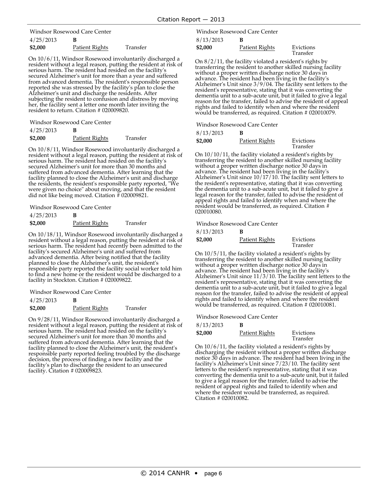4/25/2013 **B** Windsor Rosewood Care Center

| \$2,000 | Patient Rights | Transfer |
|---------|----------------|----------|

On 10/6/11, Windsor Rosewood involuntarily discharged a resident without a legal reason, putting the resident at risk of serious harm. The resident had resided on the facility's secured Alzheimer's unit for more than a year and suffered from advanced dementia. The resident's responsible person reported she was stressed by the facility's plan to close the Alzheimer's unit and discharge the residents. After subjecting the resident to confusion and distress by moving her, the facility sent a letter one month later inviting the resident to return. Citation # 020009820.

Windsor Rosewood Care Center

| 4/25/2013 | в              |          |
|-----------|----------------|----------|
| \$2,000   | Patient Rights | Transfer |

On 10/8/11, Windsor Rosewood involuntarily discharged <sup>a</sup> resident without <sup>a</sup> legal reason, putting the resident at risk of serious harm. The resident had resided on the facility's secured Alzheimer's unit for more than <sup>30</sup> months and suffered from advanced dementia. After learning that the facility planned to close the Alzheimer's unit and discharge the residents, the resident's responsible party reported, "We were given no choice" about moving, and that the resident did not like being moved. Citation # 020009821.

Windsor Rosewood Care Center

| 4/25/2013 | в              |          |
|-----------|----------------|----------|
| \$2,000   | Patient Rights | Transfer |

On 10/18/11, Windsor Rosewood involuntarily discharged a resident without a legal reason, putting the resident at risk of serious harm. The resident had recently been admitted to the facility's secured Alzheimer's unit and suffered from advanced dementia. After being notified that the facility planned to close the Alzheimer's unit, the resident's responsible party reported the facility social worker told him to find a new home or the resident would be discharged to a facility in Stockton. Citation # 020009822.

Windsor Rosewood Care Center

| 4/25/2013 | в              |          |
|-----------|----------------|----------|
| \$2,000   | Patient Rights | Transfer |

On 9/28/11, Windsor Rosewood involuntarily discharged a resident without a legal reason, putting the resident at risk of serious harm. The resident had resided on the facility's secured Alzheimer's unit for more than 30 months and suffered from advanced dementia. After learning that the facility planned to close the Alzheimer's unit, the resident's responsible party reported feeling troubled by the discharge decision, the process of finding a new facility and the facility's plan to discharge the resident to an unsecured facility. Citation # 020009823.

8/13/2013 **B** Windsor Rosewood Care Center

| \$2,000 | Patient Rights | Evictions |
|---------|----------------|-----------|
|         |                | Transfer  |

On 8/2/11, the facility violated a resident's rights by transferring the resident to another skilled nursing facility without a proper written discharge notice 30 days in advance. The resident had been living in the facili Alzheimer's Unit since  $3/9/04$ . The facility sent letters to the resident's representative, stating that it was converting the<br>dementia unit to a sub-acute unit, but it failed to give a legal reason for the transfer, failed to advise the resident of appeal<br>rights and failed to identify when and where the resident would be transferred, as required. Citation # 020010079.

Windsor Rosewood Care Center

| 8/13/2013 | В |
|-----------|---|
|-----------|---|

| \$2,000 | Patient Rights | Evictions<br>Transfer |
|---------|----------------|-----------------------|
|         |                |                       |

On 10/10/11, the facility violated a resident's rights by transferring the resident to another skilled nursing facility without a proper written discharge notice 30 days in advance. The resident had been living in the facility's Alzheimer's Unit since 10/17/10. The facility sent letters to the resident's representative, stating that it was converting the dementia unit to a sub-acute unit, but it failed to give a legal reason for the transfer, failed to advise the resident of appeal rights and failed to identify when and where the resident would be transferred, as required. Citation # 020010080.

Windsor Rosewood Care Center

| 8/13/2013 | В              |                       |
|-----------|----------------|-----------------------|
| \$2,000   | Patient Rights | Evictions<br>Transfer |

On 10/5/11, the facility violated a resident's rights by transferring the resident to another skilled nursing facility without a proper written discharge notice 30 days in advance. The resident had been living in the facility's Alzheimer's Unit since 11/3/10. The facility sent letters to the resident's representative, stating that it was converting the dementia unit to a sub-acute unit, but it failed to give a legal reason for the transfer, failed to advise the resident of appeal rights and failed to identify when and where the resident would be transferred, as required. Citation # 020010081.

Windsor Rosewood Care Center

#### 8/13/2013 **B**

| Evictions<br>Transfer |
|-----------------------|
|                       |

On 10/6/11, the facility violated a resident's rights by discharging the resident without a proper written discharge notice 30 days in advance. The resident had been living in the facility's Alzheimer's Unit since 7/23/10. The facility sent letters to the resident's representative, stating that it was converting the dementia unit to a sub-acute unit, but it failed to give a legal reason for the transfer, failed to advise the resident of appeal rights and failed to identify when and where the resident would be transferred, as required. Citation # 020010082.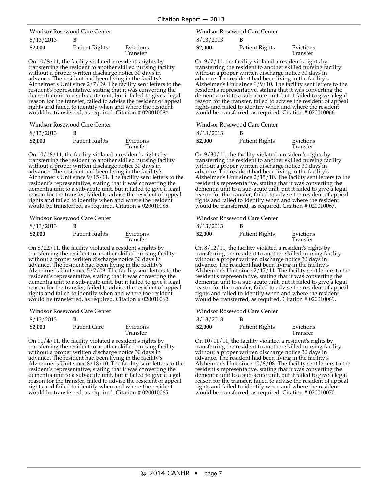8/13/2013 **B** Windsor Rosewood Care Center

| 011012010 |                |                       |
|-----------|----------------|-----------------------|
| \$2,000   | Patient Rights | Evictions<br>Transfer |
|           |                |                       |

On  $10/8/11$ , the facility violated a resident's rights by transferring the resident to another skilled nursing facility without a proper written discharge notice 30 days in advance. The resident had been living in the fa Alzheimer's Unit since  $2/7/09$ . The facility sent letters to the resident's representative, stating that it was converting the<br>dementia unit to a sub-acute unit, but it failed to give a legal reason for the transfer, failed to advise the resident of appeal<br>rights and failed to identify when and where the resident would be transferred, as required. Citation # 020010084.

Windsor Rosewood Care Center

| 8/13/2013 |                |                       |
|-----------|----------------|-----------------------|
| \$2,000   | Patient Rights | Evictions<br>Transfer |

On 10/18/11, the facility violated a resident's rights by transferring the resident to another skilled nursing facility without a proper written discharge notice 30 days in advance. The resident had been living in the facility's Alzheimer's Unit since 9/15/11. The facility sent letters to the resident's representative, stating that it was converting the dementia unit to a sub-acute unit, but it failed to give a legal reason for the transfer, failed to advise the resident of appeal rights and failed to identify when and where the resident would be transferred, as required. Citation # 020010085.

Windsor Rosewood Care Center

| 8/13/2013 | в              |                       |
|-----------|----------------|-----------------------|
| \$2,000   | Patient Rights | Evictions<br>Transfer |

On 8/22/11, the facility violated a resident's rights by transferring the resident to another skilled nursing facility without a proper written discharge notice 30 days in advance. The resident had been living in the facility's Alzheimer's Unit since 5/7/09. The facility sent letters to the resident's representative, stating that it was converting the dementia unit to a sub-acute unit, but it failed to give a legal reason for the transfer, failed to advise the resident of appeal rights and failed to identify when and where the resident would be transferred, as required. Citation # 020010062.

Windsor Rosewood Care Center

| 8/13/2013 |                     |                       |
|-----------|---------------------|-----------------------|
| \$2,000   | <b>Patient Care</b> | Evictions<br>Transfer |

On 11/4/11, the facility violated a resident's rights by transferring the resident to another skilled nursing facility without a proper written discharge notice 30 days in advance. The resident had been living in the facility's Alzheimer's Unit since 8/18/10. The facility sent letters to the resident's representative, stating that it was converting the dementia unit to a sub-acute unit, but it failed to give a legal reason for the transfer, failed to advise the resident of appeal rights and failed to identify when and where the resident would be transferred, as required. Citation # 020010065.

8/13/2013 **B** Windsor Rosewood Care Center

| \$2,000 | Patient Rights | Evictions |
|---------|----------------|-----------|
|         |                | Transfer  |

On 9/7/11, the facility violated a resident's rights by transferring the resident to another skilled nursing facility without a proper written discharge notice 30 days in advance. The resident had been living in the facili Alzheimer's Unit since  $9/9/10$ . The facility sent letters to the resident's representative, stating that it was converting the<br>dementia unit to a sub-acute unit, but it failed to give a legal reason for the transfer, failed to advise the resident of appeal<br>rights and failed to identify when and where the resident would be transferred, as required. Citation # 020010066.

Windsor Rosewood Care Center

| 8/13/2013 | В |
|-----------|---|
|-----------|---|

| \$2,000 | Patient Rights | Evictions<br>Transfer |
|---------|----------------|-----------------------|
|         |                |                       |

On 9/30/11, the facility violated a resident's rights by transferring the resident to another skilled nursing facility without a proper written discharge notice 30 days in advance. The resident had been living in the facility's Alzheimer's Unit since 2/15/10. The facility sent letters to the resident's representative, stating that it was converting the dementia unit to a sub-acute unit, but it failed to give a legal reason for the transfer, failed to advise the resident of appeal rights and failed to identify when and where the resident would be transferred, as required. Citation # 020010067.

Windsor Rosewood Care Center

| 8/13/2013 | В              |                       |
|-----------|----------------|-----------------------|
| \$2,000   | Patient Rights | Evictions<br>Transfer |

On 8/12/11, the facility violated a resident's rights by transferring the resident to another skilled nursing facility without a proper written discharge notice 30 days in advance. The resident had been living in the facility's Alzheimer's Unit since 2/17/11. The facility sent letters to the resident's representative, stating that it was converting the dementia unit to a sub-acute unit, but it failed to give a legal reason for the transfer, failed to advise the resident of appeal rights and failed to identify when and where the resident would be transferred, as required. Citation # 020010069.

Windsor Rosewood Care Center

| 8/13/2013 | R              |                       |
|-----------|----------------|-----------------------|
| \$2,000   | Patient Rights | Evictions<br>Transfer |

On 10/11/11, the facility violated a resident's rights by transferring the resident to another skilled nursing facility without a proper written discharge notice 30 days in advance. The resident had been living in the facility's Alzheimer's Unit since 10/8/08. The facility sent letters to the resident's representative, stating that it was converting the dementia unit to a sub-acute unit, but it failed to give a legal reason for the transfer, failed to advise the resident of appeal rights and failed to identify when and where the resident would be transferred, as required. Citation # 020010070.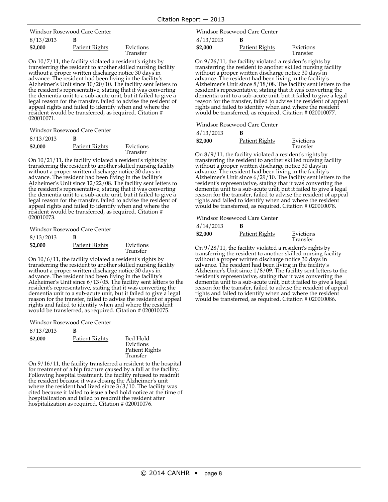8/13/2013 **B** Windsor Rosewood Care Center

| $V_1 + V_2 + V_3 + V_4$ |                |                       |
|-------------------------|----------------|-----------------------|
| \$2,000                 | Patient Rights | Evictions<br>Transfer |
|                         |                |                       |

On 10/7/11, the facility violated <sup>a</sup> resident's rights by transferring the resident to another skilled nursing facility without <sup>a</sup> proper written discharge notice <sup>30</sup> days in Alzheimer's Unit since  $10/20/10$ . The facility sent letters to the resident's representative, stating that it was converting the dementia unit to a sub-acute unit, but it failed to give a legal reason for the transfer, failed to advise the resident of appeal rights and failed to identify when and where the resident would be transferred, as required. Citation # 020010071.

Windsor Rosewood Care Center

| 8/13/2013 | в              |                       |
|-----------|----------------|-----------------------|
| \$2,000   | Patient Rights | Evictions<br>Transfer |

On 10/21/11, the facility violated a resident's rights by transferring the resident to another skilled nursing facility without a proper written discharge notice 30 days in advance. The resident had been living in the facility's Alzheimer's Unit since 12/22/08. The facility sent letters to the resident's representative, stating that it was converting the dementia unit to a sub-acute unit, but it failed to give a legal reason for the transfer, failed to advise the resident of appeal rights and failed to identify when and where the resident would be transferred, as required. Citation # 020010073.

Windsor Rosewood Care Center

| 8/13/2013 | В              |                       |
|-----------|----------------|-----------------------|
| \$2,000   | Patient Rights | Evictions<br>Transfer |

On 10/6/11, the facility violated a resident's rights by transferring the resident to another skilled nursing facility without a proper written discharge notice 30 days in advance. The resident had been living in the facility's Alzheimer's Unit since 6/13/05. The facility sent letters to the resident's representative, stating that it was converting the dementia unit to a sub-acute unit, but it failed to give a legal reason for the transfer, failed to advise the resident of appeal rights and failed to identify when and where the resident would be transferred, as required. Citation # 020010075.

Windsor Rosewood Care Center

| 8/13/2013 | в              |                                                            |
|-----------|----------------|------------------------------------------------------------|
| \$2,000   | Patient Rights | Bed Hold<br>Evictions<br><b>Patient Rights</b><br>Transfer |

On 9/16/11, the facility transferred a resident to the hospital for treatment of a hip fracture caused by a fall at the facility. Following hospital treatment, the facility refused to readmit the resident because it was closing the Alzheimer's unit where the resident had lived since 3/3/10. The facility was cited because it failed to issue a bed hold notice at the time of hospitalization and failed to readmit the resident after hospitalization as required. Citation # 020010076.

8/13/2013 **B** Windsor Rosewood Care Center

| \$2,000 | Patient Rights | Evictions<br>Transfer |
|---------|----------------|-----------------------|
|         |                |                       |

On 9/26/11, the facility violated a resident's rights by transferring the resident to another skilled nursing facility without a proper written discharge notice 30 days in advance. The resident had been living in the facil Alzheimer's Unit since  $8/18/08$ . The facility sent letters to the resident's representative, stating that it was converting the reason for the transfer, failed to advise the resident of appeal<br>rights and failed to identify when and where the resident would be transferred, as required. Citation # 020010077.

Windsor Rosewood Care Center

| 8/13/2013 | в |
|-----------|---|
|-----------|---|

| \$2,000 | Patient Rights | Evictions<br>Transfer |
|---------|----------------|-----------------------|
|         |                |                       |

On 8/9/11, the facility violated a resident's rights by transferring the resident to another skilled nursing facility without a proper written discharge notice 30 days in advance. The resident had been living in the facility's Alzheimer's Unit since 6/29/10. The facility sent letters to the resident's representative, stating that it was converting the dementia unit to a sub-acute unit, but it failed to give a legal reason for the transfer, failed to advise the resident of appeal rights and failed to identify when and where the resident would be transferred, as required. Citation # 020010078.

Windsor Rosewood Care Center

| 8/14/2013 | B              |                       |
|-----------|----------------|-----------------------|
| \$2,000   | Patient Rights | Evictions<br>Transfer |

On 9/28/11, the facility violated a resident's rights by transferring the resident to another skilled nursing facility without a proper written discharge notice 30 days in advance. The resident had been living in the facility's Alzheimer's Unit since 1/8/09. The facility sent letters to the resident's representative, stating that it was converting the dementia unit to a sub-acute unit, but it failed to give a legal reason for the transfer, failed to advise the resident of appeal rights and failed to identify when and where the resident would be transferred, as required. Citation # 020010086.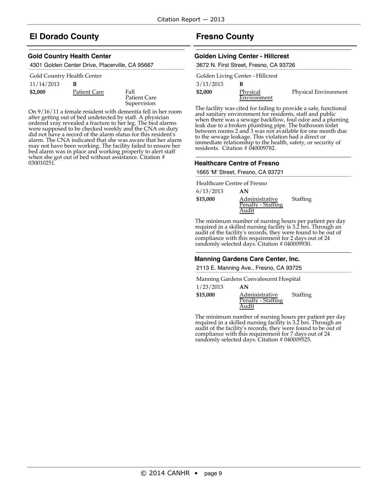# **El Dorado County**

#### **Gold Country Health Center**

|  | 4301 Golden Center Drive, Placerville, CA 95667 |
|--|-------------------------------------------------|
|--|-------------------------------------------------|

| Gold Country Health Center |  |
|----------------------------|--|
|----------------------------|--|

### 11/14/2013 **B**

**\$2,000** Patient Care Fall

Patient Care Supervision

On 9/16/11 a female resident with dementia fell in her room after getting out of bed undetected by staff. A physician ordered xray revealed a fracture to her leg. The bed alarms were supposed to be checked weekly and the CNA on duty did not have a record of the alarm status for this resident's alarm. The CNA indicated that she was aware that her alarm may not have been working. The facility failed to ensure her bed alarm was in place and working properly to alert staff when she got out of bed without assistance. Citation # 030010251.

# **Fresno County**

#### **Golden Living Center - Hillcrest**

|           | 3672 N. First Street, Fresno, CA 93726 |                      |
|-----------|----------------------------------------|----------------------|
|           | Golden Living Center - Hillcrest       |                      |
| 3/13/2013 |                                        |                      |
| \$2,000   | Physical                               | Physical Environment |
|           | Environment                            |                      |

The facility was cited for failing to provide a safe, functional and sanitary environment for residents, staff and public when there was a sewage backflow, foul odor and a pluming leak due to a broken plumbing pipe. The bathroom toilet between rooms 2 and 3 was not available for one month due to the sewage leakage. This violation had a direct or immediate relationship to the health, safety, or security of residents. Citation # 040009782.

#### **Healthcare Centre of Fresno**

1665 'M' Street, Fresno, CA 93721

Healthcare Centre of Fresno

| 6/13/2013 | AN                                   |          |
|-----------|--------------------------------------|----------|
| \$15,000  | Administrative<br>Penalty - Staffing | Staffing |
|           | Audit                                |          |

The minimum number of nursing hours per patient per day required in a skilled nursing facility is 3.2 hrs. Through an audit of the facility's records, they were found to be out of compliance with this requirement for 2 days out of 24 randomly selected days. Citation # 040009930.

#### **Manning Gardens Care Center, Inc.**

2113 E. Manning Ave., Fresno, CA 93725

Manning Gardens Convalescent Hospital

| 1/23/2013 | AN                                   |          |
|-----------|--------------------------------------|----------|
| \$15,000  | Administrative<br>Penalty - Staffing | Staffing |
|           | Audit                                |          |

The minimum number of nursing hours per patient per day required in a skilled nursing facility is 3.2 hrs. Through an audit of the facility's records, they were found to be out of compliance with this requirement for 7 days out of 24 randomly selected days. Citation # 040009525.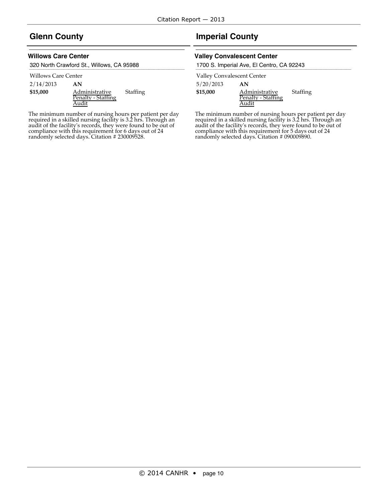# **Glenn County**

### **Willows Care Center**

320 North Crawford St., Willows, CA 95988

#### Willows Care Center

2/14/2013 **AN**

| \$15,000 | Administrative     | Staffing |
|----------|--------------------|----------|
|          | Penalty - Staffing |          |
|          | Audit              |          |

The minimum number of nursing hours per patient per day required in a skilled nursing facility is 3.2 hrs. Through an audit of the facility's records, they were found to be out of compliance with this requirement for 6 days out of 24 randomly selected days. Citation # 230009528.

# **Imperial County**

#### **Valley Convalescent Center**

1700 S. Imperial Ave, El Centro, CA 92243

Valley Convalescent Center

5/20/2013 **AN**

| \$15,000 | Administrative     | Staffing |
|----------|--------------------|----------|
|          | Penalty - Staffing |          |
|          | Audit              |          |

The minimum number of nursing hours per patient per day required in a skilled nursing facility is 3.2 hrs. Through an audit of the facility's records, they were found to be out of compliance with this requirement for 5 days out of 24 randomly selected days. Citation # 090009890.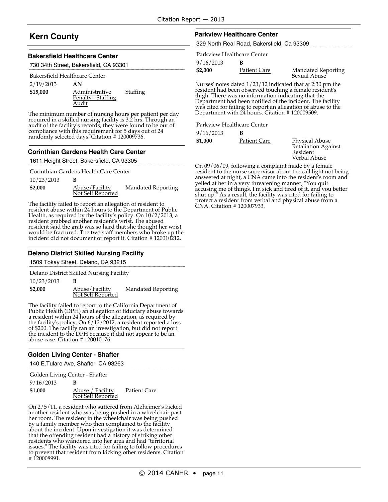# **Kern County**

#### **Bakersfield Healthcare Center**

730 34th Street, Bakersfield, CA 93301

#### Bakersfield Healthcare Center

| 2/19/2013 | AN                                            |          |
|-----------|-----------------------------------------------|----------|
| \$15,000  | Administrative<br>Penalty - Staffing<br>Audit | Staffing |

The minimum number of nursing hours per patient per day required in a skilled nursing facility is 3.2 hrs. Through an audit of the facility's records, they were found to be out of compliance with this requirement for 5 days out of 24 randomly selected days. Citation # 120009736.

#### **Corinthian Gardens Health Care Center**

#### 1611 Height Street, Bakersfield, CA 93305

Corinthian Gardens Health Care Center

| 10/23/2013 |                                     |                           |
|------------|-------------------------------------|---------------------------|
| \$2,000    | Abuse/Facility<br>Not Self Reported | <b>Mandated Reporting</b> |

The facility failed to report an allegation of resident to resident abuse within 24 hours to the Department of Public Health, as required by the facility's policy. On 10/2/2013, a resident grabbed another resident's wrist. The abused resident said the grab was so hard that she thought her wrist would be fractured. The two staff members who broke up the incident did not document or report it. Citation # 120010212.

#### **Delano District Skilled Nursing Facility**

1509 Tokay Street, Delano, CA 93215

Delano District Skilled Nursing Facility

#### 10/23/2013 **B**

**\$2,000** Abuse/Facility Not Self Reported Mandated Reporting

The facility failed to report to the California Department of Public Health (DPH) an allegation of fiduciary abuse towards a resident within 24 hours of the allegation, as required by the facility's policy. On 6/12/2012, a resident reported a loss of \$200. The facility ran an investigation, but did not report the incident to the DPH because it did not appear to be an abuse case. Citation # 120010176.

#### **Golden Living Center - Shafter**

140 E.Tulare Ave, Shafter, CA 93263

| Golden Living Center - Shafter |                   |              |
|--------------------------------|-------------------|--------------|
| 9/16/2013                      | в                 |              |
| \$1,000                        | Abuse / Facility  | Patient Care |
|                                | Not Self Reported |              |

On 2/5/11, a resident who suffered from Alzheimer's kicked another resident who was being pushed in a wheelchair past her room. The resident in the wheelchair was being pushed by a family member who then complained to the facility about the incident. Upon investigation it was determined that the offending resident had a history of striking other residents who wandered into her area and had "territorial issues." The facility was cited for failing to follow procedures to prevent that resident from kicking other residents. Citation # 120008991.

#### **Parkview Healthcare Center**

329 North Real Road, Bakersfield, Ca 93309

|           | Parkview Healthcare Center |                           |
|-----------|----------------------------|---------------------------|
| 9/16/2013 |                            |                           |
| \$2,000   | Patient Care               | <b>Mandated Reporting</b> |

Nurses' notes dated 1/23/12 indicated that at 2:30 pm the resident had been observed touching a female resident's thigh. There was no information indicating that the Department had been notified of the incident. The facility was cited for failing to report an allegation of abuse to the Department with 24 hours. Citation # 120009509.

#### Parkview Healthcare Center

9/16/2013 **B**

**\$1,000** Patient Care Physical Abuse Retaliation Against Resident Verbal Abuse

Sexual Abuse

On 09/06/09, following a complaint made by a female resident to the nurse supervisor about the call light not being answered at night, a CNA came into the resident's room and yelled at her in a very threatening manner, "You quit accusing me of things, I'm sick and tired of it, and you better shut up." As a result, the facility was cited for failing to protect a resident from verbal and physical abuse from a CNA. Citation # 120007933.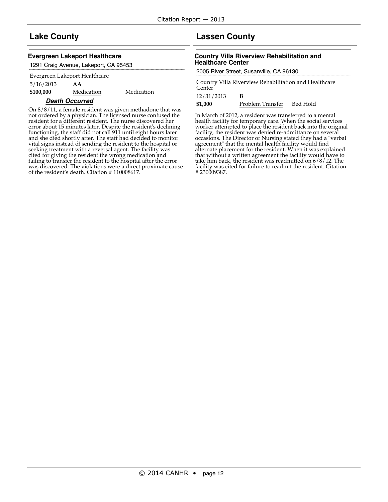# **Lake County**

#### **Evergreen Lakeport Healthcare**

1291 Craig Avenue, Lakeport, CA 95453

#### Evergreen Lakeport Healthcare

5/16/2013 **AA \$100,000** Medication Medication

# **Death Occurred**

On 8/8/11, a female resident was given methadone that was not ordered by a physician. The licensed nurse confused the resident for a different resident. The nurse discovered her error about 15 minutes later. Despite the resident's declining functioning, the staff did not call 911 until eight hours later and she died shortly after. The staff had decided to monitor vital signs instead of sending the resident to the hospital or seeking treatment with <sup>a</sup> reversal agent. The facility was cited for giving the resident the wrong medication and failing to transfer the resident to the hospital after the error was discovered. The violations were a direct proximate cause of the resident's death. Citation # 110008617.

# **Lassen County**

#### **Country Villa Riverview Rehabilitation and Healthcare Center**

2005 River Street, Susanville, CA 96130

Country Villa Riverview Rehabilitation and Healthcare Center

12/31/2013 **B**

**\$1,000** Problem Transfer Bed Hold

In March of 2012, a resident was transferred to a mental health facility for temporary care. When the social services worker attempted to place the resident back into the original facility, the resident was denied re-admittance on several occasions. The Director of Nursing stated they had a "verbal agreement" that the mental health facility would find alternate placement for the resident. When it was explained that without <sup>a</sup> written agreement the facility would have to take him back, the resident was readmitted on 6/8/12. The facility was cited for failure to readmit the resident. Citation # 230009387.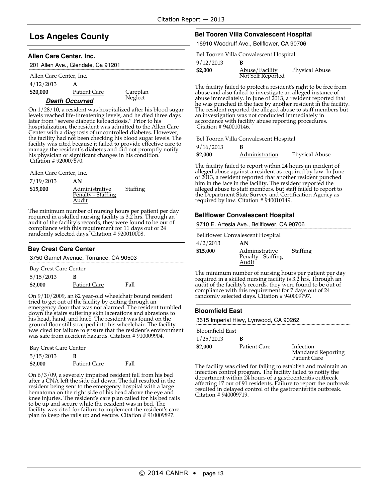# **Los Angeles County**

#### **Allen Care Center, Inc.**

| 201 Allen Ave., Glendale, Ca 91201 |                     |          |  |
|------------------------------------|---------------------|----------|--|
| Allen Care Center, Inc.            |                     |          |  |
| 4/12/2013                          |                     |          |  |
| \$20,000                           | <b>Patient Care</b> | Careplan |  |

Neglect<sup>1144</sup>

### **Death Occurred**

On 1/28/10, a resident was hospitalized after his blood sugar levels reached life-threatening levels, and he died three days later from "severe diabetic ketoacidosis." Prior to his hospitalization, the resident was admitted to the Allen Care Center with a diagnosis of uncontrolled diabetes. However, the facility had not been checking his blood sugar levels. The facility was cited because it failed to provide effective care to manage the resident's diabetes and did not promptly notify his physician of significant changes in his condition. Citation # 920007870.

Allen Care Center, Inc.

| 7/19/2013 | AN                 |          |
|-----------|--------------------|----------|
| \$15,000  | Administrative     | Staffing |
|           | Penalty - Staffing |          |
|           | Audit              |          |

The minimum number of nursing hours per patient per day required in a skilled nursing facility is 3.2 hrs. Through an audit of the facility's records, they were found to be out of compliance with this requirement for 11 days out of 24 randomly selected days. Citation #920010008.

#### **Bay Crest Care Center**

3750 Garnet Avenue, Torrance, CA 90503

Bay Crest Care Center

| 5/15/2013 | B            |             |
|-----------|--------------|-------------|
| \$2,000   | Patient Care | <b>Fall</b> |

On 9/10/2009, an 82 year-old wheelchair bound resident tried to get out of the facility by exiting through an emergency door that was not alarmed. The resident tumbled down the stairs suffering skin lacerations and abrasions to his head, hand, and knee. The resident was found on the ground floor still strapped into his wheelchair. The facility was cited for failure to ensure that the resident's environment was safe from accident hazards. Citation # 910009904.

| Bay Crest Care Center |  |  |
|-----------------------|--|--|
|-----------------------|--|--|

| 5/15/2013 | В            |      |
|-----------|--------------|------|
| \$2,000   | Patient Care | Fall |

On 6/3/09, a severely impaired resident fell from his bed after a CNA left the side rail down. The fall resulted in the resident being sent to the emergency hospital with a large hematoma on the right side of his head above the eye and knee injuries. The resident's care plan called for his bed rails to be up and secure while the resident was in bed. The facility was cited for failure to implement the resident's care plan to keep the rails up and secure. Citation # 910009897.

# **Bel Tooren Villa Convalescent Hospital**

16910 Woodruff Ave., Bellflower, CA 90706

| Bel Tooren Villa Convalescent Hospital |  |  |  |
|----------------------------------------|--|--|--|
|                                        |  |  |  |

9/12/2013 **B**

| <b>77 IL 7 LUIU</b> |                                     |                       |
|---------------------|-------------------------------------|-----------------------|
| \$2,000             | Abuse/Facility<br>Not Self Reported | <b>Physical Abuse</b> |
|                     |                                     |                       |

The facility failed to protect a resident's right to be free from abuse and also failed to investigate an alleged instance of abuse immediately. In June of 2013, a resident reported that he was punched in the face by another resident in the facility. The resident reported the alleged abuse to staff members but an investigation was not conducted immediately in accordance with facility abuse reporting procedures. Citation # 940010146.

Bel Tooren Villa Convalescent Hospital

9/16/2013 **B**

| <b>77.107.4010</b> |                |                       |
|--------------------|----------------|-----------------------|
| \$2,000            | Administration | <b>Physical Abuse</b> |

The facility failed to report within 24 hours an incident of alleged abuse against a resident as required by law. In June of 2013, a resident reported that another resident punched him in the face in the facility. The resident reported the alleged abuse to staff members, but staff failed to report to the Department State Survey and Certification Agency as required by law. Citation # 940010149.

#### **Bellflower Convalescent Hospital**

9710 E. Artesia Ave., Bellflower, CA 90706

Bellflower Convalescent Hospital

| 4/2/2013 | AN                 |          |
|----------|--------------------|----------|
| \$15,000 | Administrative     | Staffing |
|          | Penalty - Staffing |          |
|          | Audit              |          |

The minimum number of nursing hours per patient per day required in a skilled nursing facility is 3.2 hrs. Through an audit of the facility's records, they were found to be out of compliance with this requirement for 7 days out of 24 randomly selected days. Citation # 940009797.

#### **Bloomfield East**

3615 Imperial Hiwy, Lynwood, CA 90262

| Bloomfield East |              |                                                               |
|-----------------|--------------|---------------------------------------------------------------|
| 1/25/2013       | в            |                                                               |
| \$2,000         | Patient Care | Infection<br><b>Mandated Reporting</b><br><b>Patient Care</b> |

The facility was cited for failing to establish and maintain an infection control program. The facility failed to notify the department within 24 hours of a gastroenteritis outbreak affecting 17 out of 91 residents. Failure to report the outbreak resulted in delayed control of the gastroenteritis outbreak. Citation # 940009719.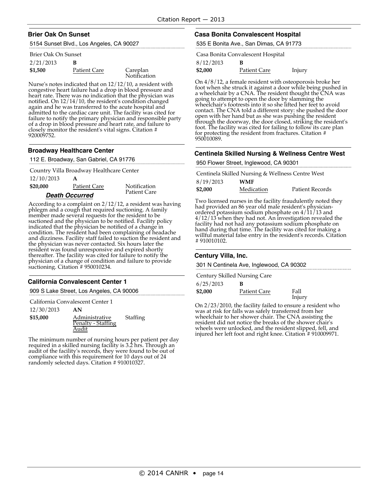#### **Brier Oak On Sunset**

5154 Sunset Blvd., Los Angeles, CA 90027

#### Brier Oak On Sunset

| 2/21/2013 |              |                          |
|-----------|--------------|--------------------------|
| \$1,500   | Patient Care | Careplan<br>Notification |

Nurse's notes indicated that on 12/12/10, a resident with congestive heart failure had a drop in blood pressure and notified. On 12/14/10, the resident's condition changed again and he was transferred to the acute hospital and admitted to the cardiac care unit. The facility was cited for failure to notify the primary physician and responsible party failure to notify the pressure and heart rate, and failure to closely monitor the resident's vital signs. Citation # 920009752.

#### **Broadway Healthcare Center**

112 E. Broadway, San Gabriel, CA 91776

12/10/2013 **A** Country Villa Broadway Healthcare Center

**\$20,000** Patient Care Notification **Death Occurred**

Patient Care

According to a complaint on 2/12/12, a resident was having phlegm and a cough that required suctioning. A family member made several requests for the resident to be suctioned and the physician to be notified. Facility policy indicated that the physician be notified of a change in condition. The resident had been complaining of headache and dizziness. Facility staff failed to suction the resident and the physician was never contacted. Six hours later the resident was found unresponsive and expired shortly thereafter. The facility was cited for failure to notify the physician of a change of condition and failure to provide suctioning. Citation # 950010234.

# **California Convalescent Center 1**

909 S Lake Street, Los Angeles, CA 90006

12/30/2013 **AN \$15,000** Administrative Penalty - Staffing **Staffing** California Convalescent Center 1

Audit

The minimum number of nursing hours per patient per day required in a skilled nursing facility is 3.2 hrs. Through an audit of the facility's records, they were found to be out of compliance with this requirement for 10 days out of 24 randomly selected days. Citation # 910010327.

### **Casa Bonita Convalescent Hospital**

535 E Bonita Ave., San Dimas, CA 91773

Casa Bonita Convalescent Hospital

| 8/12/2013 |  |
|-----------|--|
|-----------|--|

**\$2,000** Patient Care Injury

On 4/8/12, a female resident with osteoporosis broke her foot when she struck it against a door while being pushed in a wheelchair by a CNA. The resident thought the CNA was going to attempt to open the door by slamming the wheelchair's footrests into it so she lifted her feet to avoid contact. The CNA told a different story: she pushed the door open with her hand but as she was pushing the resident through the doorway, the door closed, striking the resident's foot. The facility was cited for failing to follow its care plan for protecting the resident from fractures. Citation # 950010089.

#### **Centinela Skilled Nursing & Wellness Centre West**

950 Flower Street, Inglewood, CA 90301

|           | Centinela Skilled Nursing & Wellness Centre West |                 |
|-----------|--------------------------------------------------|-----------------|
| 8/19/2013 | <b>WMF</b>                                       |                 |
| \$2,000   | Medication                                       | Patient Records |

Two licensed nurses in the facility fraudulently noted they had provided an <sup>86</sup> year old male resident's physician- ordered potassium sodium phosphate on 4/11/13 and 4/12/13 when they had not. An investigation revealed the facility had not had any potassium sodium phosphate on hand during that time. The facility was cited for making <sup>a</sup> willful material false entry in the resident's records. Citation # 910010102.

#### **Century Villa, Inc.**

301 N Centinela Ave, Inglewood, CA 90302

|           | Century Skilled Nursing Care |                |
|-----------|------------------------------|----------------|
| 6/25/2013 | в                            |                |
| \$2,000   | Patient Care                 | Fall<br>Injury |

On 2/23/2010, the facility failed to ensure a resident who was at risk for falls was safely transferred from her wheelchair to her shower chair. The CNA assisting the resident did not notice the breaks of the shower chair's wheels were unlocked, and the resident slipped, fell, and injured her left foot and right knee. Citation # 910009971.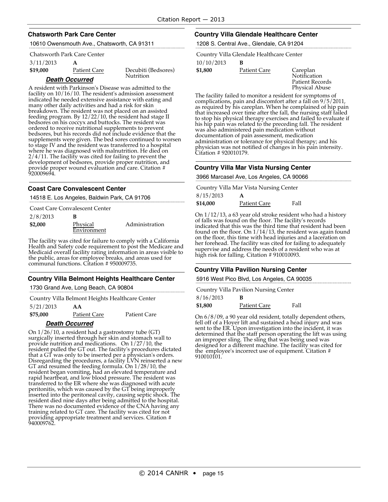#### **Chatsworth Park Care Center**

10610 Owensmouth Ave., Chatsworth, CA 91311

#### Chatsworth Park Care Center

3/11/2013 **A**

**\$19,000** Patient Care Decubiti (Bedsores)

Nutrition

### **Death Occurred**

A resident with Parkinson's Disease was admitted to the facility on 10/16/10. The resident's admission assessment indicated he needed extensive assistance with eating and many other daily activities and had a risk for skin breakdown. The resident was not placed on an assisted feeding program. By 12/22/10, the resident had stage II bedsores on his coccyx and buttocks. The resident was ordered to receive nutritional supplements to prevent bedsores, but his records did not include evidence that the supplements were given. The bed sores continued to worsen to stage IV and the resident was transferred to a hospital where he was diagnosed with malnutrition. He died on 2/4/11. The facility was cited for failing to prevent the development of bedsores, provide proper nutrition, and provide proper wound evaluation and care. Citation # 920009694.

### **Coast Care Convalescent Center**

14518 E. Los Angeles, Baldwin Park, CA 91706

|          | <b>Coast Care Convalescent Center</b> |                |
|----------|---------------------------------------|----------------|
| 2/8/2013 |                                       |                |
| \$2,000  | Physical                              | Administration |

The facility was cited for failure to comply with a California Health and Safety code requirement to post the Medicare and Medicaid overall facility rating information in areas visible to the public, areas for employee breaks, and areas used for **Environment** 

# **Country Villa Belmont Heights Healthcare Center**

1730 Grand Ave, Long Beach, CA 90804

communal functions. Citation # 950009735.

|           |    | Country Villa Belmont Heights Healthcare Center |
|-----------|----|-------------------------------------------------|
| 5/21/2013 | AА |                                                 |

**\$75,000** Patient Care Patient Care

### **Death Occurred**

On 1/26/10, a resident had a gastrostomy tube (GT) surgically inserted through her skin and stomach wall to provide nutrition and medications. On 1/27/10, the resident pulled the GT out. The facility's procedures dictated that a GT was only to be inserted per a physician's orders. Disregarding the procedures, a facility LVN reinserted a new GT and resumed the feeding formula. On 1/28/10, the resident began vomiting, had an elevated temperature and rapid heartbeat, and low blood pressure. The resident was transferred to the ER where she was diagnosed with acute peritonitis, which was caused by the GT being improperly inserted into the peritoneal cavity, causing septic shock. The resident died nine days after being admitted to the hospital. There was no documented evidence of the CNA having any training related to GT care. The facility was cited for not providing appropriate treatment and services. Citation # 940009762.

### **Country Villa Glendale Healthcare Center**

1208 S. Central Ave., Glendale, CA 91204

Country Villa Glendale Healthcare Center

10/10/2013 **B**

**\$1,800** Patient Care Careplan

Notification Patient Records Physical Abuse

The facility failed to monitor a resident for symptoms of complications, pain and discomfort after a fall on  $9/5/2011$ , as required by his careplan. When he complained of hip pain that increased over time after the fall, the nursing staff failed to stop his physical therapy exercises and failed to evaluate if his hip pain was related to the preceding fall. The resident was also administered pain medication without documentation of pain assessment, medication administration or tolerance for physical therapy; and his physician was not notified of changes in his pain intensity. Citation # 920010179.

### **Country Villa Mar Vista Nursing Center**

3966 Marcasel Ave, Los Angeles, CA 90066

Country Villa Mar Vista Nursing Center

| 8/15/2013 | A                   |      |
|-----------|---------------------|------|
| \$14,000  | <b>Patient Care</b> | Fall |

On 1/12/13, a 63 year old stroke resident who had a history of falls was found on the floor. The facility's records indicated that this was the third time that resident had been found on the floor. On 1/14/13, the resident was again found on the floor, this time with head injuries and a laceration on her forehead. The facility was cited for failing to adequately supervise and address the needs of a resident who was at high risk for falling. Citation # 910010093.

### **Country Villa Pavilion Nursing Center**

5916 West Pico Blvd, Los Angeles, CA 90035

Country Villa Pavilion Nursing Center

| 8/16/2013 | в                   |      |
|-----------|---------------------|------|
| \$1,800   | <b>Patient Care</b> | Fall |

On 6/8/09, a 90 year old resident, totally dependent others, fell off of a Hoyer lift and sustained a head injury and was sent to the ER. Upon investigation into the incident, it was determined that the staff person operating the lift was using an improper sling. The sling that was being used was designed for a different machine. The facility was cited for the employee's incorrect use of equipment. Citation # 910010101.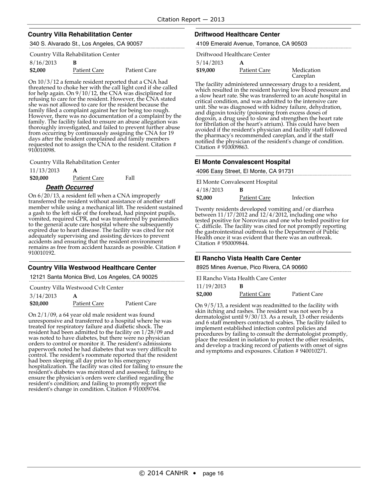### **Country Villa Rehabilitation Center**

340 S. Alvarado St., Los Angeles, CA 90057

### Country Villa Rehabilitation Center

| 8/16/2013 |              |                     |
|-----------|--------------|---------------------|
| \$2,000   | Patient Care | <b>Patient Care</b> |

On 10/3/12 a female resident reported that a CNA had threatened to choke her with the call light cord if she called for help again. On 9/10/12, the CNA was disciplined for refusing to care for the resident. However, the CNA stated she was not allowed to care for the resident because the family filed a complaint against her for being too rough. However, there was no documentation of a complaint by the family. The facility failed to ensure an abuse allegation was thoroughly investigated, and failed to prevent further abuse from occurring by continuously assigning the CNA for 19 days after the resident complained and family members requested not to assign the CNA to the resident. Citation # 910010098.

Country Villa Rehabilitation Center

11/13/2013 **A**

**\$20,000** Patient Care Fall

#### **Death Occurred**

On 6/20/13, a resident fell when a CNA improperly transferred the resident without assistance of another staff member while using a mechanical lift. The resident sustained a gash to the left side of the forehead, had pinpoint pupils, vomited, required CPR, and was transferred by paramedics to the general acute care hospital where she subsequently expired due to heart disease. The facility was cited for not adequately supervising and assisting devices to prevent accidents and ensuring that the resident environment remains as free from accident hazards as possible. Citation # 910010192.

#### **Country Villa Westwood Healthcare Center**

12121 Santa Monica Blvd, Los Angeles, CA 90025

Country Villa Westwood Cvlt Center

| 3/14/2013 | A                   |                     |
|-----------|---------------------|---------------------|
| \$20,000  | <b>Patient Care</b> | <b>Patient Care</b> |

On 2/1/09, a 64 year old male resident was found unresponsive and transferred to a hospital where he was treated for respiratory failure and diabetic shock. The resident had been admitted to the facility on 1/28/09 and was noted to have diabetes, but there were no physician orders to control or monitor it. The resident's admissions paperwork noted he had diabetes that was very difficult to control. The resident's roommate reported that the resident had been sleeping all day prior to his emergency hospitalization. The facility was cited for failing to ensure the resident's diabetes was monitored and assessed; failing to ensure the physician's orders were clarified regarding the resident's condition; and failing to promptly report the resident's change in condition. Citation # 910009764.

#### **Driftwood Healthcare Center**

4109 Emerald Avenue, Torrance, CA 90503

5/14/2013 **A** Driftwood Healthcare Center

**\$19,000** Patient Care Medication Careplan

The facility administered unnecessary drugs to a resident, which resulted in the resident having low blood pressure and a slow heart rate. She was transferred to an acute hospital in critical condition, and was admitted to the intensive care unit. She was diagnosed with kidney failure, dehydration, and digoxin toxicity (poisoning from excess doses of dogoxin, a drug used to slow and strengthen the heart rate for fibrilation of the heart's atrium). This could have been avoided if the resident's physician and facility staff followed the pharmacy's recommended careplan, and if the staff notified the physician of the resident's change of condition. Citation # 910009863.

### **El Monte Convalescent Hospital**

|                                | 4096 Easy Street, El Monte, CA 91731 |  |
|--------------------------------|--------------------------------------|--|
| El Monte Convalescent Hospital |                                      |  |
| 1/10/2012                      |                                      |  |

<u>. . . . . . . . .</u>

| 4/18/2013 | в                   |           |
|-----------|---------------------|-----------|
| \$2,000   | <b>Patient Care</b> | Infection |

Twenty residents developed vomiting and/or diarrhea between 11/17/2012 and 12/4/2012, including one who tested positive for Norovirus and one who tested positive for C. difficile. The facility was cited for not promptly reporting the gastrointestinal outbreak to the Department of Public Health once it was evident that there was an outbreak. Citation # 950009844.

#### **El Rancho Vista Health Care Center**

8925 Mines Avenue, Pico Rivera, CA 90660

El Rancho Vista Health Care Center

| 11/19/2013 |              |              |
|------------|--------------|--------------|
| \$2,000    | Patient Care | Patient Care |

On 9/5/13, a resident was readmitted to the facility with skin itching and rashes. The resident was not seen by a dermatologist until 9/30/13. As a result, 13 other residents and 6 staff members contracted scabies. The facility failed to implement established infection control policies and procedures by failing to consult the dermatologist promptly, place the resident in isolation to protect the other residents, and develop a tracking record of patients with onset of signs and symptoms and exposures. Citation # 940010271.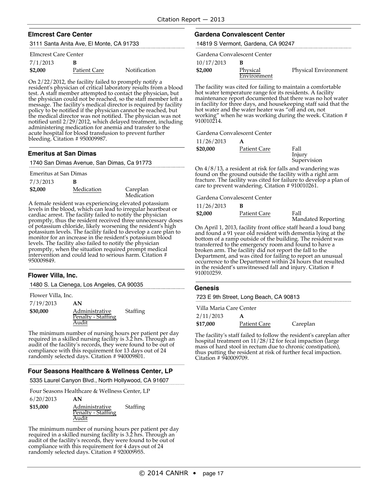#### **Elmcrest Care Center**

3111 Santa Anita Ave, El Monte, CA 91733

#### Elmcrest Care Center

| 7/1/2013 | в                   |              |
|----------|---------------------|--------------|
| \$2,000  | <b>Patient Care</b> | Notification |

On 2/22/2012, the facility failed to promptly notify a resident's physician of critical laboratory results from a blood test. A staff member attempted to contact the physician, but the physician could not be reached, so the staff member left a message. The facility's medical director is required by facility policy to be notified if the physician cannot be reached, but the medical director was not notified. The physician was not notified until 2/29/2012, which delayed treatment, including administering medication for anemia and transfer to the acute hospital for blood transfusion to prevent further bleeding. Citation # 950009987.

#### **Emeritus at San Dimas**

1740 San Dimas Avenue, San Dimas, Ca 91773

| Emeritus at San Dimas |            |  |
|-----------------------|------------|--|
| 7/3/2013              | в          |  |
| \$2,000               | Medication |  |

.areplan Medication

A female resident was experiencing elevated potassium levels in the blood, which can lead to irregular heartbeat or cardiac arrest. The facility failed to notify the physician promptly, thus the resident received three unnecessary doses of potassium chloride, likely worsening the resident's high potassium levels. The facility failed to develop a care plan to monitor for an increase in the resident's potassium blood levels. The facility also failed to notify the physician promptly, when the situation required prompt medical intervention and could lead to serious harm. Citation # 950009849.

### **Flower Villa, Inc.**

1480 S. La Cienega, Los Angeles, CA 90035

| Flower Villa, Inc. |                                      |          |
|--------------------|--------------------------------------|----------|
| 7/19/2013          | AN                                   |          |
| \$30,000           | Administrative<br>Penalty - Staffing | Staffing |
|                    | Audit                                |          |

The minimum number of nursing hours per patient per day<br>required in a skilled nursing facility is 3.2 hrs. Through an<br>audit of the facility's records, they were found to be out of compliance with this requirement for 13 days out of 24 randomly selected days. Citation # 940009801.

# **Four Seasons Healthcare & Wellness Center, LP**

5335 Laurel Canyon Blvd., North Hollywood, CA 91607

Four Seasons Healthcare & Wellness Center, LP

6/20/2013 **AN \$15,000** Administrative Penalty - Staffing Audit Staffing

The minimum number of nursing hours per patient per day required in a skilled nursing facility is 3.2 hrs. Through an audit of the facility's records, they were found to be out of compliance with this requirement for 4 days out of 24 randomly selected days. Citation # 920009955.

#### **Gardena Convalescent Center**

14819 S Vermont, Gardena, CA 90247

Gardena Convalescent Center

10/17/2013 **B**

| \$2,000 | Physical    | Physical Environment |
|---------|-------------|----------------------|
|         | Environment |                      |
|         |             |                      |

The facility was cited for failing to maintain a comfortable hot water temperature range for its residents. A facility maintenance report documented that there was no hot water in facility for three days, and housekeeping staff said that the hot water and the water heater was "off and on, not working" when he was working during the week. Citation # 910010214.

Gardena Convalescent Center

| Patient Care | Fall<br>Injury<br>Supervision |
|--------------|-------------------------------|
|              |                               |

On 4/8/13, a resident at risk for falls and wandering was found on the ground outside the facility with a right arm fracture. The facility was cited for failure to develop a plan of care to prevent wandering. Citation # 910010261.

Gardena Convalescent Center

11/26/2013 **B**

| \$2,000 | Patient Care | Fall                      |
|---------|--------------|---------------------------|
|         |              | <b>Mandated Reporting</b> |

On April 1, 2013, facility front office staff heard a loud bang and found a 91 year old resident with dementia lying at the bottom of a ramp outside of the building. The resident was transferred to the emergency room and found to have a broken arm. The facility did not report the fall to the Department, and was cited for failing to report an unusual occurrence to the Department within 24 hours that resulted in the resident's unwitnessed fall and injury. Citation # 910010259.

#### **Genesis**

723 E 9th Street, Long Beach, CA 90813

| Villa Maria Care Center |                     |          |
|-------------------------|---------------------|----------|
| 2/11/2013               |                     |          |
| \$17,000                | <b>Patient Care</b> | Careplan |

The facility's staff failed to follow the resident's careplan after hospital treatment on 11/28/12 for fecal impaction (large mass of hard stool in rectum due to chronic constipation), thus putting the resident at risk of further fecal impaction. Citation # 940009709.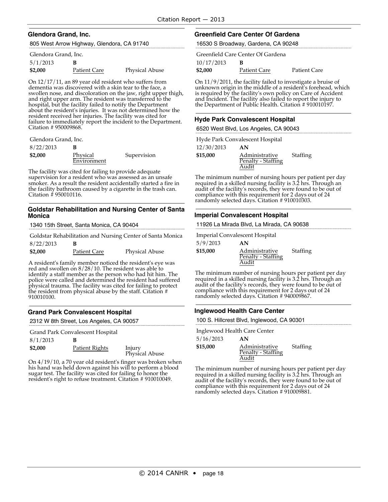#### **Glendora Grand, Inc.**

805 West Arrow Highway, Glendora, CA 91740

#### Glendora Grand, Inc.

| 5/1/2013 |                     |                       |
|----------|---------------------|-----------------------|
| \$2,000  | <b>Patient Care</b> | <b>Physical Abuse</b> |

On 12/17/11, an 89 year old resident who suffers from dementia was discovered with a skin tear to the face, a swollen nose, and discoloration on the jaw, right upper thigh, and right upper arm. The resident was transferred to the hospital, but the facility failed to notify the Department about the resident's injuries. It was not determined how the resident received her injuries. The facility was cited for failure to immediately report the incident to the Department. Citation # 950009868.

Glendora Grand, Inc.

| 8/22/2013 |                         |             |
|-----------|-------------------------|-------------|
| \$2,000   | Physical<br>Environment | Supervision |

The facility was cited for failing to provide adequate supervision for a resident who was assessed as an unsafe smoker. As a result the resident accidentally started a fire in the facility bathroom caused by a cigarette in the trash can. Citation # 950010116.

#### **Goldstar Rehabilitation and Nursing Center of Santa Monica**

1340 15th Street, Santa Monica, CA 90404

|           |              | Goldstar Rehabilitation and Nursing Center of Santa Monica |
|-----------|--------------|------------------------------------------------------------|
| 8/22/2013 |              |                                                            |
| \$2,000   | Patient Care | <b>Physical Abuse</b>                                      |

A resident's family member noticed the resident's eye was red and swollen on 8/28/10. The resident was able to identify a staff member as the person who had hit him. The police were called and determined the resident had suffered physical trauma. The facility was cited for failing to protect the resident from physical abuse by the staff. Citation # 910010100.

### **Grand Park Convalescent Hospital**

2312 W 8th Street, Los Angeles, CA 90057

Grand Park Convalescent Hospital

| 8/1/2013 |                |                          |
|----------|----------------|--------------------------|
| \$2,000  | Patient Rights | Injury<br>Physical Abuse |

On 4/19/10, a 70 year old resident's finger was broken when his hand was held down against his will to perform a blood sugar test. The facility was cited for failing to honor the resident's right to refuse treatment. Citation # 910010049.

#### **Greenfield Care Center Of Gardena**

16530 S Broadway, Gardena, CA 90248

|            | Greenfield Care Center Of Gardena |              |
|------------|-----------------------------------|--------------|
| 10/17/2013 |                                   |              |
| \$2,000    | Patient Care                      | Patient Care |

On 11/9/2011, the facility failed to investigate a bruise of unknown origin in the middle of a resident's forehead, which is required by the facility's own policy on Care of Accident and Incident. The facility also failed to report the injury to the Department of Public Health. Citation # 910010197.

#### **Hyde Park Convalescent Hospital**

6520 West Blvd, Los Angeles, CA 90043

Hyde Park Convalescent Hospital

| AN             |                    |
|----------------|--------------------|
| Administrative | <b>Staffing</b>    |
| Audit          |                    |
|                | Penalty - Staffing |

The minimum number of nursing hours per patient per day required in a skilled nursing facility is 3.2 hrs. Through an audit of the facility's records, they were found to be out of compliance with this requirement for 2 days out of 24 randomly selected days. Citation # 910010303.

#### **Imperial Convalescent Hospital**

11926 La Mirada Blvd, La Mirada, CA 90638

Imperial Convalescent Hospital

| 5/9/2013 | AN                                            |          |
|----------|-----------------------------------------------|----------|
| \$15,000 | Administrative<br>Penalty - Staffing<br>Audit | Staffing |

The minimum number of nursing hours per patient per day required in a skilled nursing facility is 3.2 hrs. Through an audit of the facility's records, they were found to be out of compliance with this requirement for 2 days out of 24 randomly selected days. Citation # 940009867.

#### **Inglewood Health Care Center**

100 S. Hillcrest Blvd, Inglewood, CA 90301

|           | Inglewood Health Care Center |          |
|-----------|------------------------------|----------|
| 5/16/2013 | AN                           |          |
| \$15,000  | Administrative               | Staffing |
|           | Penalty - Staffing           |          |
|           | Audit                        |          |

The minimum number of nursing hours per patient per day required in a skilled nursing facility is 3.2 hrs. Through an audit of the facility's records, they were found to be out of compliance with this requirement for 2 days out of 24 randomly selected days. Citation # 910009881.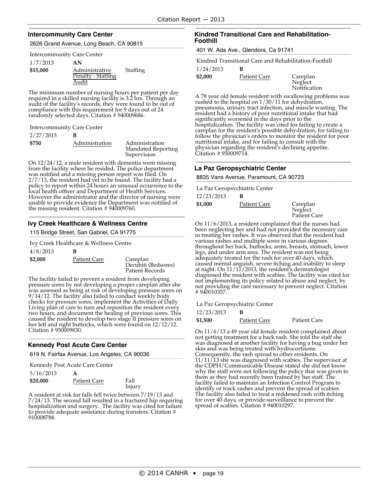#### **Intercommunity Care Center**

2626 Grand Avenue, Long Beach, CA 90815

| <b>Intercommunity Care Center</b> |  |
|-----------------------------------|--|
|-----------------------------------|--|

| 1/7/2013 | AN             |
|----------|----------------|
| \$15,000 | Administrative |

Penalty - Staffing Audit **Staffing** 

The minimum number of nursing hours per patient per day required in a skilled nursing facility is 3.2 hrs. Through an audit of the facility's records, they were found to be out of compliance with this requirement for 9 days out of 24 randomly selected days. Citation # 940009686.

Intercommunity Care Center

| 2/27/2013 |                |                                                            |
|-----------|----------------|------------------------------------------------------------|
| \$750     | Administration | Administration<br><b>Mandated Reporting</b><br>Supervision |

On 12/24/12, a male resident with dementia went missing from the facility where he resided. The police department was notified and a missing person report was filed. On 2/7/13, the resident had yet to be found. The facility had a policy to report within 24 hours an unusual occurrence to the local health officer and Department of Health Services. However the administrator and the director of nursing were unable to provide evidence the Department was notified of the missing resident. Citation # 940009760.

### **Ivy Creek Healthcare & Wellness Centre**

115 Bridge Street, San Gabriel, CA 91775

Ivy Creek Healthcare & Wellness Centre

| 4/8/2013 | в            |                                                    |
|----------|--------------|----------------------------------------------------|
| \$2,000  | Patient Care | Careplan<br>Decubiti (Bedsores)<br>Patient Records |

The facility failed to prevent a resident from developing pressure sores by not developing a proper careplan after she was assessed as being at risk of developing pressure sores on 9/14/12. The facility also failed to conduct weekly body checks for pressure sores, implement the Activities of Daily Living plan of care to turn and reposition the resident every two hours, and document the healing of previous sores. This caused the resident to develop two stage II pressure sores on her left and right buttocks, which were found on 12/12/12. Citation # 950009830.

### **Kennedy Post Acute Care Center**

619 N. Fairfax Avenue, Los Angeles, CA 90036

| A                   |                                |
|---------------------|--------------------------------|
| <b>Patient Care</b> | Fall<br>Injury                 |
|                     | Kennedy Post Acute Care Center |

A resident at risk for falls fell twice between 7/19/13 and 7/24/13. The second fall resulted in a fractured hip requiring hospitalization and surgery. The facility was cited for failure to provide adequate assistance during transfers. Citation # 910008788.

#### **Kindred Transitional Care and Rehabilitation-Foothill**

401 W. Ada Ave., Glendora, Ca 91741

Kindred Transitional Care and Rehabilitation-Foothill

1/24/2013 **B**

**\$2,000** Patient Care Careplan **Neglect** Notification

A 78 year old female resident with swallowing problems was rushed to the hospital on 1/30/11 for dehydration, pneumonia, urinary tract infection, and muscle wasting. The resident had a history of poor nutritional intake that had significantly worsened in the days prior to the hospitalization. The facility was cited for failing to create a careplan for the resident's possible dehydration, for failing to follow the physician's orders to monitor the resident for poor nutritional intake, and for failing to consult with the physician regarding the resident's declining appetite. Citation # 950009714.

#### **La Paz Geropsychiatric Center**

8835 Vans Avenue, Paramount, CA 90723

|            | La Paz Geropsychiatric Center |                         |
|------------|-------------------------------|-------------------------|
| 12/23/2013 |                               |                         |
| \$1,000    | Patient Care                  | Careplan                |
|            |                               | Neglect<br>Patient Care |

On 11/6/2013, a resident complained that the nurses had been neglecting her and had not provided the necessary care in treating her rashes. It was observed that the resident had throughout her back, buttocks, arms, breasts, stomach, lower<br>legs, and under arm area. The resident was not being adequately treated for the rash for over 40 days, which caused mental anguish, severe itching and inability to sleep at night. On 11/11/2013, the resident's dermatologist<br>diagnosed the resident with scabies. The facility was cited for diagnosed the resident with scabies. The facility was cited for<br>not implementing its policy related to abuse and neglect, by not providing the care necessary to prevent neglect. Citation # 940010357.

La Paz Geropsychiatric Center

| 12/23/2013 |              |                     |
|------------|--------------|---------------------|
| \$1,500    | Patient Care | <b>Patient Care</b> |

On 11/6/13 a 49 year old female resident complained about not getting treatment for a back rash. She told the staff she was diagnosed at another facility for having a bug under her skin and was being treated with hydrocortisone. Consequently, the rash spread to other residents. On  $11/11/13$  she was diagnosed with scabies. The supervisor at the CDPH/Communicable Disease stated she did not know why the staff were not following the policy that was given to them as they had recently been trained by her staff. The facility failed to maintain an Infection Control Program to identify or track rashes and prevent the spread of scabies. The facility also failed to treat a reddened rash with itching for over 40 days, or provide surveillance to prevent the spread of scabies. Citation # 940010297.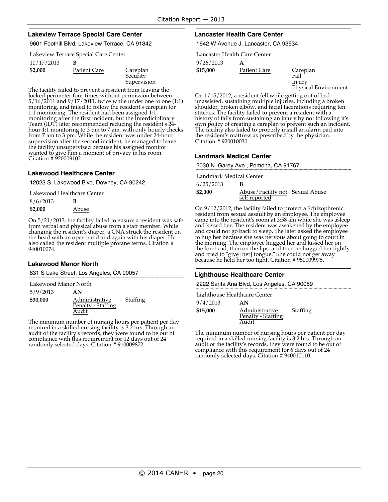#### **Lakeview Terrace Special Care Center**

9601 Foothill Blvd, Lakeview Terrace, CA 91342

Lakeview Terrace Special Care Center

| 10/17/2013 |              |                                     |
|------------|--------------|-------------------------------------|
| \$2,000    | Patient Care | Careplan<br>Security<br>Supervision |

The facility failed to prevent a resident from leaving the locked perimeter four times without permission between 5/16/2011 and 9/17/2011, twice while under one to one (1:1) monitoring, and failed to follow the resident's careplan for 1:1 monitoring. The resident had been assigned 1:1 monitoring after the first incident, but the Interdiciplinary Team (IDT) later recommended reducing the resident's 24 hour 1:1 monitoring to 3 pm to 7 am, with only hourly checks from 7 am to 3 pm. While the resident was under 24-hour supervision after the second incident, he managed to leave the facility unsupervised because his assigned monitor wanted to give him a moment of privacy in his room. Citation # 920009102.

#### **Lakewood Healthcare Center**

12023 S. Lakewood Blvd, Downey, CA 90242

Lakewood Healthcare Center

| 8/6/2013 | B     |
|----------|-------|
| \$2,000  | Abuse |

On 5/21/2013, the facility failed to ensure a resident was safe from verbal and physical abuse from a staff member. While changing the resident's diaper, a CNA struck the resident on the head with an open hand and again with his diaper. He also called the resident multiple profane terms. Citation # 940010074.

#### **Lakewood Manor North**

831 S Lake Street, Los Angeles, CA 90057

Lakewood Manor North

5/9/2013 **AN**

**\$30,000** Administrative Penalty - Staffing Audit

The minimum number of nursing hours per patient per day required in <sup>a</sup> skilled nursing facility is 3.2 hrs. Through an audit of the facility's records, they were found to be out of compliance with this requirement for 12 days out of 24 randomly selected days. Citation # 910009872.

Staffing

#### **Lancaster Health Care Center**

1642 W Avenue J, Lancaster, CA 93534

9/26/2013 **A \$15,000** Patient Care Careplan Lancaster Health Care Center

Injury Physical Environment

Fall

On 1/15/2012, a resident fell while getting out of bed unassisted, sustaining multiple injuries, including a broken shoulder, broken elbow, and facial lacerations requiring ten stitches. The facility failed to prevent a resident with a stitches. The facility failed to prevent a resident with a  $\check{ }$ <br>history of falls from sustaining an injury by not following it's<br>own policy of creating a careplan to prevent such an incident. The facility also failed to properly install an alarm pad into the resident's mattress as prescribed by the physician. Citation # 920010030.

#### **Landmark Medical Center**

2030 N. Garey Ave., Pomona, CA 91767

| Landmark Medical Center |                                                  |  |
|-------------------------|--------------------------------------------------|--|
| 6/25/2013               | в                                                |  |
| \$2,000                 | Abuse/Facility not Sexual Abuse<br>self reported |  |

On 9/12/2012, the facility failed to protect a Schizophrenic resident from sexual assault by an employee. The employee came into the resident's room at 3:58 am while she was asleep and kissed her. The resident was awakened by the employee and could not go back to sleep. She later asked the employee to hug her because she was nervous about going to court in the morning. The employee hugged her and kissed her on the forehead, then on the lips, and then he hugged her tightly and tried to "give [her] tongue." She could not get away because he held her too tight. Citation # 950009975.

#### **Lighthouse Healthcare Center**

2222 Santa Ana Blvd, Los Angeles, CA 90059

Lighthouse Healthcare Center

| 9/4/2013 | AN                                            |          |
|----------|-----------------------------------------------|----------|
| \$15,000 | Administrative<br>Penalty - Staffing<br>Audit | Staffing |

The minimum number of nursing hours per patient per day required in a skilled nursing facility is 3.2 hrs. Through an audit of the facility's records, they were found to be out of compliance with this requirement for 6 days out of 24 randomly selected days. Citation # 940010110.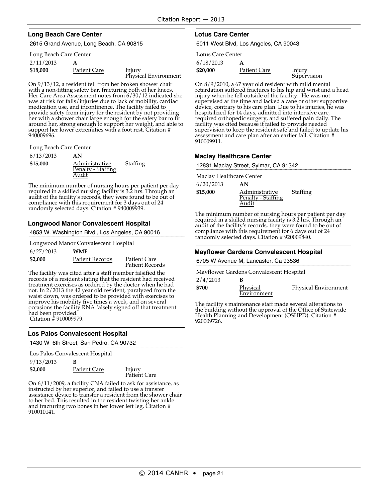### **Long Beach Care Center**

2615 Grand Avenue, Long Beach, CA 90815

#### Long Beach Care Center

| 2/11/2013 | A            |
|-----------|--------------|
| \$18,000  | Patient Care |

**Injury** Physical Environment

On 9/13/12, a resident fell from her broken shower chair with a non-fitting safety bar, fracturing both of her knees.<br>Her Care Area Assessment notes from 6/30/12 indicated she was at risk for falls/injuries due to lack of mobility, cardiac medication use, and incontinence. The facility failed to<br>provide safety from injury for the resident by not providing her with a shower chair large enough for the safety bar to fit around her, strong enough to support her weight, and able to support her lower extremities with a foot rest. Citation # 940009696.

Long Beach Care Center

#### 6/13/2013 **AN**

| $-0.1$ $-0.1$ | .                  |          |
|---------------|--------------------|----------|
| \$15,000      | Administrative     | Staffing |
|               | Penalty - Staffing |          |
|               | Audit              |          |

The minimum number of nursing hours per patient per day required in a skilled nursing facility is 3.2 hrs. Through an audit of the facility's records, they were found to be out of compliance with this requirement for 3 days out of 24 randomly selected days. Citation # 940009939.

### **Longwood Manor Convalescent Hospital**

4853 W. Washington Blvd., Los Angeles, CA 90016

Longwood Manor Convalescent Hospital

| 6/27/2013 | <b>WMF</b>      |                                        |
|-----------|-----------------|----------------------------------------|
| \$2,000   | Patient Records | Patient Care<br><b>Patient Records</b> |

The facility was cited after a staff member falsified the records of a resident stating that the resident had received treatment exercises as ordered by the doctor when he had not. In 2/2013 the 42 year old resident, paralyzed from the waist down, was ordered to be provided with exercises to improve his mobility five times a week, and on several occasions the facility RNA falsely signed off that treatment had been provided. Citation # 910009979.

### **Los Palos Convalescent Hospital**

1430 W 6th Street, San Pedro, CA 90732

| Los Palos Convalescent Hospital |                     |                        |
|---------------------------------|---------------------|------------------------|
| 9/13/2013                       | в                   |                        |
| \$2,000                         | <b>Patient Care</b> | Injury<br>Patient Care |

On 6/11/2009, a facility CNA failed to ask for assistance, as instructed by her superior, and failed to use a transfer assistance device to transfer a resident from the shower chair to her bed. This resulted in the resident twisting her ankle and fracturing two bones in her lower left leg. Citation # 910010141.

### **Lotus Care Center**

6011 West Blvd, Los Angeles, CA 90043

| Lotus Care Center |   |
|-------------------|---|
| 6/18/2013         | A |

| \$20,000     | Injury      |
|--------------|-------------|
| Patient Care | Supervision |

On 8/9/2010, a 67 year old resident with mild mental retardation suffered fractures to his hip and wrist and a head injury when he fell outside of the facility. He was not device, contrary to his care plan. Due to his injuries, he was hospitalized for 14 days, admitted into intensive care, required orthopedic surgery, and suffered pain daily. The facility was cited because it failed to provide needed supervision to keep the resident safe and failed to update his assessment and care plan after an earlier fall. Citation # 910009911.

#### **Maclay Healthcare Center**

12831 Maclay Street, Sylmar, CA 91342

Maclay Healthcare Center

| 6/20/2013 | AN             |
|-----------|----------------|
| \$15,000  | Administrative |

Audit

Penalty - Staffing Staffing

The minimum number of nursing hours per patient per day required in a skilled nursing facility is 3.2 hrs. Through an audit of the facility's records, they were found to be out of compliance with this requirement for 6 days out of 24 randomly selected days. Citation # 920009840.

#### **Mayflower Gardens Convalescent Hospital**

6705 W Avenue M, Lancaster, Ca 93536

Mayflower Gardens Convalescent Hospital

| 2/4/2013 |             |                      |
|----------|-------------|----------------------|
| \$700    | Physical    | Physical Environment |
|          | Environment |                      |

The facility's maintenance staff made several alterations to the building without the approval of the Office of Statewide Health Planning and Development (OSHPD). Citation # 920009726.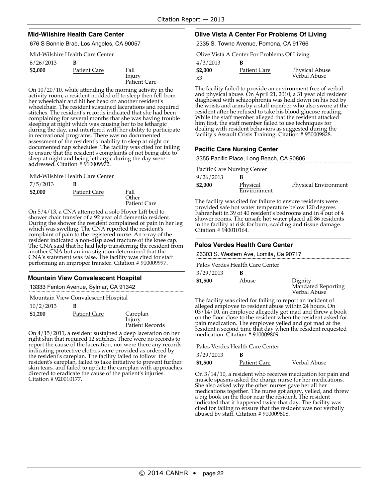#### **Mid-Wilshire Health Care Center**

676 S Bonnie Brae, Los Angeles, CA 90057

#### Mid-Wilshire Health Care Center

| 6/26/2013 | ĸ            |                                |
|-----------|--------------|--------------------------------|
| \$2,000   | Patient Care | Fall<br>Injury<br>Patient Care |

On 10/20/10, while attending the morning activity in the activity room, a resident nodded off to sleep then fell from her wheelchair and hit her head on another̃ resident's<br>wheelchair. The resident sustained lacerations and required stitches. The resident's records indicated that she had been complaining for several months that she was having trouble<br>sleeping at night which was causing her to be lethargic during the day, and interfered with her ability to participate in recreational programs. There was no documented assessment of the resident's inability to sleep at night or documented nap schedules. The facility was cited for failing to ensure that the resident's complaints of not being able to sleep at night and being lethargic during the day were addressed. Citation # 910009972.

Mid-Wilshire Health Care Center

| 7/5/2013 | в                   |                                      |
|----------|---------------------|--------------------------------------|
| \$2,000  | <b>Patient Care</b> | Fall<br>Other<br><b>Patient Care</b> |

On 5/4/13, a CNA attempted a solo Hoyer Lift bed to shower chair transfer of a 92 year old dementia resident. During the shower the resident complained of pain in her leg which was swelling. The CNA reported the resident's complaint of pain to the registered nurse. An x-ray of the resident indicated a non-displaced fracture of the knee cap. The CNA said that he had help transferring the resident from another CNA but an investigation determined that the CNA's statement was false. The facility was cited for staff performing an improper transfer. Citation # 910009997.

### **Mountain View Convalescent Hospital**

13333 Fenton Avenue, Sylmar, CA 91342

10/2/2013 **B** Mountain View Convalescent Hospital

| 10/2/201 |              |                                       |
|----------|--------------|---------------------------------------|
| \$1,200  | Patient Care | Careplan<br>Injury<br>Patient Records |
|          |              |                                       |

On 4/15/2011, a resident sustained a deep laceration on her right shin that required 12 stitches. There were no records to report the cause of the laceration, nor were there any records indicating protective clothes were provided as ordered by the resident's careplan. The facility failed to follow the resident's careplan, failed to take initiative to prevent further directed to eradicate the cause of the patient's injuries. Citation # 920010177.

### **Olive Vista A Center For Problems Of Living**

2335 S. Towne Avenue, Pomona, CA 91766

Olive Vista A Center For Problems Of Living

| 4/3/2013 |              |                |
|----------|--------------|----------------|
| \$2,000  | Patient Care | Physical Abuse |
| xЗ       |              | Verbal Abuse   |

The facility failed to provide an environment free of verbal and physical abuse. On April 21, 2010, a 31 year old resident diagnosed with schizophrenia was held down on his bed by the wrists and arms by a staff member who also swore at the resident after he refused to take his blood glucose reading. While the staff member alleged that the resident attacked him first, the staff member failed to use techniques for dealing with resident behaviors as suggested during the facility's Assault Crisis Training. Citation # 950009828.

#### **Pacific Care Nursing Center**

3355 Pacific Place, Long Beach, CA 90806

Pacific Care Nursing Center

| 9/26/2013 |                         |                             |
|-----------|-------------------------|-----------------------------|
| \$2,000   | Physical<br>Environment | <b>Physical Environment</b> |

The facility was cited for failure to ensure residents were provided safe hot water temperature below 120 degrees Fahrenheit in 39 of 40 resident's bedrooms and in 4 out of 4 shower rooms. The unsafe hot water placed all 86 residents in the facility at risk for burn, scalding and tissue damage. Citation # 940010164.

#### **Palos Verdes Health Care Center**

26303 S. Western Ave, Lomita, Ca 90717

Palos Verdes Health Care Center

| 3/29/2013 |       |                                               |
|-----------|-------|-----------------------------------------------|
| \$1,500   | Abuse | Dignity<br>Mandated Reporting<br>Verbal Abuse |

The facility was cited for failing to report an incident of alleged employee to resident abuse within 24 hours. On 03/14/10, an employee allegedly got mad and threw a book on the floor close to the resident when the resident asked for pain medication. The employee yelled and got mad at the resident a second time that day when the resident requested medication. Citation # 910009809.

Palos Verdes Health Care Center

| 3/29/2013 | B |
|-----------|---|
|-----------|---|

**\$1,500** Patient Care Verbal Abuse

On 3/14/10, a resident who receives medication for pain and muscle spasms asked the charge nurse for her medications. She also asked why the other nurses gave her all her medications together. The nurse got angry, yelled, and threw a big book on the floor near the resident. The resident indicated that it happened twice that day. The facility was cited for failing to ensure that the resident was not verbally abused by staff. Citation # 910009808.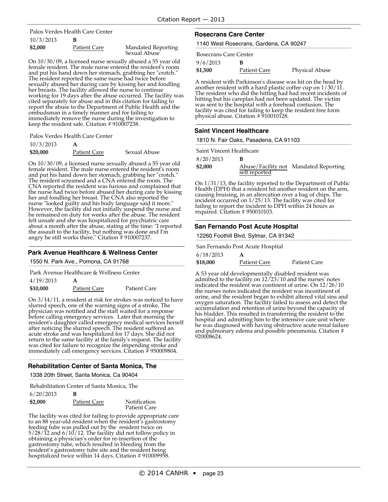# 10/3/2013 **B** Palos Verdes Health Care Center

| \$2,000 | Patient Care | <b>Mandated Reporting</b> |
|---------|--------------|---------------------------|
|         |              | Sexual Abuse              |

On 10/30/09, a licensed nurse sexually abused a 55 year old and put his hand down her stomach, grabbing her "crotch." The resident reported the same nurse had twice before sexually abused her during care by kissing her and fondling her breasts. The facility allowed the nurse to continue working for <sup>19</sup> days after the abuse occurred. The facility was cited separately for abuse and in this citation for failing to report the abuse to the Department of Public Health and the ombudsman in a timely manner and for failing to immediately remove the nurse during the investigation to keep the resident safe. Citation #910007238.

Palos Verdes Health Care Center

| 10/3/2013 | A                   |              |
|-----------|---------------------|--------------|
| \$20,000  | <b>Patient Care</b> | Sexual Abuse |

On 10/30/09, a licensed nurse sexually abused a 55 year old female resident. The male nurse entered the resident's room and put his hand down her stomach, grabbing her "crotch." The resident screamed and a CNA entered the room. The CNA reported the resident was furious and complained that the nurse had twice before abused her during care by kissing her and fondling her breast. The CNA also reported the nurse "looked guilty and his body language said it more." However, the facility did not initially suspend the nurse and he remained on duty for weeks after the abuse. The resident felt unsafe and she was hospitalized for psychiatric care about a month after the abuse, stating at the time: "I reported the assault to the facility, but nothing was done and I'm angry he still works there." Citation # 910007237.

#### **Park Avenue Healthcare & Wellness Center**

1550 N. Park Ave., Pomona, CA 91768

Park Avenue Healthcare & Wellness Center

| 4/19/2013 |              |                     |
|-----------|--------------|---------------------|
| \$10,000  | Patient Care | <b>Patient Care</b> |

On 3/14/11, a resident at risk for strokes was noticed to have slurred speech, one of the warning signs of a stroke. The physician was notified and the staff waited for a response before calling emergency services. Later that morning the resident's daughter called emergency medical services herself after noticing the slurred speech. The resident suffered an acute stroke and was hospitalized for 17 days. She did not return to the same facility at the family's request. The facility was cited for failure to recognize the impending stroke and immediately call emergency services. Citation # 950009804.

# **Rehabilitation Center of Santa Monica, The**

1338 20th Street, Santa Monica, Ca 90404

|           |   | Rehabilitation Center of Santa Monica, The |
|-----------|---|--------------------------------------------|
| 6/20/2013 | B |                                            |

| $-0.7 - 0.7 - 0.00$ |              |                                     |
|---------------------|--------------|-------------------------------------|
| \$2,000             | Patient Care | Notification<br><b>Patient Care</b> |
|                     |              |                                     |

The facility was cited for failing to provide appropriate care to an 88 year-old resident when the resident's gastrostomy feeding tube was pulled out by the resident twice on 5/28/12 and 6/10/12. The facility did not follow policy in obtaining a physician's order for re-insertion of the gastrostomy tube, which resulted in bleeding from the resident's gastrostomy tube site and the resident being hospitalized twice within 14 days. Citation # 910009958.

### **Rosecrans Care Center**

1140 West Rosecrans, Gardena, CA 90247

| Rosecrans Care Center |              |                       |
|-----------------------|--------------|-----------------------|
| 9/6/2013              | в            |                       |
| \$1,500               | Patient Care | <b>Physical Abuse</b> |

A resident with Parkinson's disease was hit on the head by another resident with a hard plastic coffee cup on 1/30/11. The resident who did the hitting had had recent incidents of hitting but his careplan had not been updated. The victim was sent to the hospital with a forehead contusion. The facility was cited for failing to keep the resident free form physical abuse. Citation # 910010128.

### **Saint Vincent Healthcare**

### 1810 N. Fair Oaks, Pasadena, CA 91103

Saint Vincent Healthcare

| 8/20/2013 |               |                                       |
|-----------|---------------|---------------------------------------|
| \$2,000   |               | Abuse/Facility not Mandated Reporting |
|           | self reported |                                       |

On 1/31/13, the facility reported to the Department of Public Health (DPH) that a resident hit another resident on the arm, causing bruising, in an altercation over a bag of chips. The incident occurred on 1/25/13. The facility was cited for failing to report the incident to DPH within 24 hours as required. Citation # 950010103.

#### **San Fernando Post Acute Hospital**

12260 Foothill Blvd, Sylmar, CA 91342

San Fernando Post Acute Hospital

| 6/18/2013 |                     |              |
|-----------|---------------------|--------------|
| \$18,000  | <b>Patient Care</b> | Patient Care |

A 53 year old developmentally disabled resident was admitted to the facility on 12/23/10 and the nurses' notes indicated the resident was continent of urine. On 12/26/10 the nurses notes indicated the resident was incontinent of urine, and the resident began to exhibit altered vital sins and oxygen saturation. The facility failed to assess and detect the accumulation and retention of urine beyond the capacity of his bladder. This resulted in transferring the resident to the hospital and admitting him to the intensive care unit where he was diagnosed with having obstructive acute renal failure and pulmonary edema and possible pneumonia. Citation # 920008624.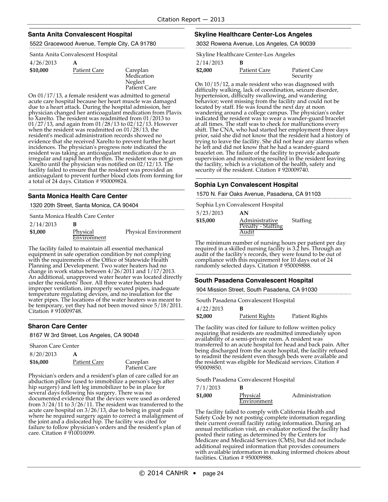#### **Santa Anita Convalescent Hospital**

5522 Gracewood Avenue, Temple City, CA 91780

Santa Anita Convalescent Hospital

| 4/26/2013 | A |  |
|-----------|---|--|
|           |   |  |

| Careplan  |
|-----------|
| Medicatio |
| Neglect   |
|           |

Medication Neglect Patient Care

On 01/17/13, a female resident was admitted to general acute care hospital because her heart muscle was damaged due to a heart attack. During the hospital admission, her physician changed her anticoagulant medication from Plavix to Xarelto. The resident was readmitted from 01/2013 to 01/27/13, and again from 01/28/13 to 02/12/13. However when the resident was readmitted on 01/28/13, the resident's medical administration records showed no evidence that she received Xarelto to prevent further heart incidences. The physician's progress note indicated the resident was taking an anticoagulant medication due to an irregular and rapid heart rhythm. The resident was not given Xarelto until the physician was notified on 02/12/13. The facility failed to ensure that the resident was provided an anticoagulant to prevent further blood clots from forming for a total of 24 days. Citation # 950009824.

#### **Santa Monica Health Care Center**

1320 20th Street, Santa Monica, CA 90404

Santa Monica Health Care Center

| 2/14/2013 |             |                      |
|-----------|-------------|----------------------|
| \$1,000   | Physical    | Physical Environment |
|           | Environment |                      |

The facility failed to maintain all essential mechanical equipment in safe operation condition by not complying with the requirements of the Office of Statewide Health Planning and Development. Two water heaters had no change in work status between 4/26/2011 and 1/17/2013. An additional, unapproved water heater was located directly under the residents' floor. All three water heaters had improper ventilation, improperly secured pipes, inadequate temperature regulating devices, and no insulation for the water pipes. The locations of the water heaters was meant to be temporary, yet they had not been moved since 5/18/2011. Citation # 910009748.

### **Sharon Care Center**

|                           | 8167 W 3rd Street, Los Angeles, CA 90048 |
|---------------------------|------------------------------------------|
| <b>Sharon Care Center</b> |                                          |
| 0/20/2012                 |                                          |

| 8/20/2013 |              |                          |
|-----------|--------------|--------------------------|
| \$16,000  | Patient Care | Careplan<br>Patient Care |

Physician's orders and a resident's plan of care called for an abduction pillow (used to immobilize a person's legs after hip surgery) and left leg immobilizer to be in place for several days following his surgery. There was no documented evidence that the devices were used as ordered from  $3/24/11$  to  $3/26/11$ . The resident was transferred to the acute care hospital on 3/26/13, due to being in great pain where he required surgery again to correct a malalignment of the joint and a dislocated hip. The facility was cited for failure to follow physician's orders and the resident's plan of care. Citation # 910010099.

#### **Skyline Healthcare Center-Los Angeles**

3032 Rowena Avenue, Los Angeles, CA 90039

Skyline Healthcare Center-Los Angeles

2/14/2013 **B**

| \$2,000 | <b>Patient Care</b> | <b>Patient Care</b> |
|---------|---------------------|---------------------|
|         |                     | Security            |
|         |                     |                     |

On 10/15/12, a male resident who was diagnosed with difficulty walking, lack of coordination, seizure disorder, hypertension, difficulty swallowing, and wandering<br>behavior; went missing from the facility and could not be located by staff. He was found the next day at noon wandering around <sup>a</sup> college campus. The physician's order indicated the resident was to wear a wander-guard bracelet shift. The CNA, who had started her employment three days prior, said she did not know that the resident had a history of trying to leave the facility. She did not hear any alarms when he left and did not know that he had a wander-guard bracelet on. The failure of the facility to provide adequate supervision and monitoring resulted in the resident leaving the facility, which is a violation of the health, safety and security of the resident. Citation #920009740.

#### **Sophia Lyn Convalescent Hospital**

1570 N. Fair Oaks Avenue, Pasadena, CA 91103

Sophia Lyn Convalescent Hospital

| 5/23/2013 | AN                                   |                 |
|-----------|--------------------------------------|-----------------|
| \$15,000  | Administrative<br>Penalty - Staffing | <b>Staffing</b> |
|           | Audit                                |                 |

The minimum number of nursing hours per patient per day required in a skilled nursing facility is 3.2 hrs. Through an audit of the facility's records, they were found to be out of compliance with this requirement for 10 days out of 24 randomly selected days. Citation # 950009888.

#### **South Pasadena Convalescent Hospital**

904 Mission Street, South Pasadena, CA 91030

South Pasadena Convalescent Hospital

| 4/22/2013 | В |      |
|-----------|---|------|
|           |   | $ -$ |

| \$2,000 | Patient Rights | Patient Rights |
|---------|----------------|----------------|
|         |                |                |

The facility was cited for failure to follow written policy<br>requiring that residents are readmitted immediately upon availability of a semi-private room. A resident was transferred to an acute hospital for head and back pain. After being discharged from the acute hospital, the facility refused to readmit the resident even though beds were available and the resident was eligible for Medicaid services. Citation # 950009850.

South Pasadena Convalescent Hospital

| 7/1/2013 |             |                |
|----------|-------------|----------------|
| \$1,000  | Physical    | Administration |
|          | Environment |                |

The facility failed to comply with California Health and Safety Code by not posting complete information regarding their current overall facility rating information. During an annual rectification visit, an evaluator noticed the facility had posted their rating as determined by the Centers for Medicare and Medicaid Services (CMS), but did not include additional required information that provides consumers with available information in making informed choices about facilities. Citation # 950009988.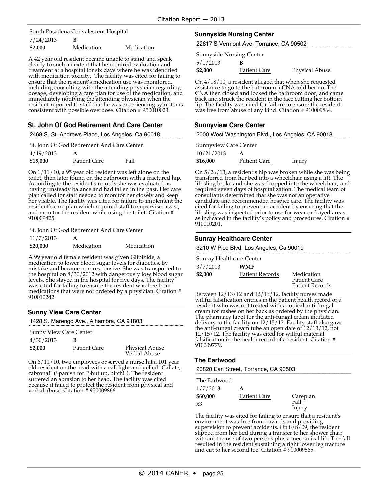7/24/2013 **B** South Pasadena Convalescent Hospital

| \$2,000 | Medication | Medication |
|---------|------------|------------|
|         |            |            |

A 42 year old resident became unable to stand and speak clearly to such an extent that he required evaluation and treatment at a hospital for six days where he was identified with medication toxicity. The facility was cited for failing to ensure that the resident's medication use was monitored. including consulting with the attending physician regarding dosage, developing a care plan for use of the medication, and immediately notifying the attending physician when the resident reported to staff that he was experiencing symptoms consistent with possible overdose. Citation # 950010023.

### **St. John Of God Retirement And Care Center**

2468 S. St. Andrews Place, Los Angeles, Ca 90018

| St. John Of God Retirement And Care Center |  |
|--------------------------------------------|--|
|--------------------------------------------|--|

| 4/19/2013 | А            |      |
|-----------|--------------|------|
| \$15,000  | Patient Care | Fall |

On 1/11/10, a 95 year old resident was left alone on the According to the resident's records she was evaluated as having unsteady balance and had fallen in the past. Her care plan called for staff needed to monitor her closely and keep her visible. The facility was cited for fai resident's care plan which required staff to supervise, assist, and monitor the resident while using the toilet. Citation # 910009825.

St. John Of God Retirement And Care Center

| 11/7/2013 | А          |            |
|-----------|------------|------------|
| \$20,000  | Medication | Medication |

A 99 year old female resident was given Glipizide, a medication to lower blood sugar levels for diabetics, by mistake and became non-responsive. She was transported to the hospital on  $8/30/2012$  with dangerously low blood sugar levels. She stayed in the hospital for five days. The facility was cited for failing to ensure the resident was free from medications that were not ordered by a physician. Citation # 910010242.

### **Sunny View Care Center**

1428 S. Marengo Ave., Alhambra, CA 91803

Sunny View Care Center

| 4/30/2013 | B                   |
|-----------|---------------------|
| \$2,000   | <b>Patient Care</b> |

**Physical Abuse** Verbal Abuse

On 6/11/10, two employees observed a nurse hit a 101 year<br>old resident on the head with a call light and yelled "Callate, cabrona!" (Spanish for "Shut up, bitch!"). The resident suffered an abrasion to her head. The facility was cited because it failed to protect the resident from physical and verbal abuse. Citation # 950009866.

### **Sunnyside Nursing Center**

22617 S Vermont Ave, Torrance, CA 90502

|          | <b>Sunnyside Nursing Center</b> |                       |
|----------|---------------------------------|-----------------------|
| 5/1/2013 |                                 |                       |
| \$2,000  | Patient Care                    | <b>Physical Abuse</b> |

On 4/18/10, a resident alleged that when she requested assistance to go to the bathroom a CNA told her no. The CNA then closed and locked the bathroom door, and came back and struck the resident in the face cutting her bottom lip. The facility was cited for failure to ensure the resident was free from abuse of any kind. Citation # 910009864.

### **Sunnyview Care Center**

2000 West Washington Blvd., Los Angeles, CA 90018

| <b>Sunnyview Care Center</b> |              |        |
|------------------------------|--------------|--------|
| 10/21/2013                   | А            |        |
| \$16,000                     | Patient Care | Injury |

On 5/26/13, <sup>a</sup> resident's hip was broken while she was being transferred from her bed into <sup>a</sup> wheelchair using <sup>a</sup> lift. The lift sling broke and she was dropped into the wheelchair, and required seven days of hospitalization. The medical team of consultants determined that she was not an operative candidate and recommended hospice care. The facility was cited for failing to prevent an accident by ensuring that the lift sling was inspected prior to use for wear or as indicated in the facility's policy and procedures. Citation # 910010201.

### **Sunray Healthcare Center**

3210 W Pico Blvd, Los Angeles, Ca 90019

| Sunray Healthcare Center |                 |                     |
|--------------------------|-----------------|---------------------|
| 3/7/2013                 | WMF             |                     |
| \$2,000                  | Patient Records | Medication          |
|                          |                 | <b>Patient Care</b> |
|                          |                 | Patient Records     |

Between  $12/13/12$  and  $12/15/12$ , facility nurses made willful falsification entries in the patient health record of a resident who was not treated with a topical anti-fungal cream for rashes on her back as ordered by the physician. The pharmacy label for the anti-fungal cream indicated delivery to the facility on 12/15/12. Facility staff also gave the anti-fungal cream tube an open date of 12/13/12, not 12/15/12. The facility was cited for willful material falsification in the health record of a resident. Citation # 910009779.

### **The Earlwood**

20820 Earl Street, Torrance, CA 90503

| The Earlwood |              |                  |
|--------------|--------------|------------------|
| 1/7/2013     | А            |                  |
| \$60,000     | Patient Care | Careplan<br>Fall |
| xЗ           |              | Injury           |

The facility was cited for failing to ensure that a resident's environment was free from hazards and providing supervision to prevent accidents. On 8/8/09, the resident slipped from her bed during a transfer to her shower chair without the use of two persons plus a mechanical lift. The fall resulted in the resident sustaining a right lower leg fracture and cut to her second toe. Citation # 910009565.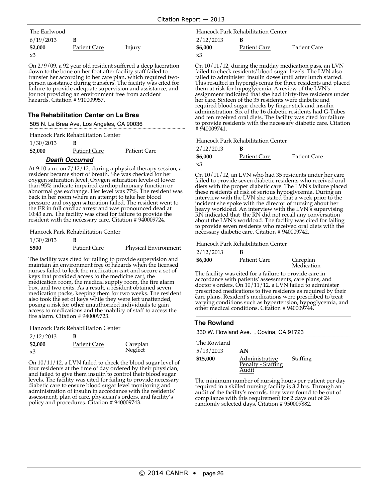| The Earlwood |              |        |
|--------------|--------------|--------|
| 6/19/2013    | в            |        |
| \$2,000      | Patient Care | Injury |
| x3           |              |        |

On 2/9/09, a 92 year old resident suffered a deep laceration down to the bone on her foot after facility staff failed to transfer her according to her care plan, which required twoperson assistance during transfers. The facility was cited for failure to provide adequate supervision and assistance, and for not providing an environment free from accident hazards. Citation # 910009957.

### **The Rehabilitation Center on La Brea**

505 N. La Brea Ave, Los Angeles, CA 90036

|           |   | Hancock Park Rehabilitation Center |
|-----------|---|------------------------------------|
| 1/30/2013 | B |                                    |

| \$2,000 | <b>Patient Care</b>    | <b>Patient Care</b> |
|---------|------------------------|---------------------|
|         | <b>B</b> IL <b>A</b> 1 |                     |

#### **Death Occurred**

At 9:10 a.m. on 7/12/12, during a physical therapy session, a resident became short of breath. She was checked for her oxygen saturation level. Oxygen saturation levels of lower than 95% indicate impaired cardiopulmonary function or abnormal gas exchange. Her level was 77%. The resident was back in her room where an attempt to take her blood pressure and oxygen saturation failed. The resident went to the ER in full cardiac arrest and was pronounced dead at 10:43 a.m. The facility was cited for failure to provide the resident with the necessary care. Citation # 940009724.

Hancock Park Rehabilitation Center

# 1/30/2013 **B**

**\$500** Patient Care Physical Environment

The facility was cited for failing to provide supervision and maintain an environment free of hazards when the licensed nurses failed to lock the medication cart and secure a set of keys that provided access to the medicine cart, the medication room, the medical supply room, the fire alarm box, and two exits. As a result, a resident obtained seven medication packs, keeping them for two weeks. The resident also took the set of keys while they were left unattended, posing a risk for other unauthorized individuals to gain access to medications and the inability of staff to access the fire alarm. Citation # 940009723.

Hancock Park Rehabilitation Center

| 2/12/2013 | B                   |          |
|-----------|---------------------|----------|
| \$2,000   | <b>Patient Care</b> | Careplan |
| x3        |                     | Neglect  |

On 10/11/12, a LVN failed to check the blood sugar level of four residents at the time of day ordered by their physician, and failed to give them insulin to control their blood sugar levels. The facility was cited for failing to provide necessary diabetic care to ensure blood sugar level monitoring and administration of insulin in accordance with the residents' assessment, plan of care, physician's orders, and facility's policy and procedures. Citation # 940009743.

2/12/2013 **B** Hancock Park Rehabilitation Center

| ----------- |                     |                     |
|-------------|---------------------|---------------------|
| \$6,000     | <b>Patient Care</b> | <b>Patient Care</b> |
| x3          |                     |                     |

On 10/11/12, during the midday medication pass, an LVN failed to check residents' blood sugar levels. The LVN also failed to administer insulin doses until after lunch started. This resulted in hyperglycemia for three residents and placed them at risk for hypoglycemia. A review of the LVN's assignment indicated that she had thirty-five residents under her care. Sixteen of the 35 residents were diabetic and required blood sugar checks by finger stick and insulin administration. Six of the 16 diabetic residents had G-Tubes and ten received oral diets. The facility was cited for failure to provide residents with the necessary diabetic care. Citation # 940009741.

Hancock Park Rehabilitation Center

| 2/12/2013 |              |              |
|-----------|--------------|--------------|
| \$6,000   | Patient Care | Patient Care |
| xЗ        |              |              |

On 10/11/12, an LVN who had 35 residents under her care failed to provide seven diabetic residents who received oral diets with the proper diabetic care. The LVN's failure placed these residents at risk of serious hypoglycemia. During an interview with the LVN she stated that a week prior to the incident she spoke with the director of nursing about her heavy workload. An interview with the LVN's supervising RN indicated that the RN did not recall any conversation about the LVN's workload. The facility was cited for failing to provide seven residents who received oral diets with the necessary diabetic care. Citation # 940009742.

Hancock Park Rehabilitation Center

| 2/12/2013 | В            |                        |
|-----------|--------------|------------------------|
| \$6,000   | Patient Care | Careplan<br>Medication |

The facility was cited for a failure to provide care in accordance with patients' assessments, care plans, and doctor's orders. On 10/11/12, a LVN failed to administer prescribed medications to five residents as required by their care plans. Resident's medications were prescribed to treat varying conditions such as hypertension, hypoglycemia, and other medical conditions. Citation # 940009744.

#### **The Rowland**

330 W. Rowland Ave. , Covina, CA 91723

| The Rowland |                                      |          |
|-------------|--------------------------------------|----------|
| 5/13/2013   | AN                                   |          |
| \$15,000    | Administrative<br>Penalty - Staffing | Staffing |
|             | Audit                                |          |

The minimum number of nursing hours per patient per day required in a skilled nursing facility is 3.2 hrs. Through an audit of the facility's records, they were found to be out of compliance with this requirement for 2 days out of 24 randomly selected days. Citation # 950009882.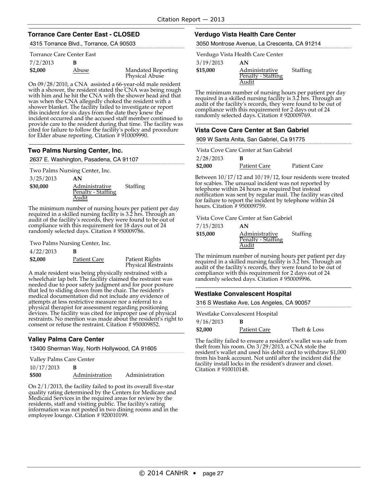#### **Torrance Care Center East - CLOSED**

4315 Torrance Blvd., Torrance, CA 90503

#### Torrance Care Center East

| 7/2/2013 |       |                                      |
|----------|-------|--------------------------------------|
| \$2,000  | Abuse | Mandated Reporting<br>Physical Abuse |

On 09/28/2010, a CNA assisted a 66-year-old male resident with a shower, the resident stated the CNA was being rough with him and he hit the CNA with the shower head and that<br>was when the CNA allegedly choked the resident with a<br>shower blanket. The facility failed to investigate or report<br>this incident for six days from the date they kne incident occurred and the accused staff member continued to provide care to the resident during that time. The facility was cited for failure to follow the facility's policy and procedure for Elder abuse reporting. Citation # 910009990.

#### **Two Palms Nursing Center, Inc.**

2637 E. Washington, Pasadena, CA 91107

Two Palms Nursing Center, Inc.

| 3/25/2013 | AN                                            |                 |
|-----------|-----------------------------------------------|-----------------|
| \$30,000  | Administrative<br>Penalty - Staffing<br>Audit | <b>Staffing</b> |

The minimum number of nursing hours per patient per day required in a skilled nursing facility is 3.2 hrs. Through an audit of the facility's records, they were found to be out of compliance with this requirement for 18 days out of 24 randomly selected days. Citation # 950009786.

Two Palms Nursing Center, Inc.

| 4/22/2013 |                     |                       |
|-----------|---------------------|-----------------------|
| \$2,000   | <b>Patient Care</b> | <b>Patient Rights</b> |

Physical Restraints

A male resident was being physically restrained with a wheelchair lap belt. The facility claimed the restraint was needed due to poor safety judgment and for poor posture that led to sliding down from the chair. The resident's medical documentation did not include any evidence of attempts at less restrictive measure nor a referral to a physical therapist for assessment regarding positioning devices. The facility was cited for improper use of physical restraints. No mention was made about the resident's right to consent or refuse the restraint. Citation # 950009852.

### **Valley Palms Care Center**

|                          | 13400 Sherman Way, North Hollywood, CA 91605 |
|--------------------------|----------------------------------------------|
| Valley Palms Care Center |                                              |
| 10/17/2013               |                                              |

| \$500 | Administration | Administration |
|-------|----------------|----------------|
|       |                |                |

On 2/1/2013, the facility failed to post its overall five-star quality rating determined by the Centers for Medicare and Medicaid Services in the required areas for review by the residents, staff and visiting public. The facility's rating information was not posted in two dining rooms and in the employee lounge. Citation #920010199.

#### **Verdugo Vista Health Care Center**

3050 Montrose Avenue, La Crescenta, CA 91214

Verdugo Vista Health Care Center

| 3/19/2013 | AN                                   |          |
|-----------|--------------------------------------|----------|
| \$15,000  | Administrative<br>Penalty - Staffing | Staffing |
|           | Audit                                |          |

The minimum number of nursing hours per patient per day required in a skilled nursing facility is 3.2 hrs. Through an audit of the facility's records, they were found to be out of compliance with this requirement for 2 days out of 24 randomly selected days. Citation # 920009769.

#### **Vista Cove Care Center at San Gabriel**

909 W Santa Anita, San Gabriel, Ca 91775

|           | Vista Cove Care Center at San Gabriel |              |
|-----------|---------------------------------------|--------------|
| 2/28/2013 |                                       |              |
| \$2,000   | Patient Care                          | Patient Care |

Between 10/17/12 and 10/19/12, four residents were treated for scabies. The unusual incident was not reported by telephone within 24 hours as required but instead notification was sent by regular mail. The facility was cited for failure to report the incident by telephone within 24 hours. Citation # 950009759.

Vista Cove Care Center at San Gabriel

| 7/15/2013 | AN                                            |          |
|-----------|-----------------------------------------------|----------|
| \$15,000  | Administrative<br>Penalty - Staffing<br>Audit | Staffing |

The minimum number of nursing hours per patient per day required in a skilled nursing facility is 3.2 hrs. Through an audit of the facility's records, they were found to be out of compliance with this requirement for 2 days out of 24 randomly selected days. Citation # 950009996.

#### **Westlake Convalescent Hospital**

Westlake Convalescent Hospital

| 9/16/2013 |              |              |
|-----------|--------------|--------------|
| \$2,000   | Patient Care | Theft & Loss |

The facility failed to ensure a resident's wallet was safe from theft from his room. On 3/29/2013, a CNA stole the resident's wallet and used his debit card to withdraw \$1,000 from his bank account. Not until after the incident did the facility install locks in the resident's drawer and closet. Citation # 910010148.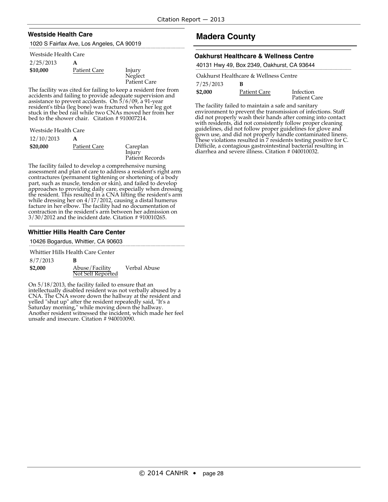### **Westside Health Care**

1020 S Fairfax Ave, Los Angeles, CA 90019

#### Westside Health Care

| 2/25/2013 | A                   |
|-----------|---------------------|
| \$10,000  | <b>Patient Care</b> |

**Injury Neglect** Patient Care

The facility was cited for failing to keep a resident free from accidents and failing to provide adequate supervision and assistance to prevent accidents. On 5/6/09, a 91-year resident's tibia (leg bone) was fractured when her leg got stuck in the bed rail while two CNAs moved her from her bed to the shower chair. Citation # 910007214.

| 12/10/2013 | A           |
|------------|-------------|
| \$20,000   | Patient Car |
|            |             |

<u>re</u> Careplan Injury Patient Records

The facility failed to develop a comprehensive nursing assessment and plan of care to address a resident's right arm contractures (permanent tightening or shortening of a body part, such as muscle, tendon or skin), and failed to develop approaches to providing daily care, especially when dressing the resident. This resulted in a CNA lifting the resident's arm while dressing her on 4/17/2012, causing a distal humerus facture in her elbow. The facility had no documentation of contraction in the resident's arm between her admission on 3/30/2012 and the incident date. Citation # 910010265.

# **Whittier Hills Health Care Center**

10426 Bogardus, Whittier, CA 90603

Whittier Hills Health Care Center

8/7/2013 **B \$2,000** Abuse/Facility Not Self Reported Verbal Abuse

On 5/18/2013, the facility failed to ensure that an intellectually disabled resident was not verbally abused by a CNA. The CNA swore down the hallway at the resident and yelled "shut up" after the resident repeatedly said, "It's a Saturday morning," while moving down the hallway. Another resident witnessed the incident, which made her feel unsafe and insecure. Citation # 940010090.

# **Madera County**

#### **Oakhurst Healthcare & Wellness Centre**

|  | 40131 Hwy 49, Box 2349, Oakhurst, CA 93644 |  |  |  |
|--|--------------------------------------------|--|--|--|
|  |                                            |  |  |  |

|           | Oakhurst Healthcare & Wellness Centre |                           |
|-----------|---------------------------------------|---------------------------|
| 7/25/2013 | в                                     |                           |
| \$2,000   | Patient Care                          | Infection<br>Patient Care |

The facility failed to maintain a safe and sanitary environment to prevent the transmission of infections. Staff did not properly wash their hands after coming into contact with residents, did not consistently follow proper cleaning guidelines, did not follow proper guidelines for glove and gown use, and did not properly handle contaminated linens. These violations resulted in 7 residents testing positive for C. Difficile, a contagious gastrointestinal bacterial resulting in diarrhea and severe illness. Citation # 040010032.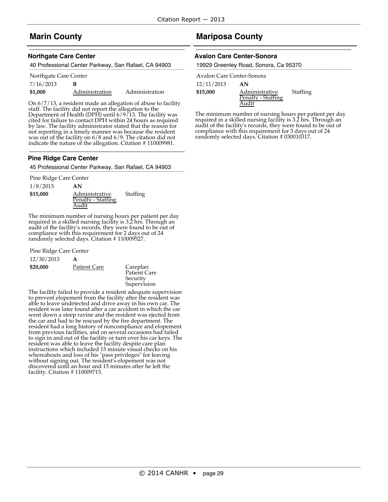# **Marin County**

#### **Northgate Care Center**

| 40 Professional Center Parkway, San Rafael, CA 94903 |  |
|------------------------------------------------------|--|
|                                                      |  |

| Northgate Care Center |                |                |  |  |
|-----------------------|----------------|----------------|--|--|
| 7/16/2013             | в              |                |  |  |
| \$1,000               | Administration | Administration |  |  |

On 6/7/13, a resident made an allegation of abuse to facility staff. The facility did not report the allegation to the Department of Health (DPH) until 6/9/13. The facility was cited for failure to contact DPH within 24 hours as required by law. The facility administrator stated that the reason for not reporting in a timely manner was because the resident was out of the facility on  $6/8$  and  $6/9$ . The citation did not indicate the nature of the allegation. Citation # 110009981.

#### **Pine Ridge Care Center**

45 Professional Center Parkway, San Rafael, CA 94903

Pine Ridge Care Center

1/8/2013 **AN**

**\$15,000** Administrative Penalty - Staffing Audit **Staffing** 

The minimum number of nursing hours per patient per day required in a skilled nursing facility is 3.2 hrs. Through an audit of the facility's records, they were found to be out of compliance with this requirement for 2 days out of 24 randomly selected days. Citation # 110009527.

Pine Ridge Care Center

| 12/30/2013 |  |
|------------|--|
|------------|--|

**\$20,000** Patient Care Careplan

Patient Care Security Supervision

The facility failed to provide a resident adequate supervision<br>to prevent elopement from the facility after the resident was able to leave undetected and drive away in his own car. The<br>resident was later found after a car accident in which the car went down a steep ravine and the resident was ejected from the car and had to be rescued by the fire department. The resident had a long history of noncompliance and elopement from previous facilities, and on several occasions had failed to sign in and out of the facility or turn over his car keys. The resident was able to leave the facility despite care plan instructions which included 15 minute visual checks on his whereabouts and loss of his "pass privileges" for leaving without signing out. The resident's elopement was not discovered until an hour and 15 minutes after he left the facility. Citation # 110009715.

# **Mariposa County**

#### **Avalon Care Center-Sonora**

| 19929 Greenley Road, Sonora, Ca 95370 |  |  |  |  |
|---------------------------------------|--|--|--|--|
|---------------------------------------|--|--|--|--|

| Avalon Care Center-Sonora |                    |          |
|---------------------------|--------------------|----------|
| 12/11/2013                | AN                 |          |
| \$15,000                  | Administrative     | Staffing |
|                           | Penalty - Staffing |          |
|                           |                    |          |

The minimum number of nursing hours per patient per day required in a skilled nursing facility is 3.2 hrs. Through an audit of the facility's records, they were found to be out of compliance with this requirement for 3 days out of 24 randomly selected days. Citation # 030010317.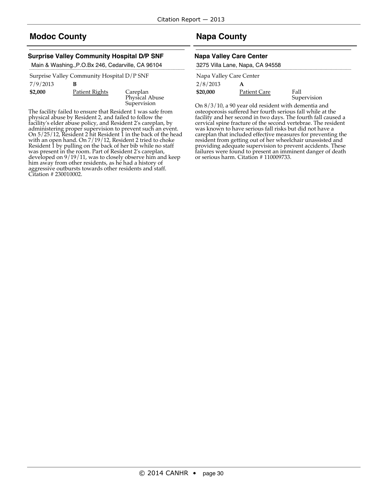# **Modoc County**

### **Surprise Valley Community Hospital D/P SNF**

Main & Washing.,P.O.Bx 246, Cedarville, CA 96104

|          | Surprise Valley Community Hospital D/P SNF |
|----------|--------------------------------------------|
| 7/9/2013 | B                                          |

**\$2,000** Patient Rights Careplan

Physical Abuse Supervision

The facility failed to ensure that Resident 1 was safe from physical abuse by Resident 2, and failed to follow the facility's elder abuse policy, and Resident 2's careplan, by administering proper supervision to prevent such an event. On 5/25/12, Resident 2 hit Resident 1 in the back of the head with an open hand. On 7/19/12, Resident 2 tried to choke Resident 1 by pulling on the back of her bib while no staff was present in the room. Part of Resident 2's careplan, developed on 9/19/11, was to closely observe him and keep him away from other residents, as he had a history of aggressive outbursts towards other residents and staff. Citation # 230010002.

# **Napa County**

#### **Napa Valley Care Center**

| 3275 Villa Lane, Napa, CA 94558 |  |  |
|---------------------------------|--|--|
| Napa Valley Care Center         |  |  |
| 2/8/2013                        |  |  |

**\$20,000** Patient Care Fall

On 8/3/10, a 90 year old resident with dementia and osteoporosis suffered her fourth serious fall while at the facility and her second in two days. The fourth fall caused a cervical spine fracture of the second vertebrae. The resident was known to have serious fall risks but did not have a careplan that included effective measures for preventing the resident from getting out of her wheelchair unassisted and providing adequate supervision to prevent accidents. These failures were found to present an imminent danger of death or serious harm. Citation # 110009733. Supervision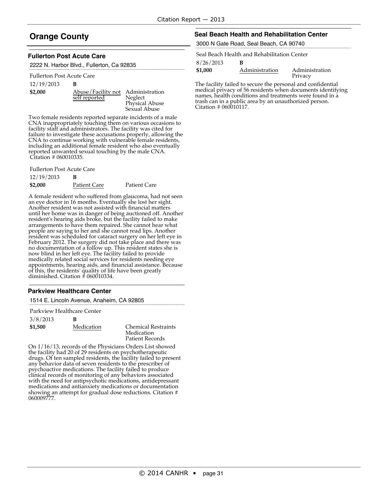# **Orange County**

#### **Fullerton Post Acute Care**

2222 N. Harbor Blvd., Fullerton, Ca 92835

#### Fullerton Post Acute Care

#### 12/19/2013 **B**

| \$2,000 | Abuse/Facility not Administration |                |
|---------|-----------------------------------|----------------|
|         | self reported                     | Neglect        |
|         |                                   | Physical Abuse |
|         |                                   | Sexual Abuse   |

Two female residents reported separate incidents of a male CNA inappropriately touching them on various occasions to facility staff and administrators. The facility was cited for failure to investigate these accusations properly, allowing the CNA to continue working with vulnerable female residents, including an additional female resident who also eventually reported unwanted sexual touching by the male CNA. Citation # 060010335.

Fullerton Post Acute Care

| 12/19/2013 |              |              |
|------------|--------------|--------------|
| \$2,000    | Patient Care | Patient Care |

A female resident who suffered from glaucoma, had not seen an eye doctor in 16 months. Eventually she lost her sight. Another resident was not assisted with financial matters until her home was in danger of being auctioned off. Another resident's hearing aids broke, but the facility failed to make arrangements to have them repaired. She cannot hear what people are saying to her and she cannot read lips. Another resident was scheduled for cataract surgery on her left eye in February 2012. The surgery did not take place and there was no documentation of a follow up. This resident states she is now blind in her left eye. The facility failed to provide medically related social services for residents needing eye appointments, hearing aids, and financial assistance. Because of this, the residents' quality of life have been greatly diminished. Citation # 060010334.

#### **Parkview Healthcare Center**

| 1514 E. Lincoln Avenue, Anaheim, CA 92805 |  |  |
|-------------------------------------------|--|--|
|                                           |  |  |

Parkview Healthcare Center

| 3/8/2013 | в          |                                          |
|----------|------------|------------------------------------------|
| \$1,500  | Medication | <b>Chemical Restraints</b><br>Medication |
|          |            | Patient Records                          |

On 1/16/13, records of the Physicians Orders List showed the facility had 20 of 29 residents on psychotherapeutic drugs. Of ten sampled residents, the facility failed to present any behavior data of seven residents to the prescriber of psychoactive medications. The facility failed to produce clinical records of monitoring of any behaviors associated with the need for antipsychotic medications, antidepressant medications and antianxiety medications or documentation showing an attempt for gradual dose reductions. Citation # 060009777.

#### **Seal Beach Health and Rehabilitation Center**

3000 N Gate Road, Seal Beach, CA 90740

Seal Beach Health and Rehabilitation Center

8/26/2013 **B**

| \$1,000 | Administration | Administration |
|---------|----------------|----------------|
|         |                | Privacy        |

The facility failed to secure the personal and confidential medical privacy of 56 residents when documents identifying trash can in a public area by an unauthorized person. Citation # 060010117.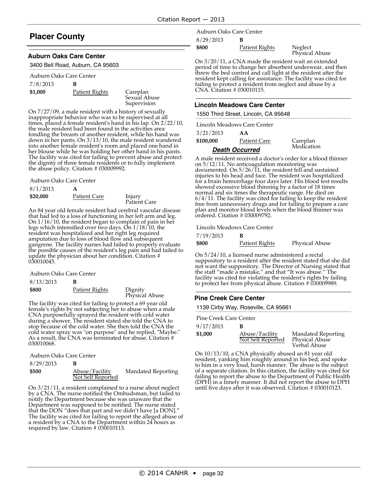# **Placer County**

### **Auburn Oaks Care Center**

3400 Bell Road, Auburn, CA 95603

| 7/8/2013 | в           |
|----------|-------------|
| \$1,000  | Patient Rig |

hts Careplan Sexual Abuse Supervision

On 7/27/09, a male resident with a history of sexually inappropriate behavior who was to be supervised at all times, placed a female resident's hand in his lap. On 2/22/10, the male resident had been found in the activities area fondling the breasts of another resident, while his hand was down in her pants. On 3/13/10, the male resident wandered into another female resident's room and placed one hand in her blouse while he was holding her other hand in his pants. The facility was cited for failing to prevent abuse and protect the dignity of three female residents or to fully implement the abuse policy. Citation # 030009992.

Auburn Oaks Care Center

| 8/1/2013 |              |                        |
|----------|--------------|------------------------|
| \$20,000 | Patient Care | Injury<br>Patient Care |

An 84 year old female resident had cerebral vascular disease that had led to a loss of functioning in her left arm and leg. On 1/16/10, the resident began to complain of pain in her legs which intensified over two days. On 1/18/10, the resident was hospitalized and her right leg required amputation due to loss of blood flow and subsequent gangrene. The facility nurses had failed to properly evaluate the possible causes of the resident's leg pain and had failed to update the physician about her condition. Citation # 030010045.

Auburn Oaks Care Center

| 8/13/2013 |                |                           |
|-----------|----------------|---------------------------|
| \$800     | Patient Rights | Dignity<br>Physical Abuse |

The facility was cited for failing to protect a 69 year old female's rights by not subjecting her to abuse when a male CNA purposefully sprayed the resident with cold water during a shower. The resident stated she told the CNA to stop because of the cold water. She then told the CNA the cold water spray was "on purpose" and he replied, "Maybe." As a result, the CNA was terminated for abuse. Citation # 030010068.

Auburn Oaks Care Center

| 8/29/2013 |                                     |                    |
|-----------|-------------------------------------|--------------------|
| \$500     | Abuse/Facility<br>Not Self Reported | Mandated Reporting |

On 3/21/11, a resident complained to a nurse about neglect by a CNA. The nurse notified the Ombudsman, but failed to notify the Department because she was unaware that the Department was supposed to be notified. The nurse stated that the DON "does that part and we didn't have [a DON]." The facility was cited for failing to report the alleged abuse of a resident by a CNA to the Department within 24 hours as required by law. Citation # 030010113.

8/29/2013 **B** Auburn Oaks Care Center

**\$800** Patient Rights Neglect Physical Abuse

On 3/20/11, a CNA made the resident wait an extended period of time to change her absorbent underwear, and then threw the bed control and call light at the resident after the resident kept calling for assistance. The facility was cited for failing to protect <sup>a</sup> resident from neglect and abuse by <sup>a</sup> CNA. Citation # 030010115.

### **Lincoln Meadows Care Center**

1550 Third Street, Lincoln, CA 95648

|           | Lincoln Meadows Care Center |
|-----------|-----------------------------|
| 3/21/2013 | AA                          |

|                   | <b>Death Occurred</b> |                        |
|-------------------|-----------------------|------------------------|
| \$100,000         | Patient Care          | Careplan<br>Medication |
| - - - - - - - - - |                       |                        |

A male resident received a doctor's order for a blood thinner on 5/12/11. No anticoagulation monitoring was documented. On 5/26/11, the resident fell and sustained injuries to his head and face. The resident was hospitalized for a brain hemorrhage four days later. His blood test results showed excessive blood thinning by a factor of 18 times normal and six times the therapeutic range. He died on  $6/4/11$ . The facility was cited for failing to keep the resident free from unnecessary drugs and for failing to prepare a care plan and monitor blood levels when the blood thinner was ordered. Citation # 030009792.

Lincoln Meadows Care Center

| 7/19/2013 |                |                       |
|-----------|----------------|-----------------------|
| \$800     | Patient Rights | <b>Physical Abuse</b> |

On 5/24/10, a licensed nurse administered a rectal suppository to a resident after the resident stated that she did not want the suppository. The Director of Nursing stated that the staff "made a mistake," and that "It was abuse." The facility was cited for violating the resident's rights by failing to protect her from physical abuse. Citation # 030009989.

### **Pine Creek Care Center**

1139 Cirby Way, Roseville, CA 95661

Pine Creek Care Center

| 9/17/2013 | в                                   |                                                             |
|-----------|-------------------------------------|-------------------------------------------------------------|
| \$1,000   | Abuse/Facility<br>Not Self Reported | <b>Mandated Reporting</b><br>Physical Abuse<br>Verbal Abuse |

On 10/13/10, a CNA physically abused an 81 year old resident, yanking him roughly around in his bed, and spoke to him in a very loud, harsh manner. The abuse is the subject of a separate citation. In this citation, the facility was cited for failing to report the abuse to the Department of Public Health (DPH) in a timely manner. It did not report the abuse to DPH until five days after it was observed. Citation # 030010123.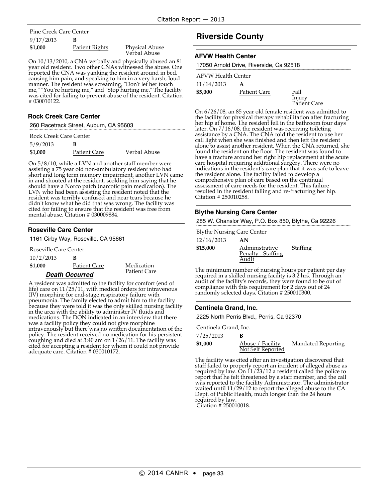# 9/17/2013 **B** Pine Creek Care Center

| \$1,000 | Patient Rights | <b>Physical Abuse</b> |
|---------|----------------|-----------------------|
|         |                | Verbal Abuse          |

On 10/13/2010, a CNA verbally and physically abused an 81 year old resident. Two other CNAs witnessed the abuse. One reported the CNA was yanking the resident around in bed, causing him pain, and speaking to him in a very harsh, loud causing him pair, and speaking to him in a very harsh, loud manner. The resident was screaming, "Don't let her touch me," "You're hurting me," and "Stop hurting me." The facility was cited for failing to prevent abuse of the resident. Citation # 030010122.

#### **Rock Creek Care Center**

260 Racetrack Street, Auburn, CA 95603

| Rock Creek Care Center |                     |              |
|------------------------|---------------------|--------------|
| 5/9/2013               | в                   |              |
| \$1,000                | <b>Patient Care</b> | Verbal Abuse |

On 5/8/10, while a LVN and another staff member were assisting a 75 year old non-ambulatory resident who had short and long term memory impairment, another LVN came in and shouted at the resident, scolding him saying that he should have a Norco patch (narcotic pain medication). The LVN who had been assisting the resident noted that the resident was terribly confused and near tears because he didn't know what he did that was wrong. The facility was cited for failing to ensure that the resident was free from mental abuse. Citation # 030009884.

### **Roseville Care Center**

1161 Cirby Way, Roseville, CA 95661

| 10/2/2013 | B |
|-----------|---|
|-----------|---|

| \$1,000 | Patient Care | Medication |
|---------|--------------|------------|
|         |              |            |

Patient Care

#### **Death Occurred**

A resident was admitted to the facility for comfort (end of life) care on  $11/25/11$ , with medical orders for intravenous (IV) morphine for end-stage respiratory failure with pneumonia. The family elected to admit him to the facility because they were told it was the only skilled nursing facility in the area with the ability to administer IV fluids and medications. The DON indicated in an interview that there was a facility policy they could not give morphine intravenously but there was no written documentation of the policy. The resident received no medication for his persistent coughing and died at 3:40 am on 1/26/11. The facility was cited for accepting a resident for whom it could not provide adequate care. Citation # 030010172.

# **Riverside County**

#### **AFVW Health Center**

| 17050 Arnold Drive, Riverside, Ca 92518 |                     |                |  |
|-----------------------------------------|---------------------|----------------|--|
| <b>AFVW Health Center</b>               |                     |                |  |
| 11/14/2013                              | A                   |                |  |
| \$5,000                                 | <b>Patient Care</b> | Fall<br>Injury |  |

Injury Patient Care

On 6/26/08, an 85 year old female resident was admitted to the facility for physical therapy rehabilitation after fracturing her hip at home. The resident fell in the bathroom four days later. On 7/16/08, the resident was receiving toileting assistance by a CNA. The CNA told the resident to use her call light when she was finished and then left the resident alone to assist another resident. When the CNA returned, she found the resident on the floor. The resident was found to have a fracture around her right hip replacement at the acute care hospital requiring additional surgery. There were no indications in the resident's care plan that it was safe to leave the resident alone. The facility failed to develop a comprehensive plan of care based on the continual assessment of care needs for the resident. This failure resulted in the resident falling and re-fracturing her hip. Citation # 250010258.

### **Blythe Nursing Care Center**

285 W. Chanslor Way, P.O. Box 850, Blythe, Ca 92226

Blythe Nursing Care Center

| 12/16/2013 | AN                                            |          |
|------------|-----------------------------------------------|----------|
| \$15,000   | Administrative<br>Penalty - Staffing<br>Audit | Staffing |

The minimum number of nursing hours per patient per day required in a skilled nursing facility is 3.2 hrs. Through an audit of the facility's records, they were found to be out of compliance with this requirement for 2 days out of 24 randomly selected days. Citation # 250010300.

### **Centinela Grand, Inc.**

| 2225 North Perris Blvd., Perris, Ca 92370 |                                       |                    |
|-------------------------------------------|---------------------------------------|--------------------|
| Centinela Grand, Inc.                     |                                       |                    |
| 7/25/2013                                 | к                                     |                    |
| \$1,000                                   | Abuse / Facility<br>Not Self Reported | Mandated Reporting |
|                                           |                                       |                    |

The facility was cited after an investigation discovered that staff failed to properly report an incident of alleged abuse as required by law. On 11/23/12 a resident called the police to report that he felt threatened by a staff member, and the call was reported to the facility Administrator. The administrator waited until 11/29/12 to report the alleged abuse to the CA Dept. of Public Health, much longer than the 24 hours required by law.

Citation # 250010018.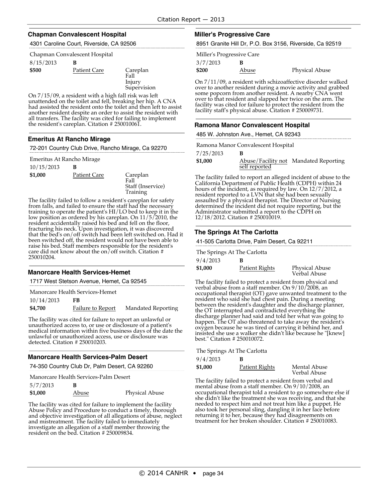#### **Chapman Convalescent Hospital**

4301 Caroline Court, Riverside, CA 92506

|  | Chapman Convalescent Hospital |
|--|-------------------------------|
|--|-------------------------------|

| 8/15/2013 | B                   |                       |
|-----------|---------------------|-----------------------|
| \$500     | <b>Patient Care</b> | Careplan<br>$17 - 11$ |

Fall Injury

Supervision

On 7/15/09, a resident with a high fall risk was left unattended on the toilet and fell, breaking her hip. A CNA had assisted the resident onto the toilet and then left to assist another resident despite an order to assist the resident with all transfers. The facility was cited for failing to implement the resident's careplan. Citation # 250010061.

### **Emeritus At Rancho Mirage**

72-201 Country Club Drive, Rancho Mirage, Ca 92270

Emeritus At Rancho Mirage

| 10/15/2013 |              |                                                   |
|------------|--------------|---------------------------------------------------|
| \$1,000    | Patient Care | Careplan<br>Fall<br>Staff (Inservice)<br>Training |

The facility failed to follow a resident's careplan for safety from falls, and failed to ensure the staff had the necessary training to operate the patient's HI/LO bed to keep it in the low position as ordered by his careplan. On 11/5/2010, the resident accidentally raised his bed and fell on the floor, fracturing his neck. Upon investigation, it was discovered that the bed's on/off switch had been left switched on. Had it been switched off, the resident would not have been able to raise his bed. Staff members responsible for the resident's care did not know about the on/off switch. Citation # 250010204.

### **Manorcare Health Services-Hemet**

1717 West Stetson Avenue, Hemet, Ca 92545

Manorcare Health Services-Hemet

10/14/2013 **FB**

**\$4,700** Failure to Report Mandated Reporting

The facility was cited for failure to report an unlawful or unauthorized access to, or use or disclosure of a patient's medical information within five business days of the date the unlawful or unauthorized access, use or disclosure was detected. Citation # 250010203.

### **Manorcare Health Services-Palm Desert**

74-350 Country Club Dr, Palm Desert, CA 92260

Manorcare Health Services-Palm Desert

| 5/7/2013 |       |                |
|----------|-------|----------------|
| \$1,000  | Abuse | Physical Abuse |

The facility was cited for failure to implement the facility Abuse Policy and Procedure to conduct a timely, thorough and objective investigation of all allegations of abuse, neglect and mistreatment. The facility failed to immediately investigate an allegation of a staff member throwing the resident on the bed. Citation # 250009834.

#### **Miller's Progressive Care**

8951 Granite Hill Dr, P.O. Box 3156, Riverside, Ca 92519

| Miller's Progressive Care |       |
|---------------------------|-------|
| 3/7/2013                  | в     |
| \$200                     | Abuse |

On 7/11/09, a resident with schizoaffective disorder walked over to another resident during a movie activity and grabbed some popcorn from another resident. A nearby CNA went over to that resident and slapped her twice on the arm. The facility was cited for failure to protect the resident from the facility staff's physical abuse. Citation # 250009731.

#### **Ramona Manor Convalescent Hospital**

485 W. Johnston Ave., Hemet, CA 92343

Ramona Manor Convalescent Hospital

7/25/2013 **B**

| \$1,000 | self reported | Abuse/Facility not Mandated Reporting |
|---------|---------------|---------------------------------------|
|---------|---------------|---------------------------------------|

The facility failed to report an alleged incident of abuse to the California Department of Public Health (CDPH) within 24 hours of the incident, as required by law. On 12/7/2012, a resident reported to a LVN that she had been sexually assaulted by a physical therapist. The Director of Nursing determined the incident did not require reporting, but the Administrator submitted a report to the CDPH on 12/18/2012. Citation # 250010019.

### **The Springs At The Carlotta**

41-505 Carlotta Drive, Palm Desert, Ca 92211

 $0/4/2012$ The Springs At The Carlotta

| 9/4/2013 |                |                       |
|----------|----------------|-----------------------|
| \$1,000  | Patient Rights | <b>Physical Abuse</b> |

Verbal Abuse

**\$200** Abuse Physical Abuse

The facility failed to protect a resident from physical and verbal abuse from a staff member. On 9/10/2008, an occupational therapist (OT) gave unwanted treatment to the resident who said she had chest pain. During a meeting between the resident's daughter and the discharge planner, the OT interrupted and contradicted everything the discharge planner had said and told her what was going to happen. The OT also threatened to take away the resident's oxygen because he was tired of carrying it behind her, and insisted she use a walker she didn't like because he "[knew] best." Citation # 250010072.

The Springs At The Carlotta

| 9/4/2013 | В              |                              |
|----------|----------------|------------------------------|
| \$1,000  | Patient Rights | Mental Abuse<br>Verbal Abuse |

The facility failed to protect a resident from verbal and mental abuse from a staff member. On 9/10/2008, an occupational therapist told a resident to go somewhere else if she didn't like the treatment she was receiving, and that she needed to respect him and not treat him like a puppet. He also took her personal sling, dangling it in her face before returning it to her, because they had disagreements on treatment for her broken shoulder. Citation # 250010083.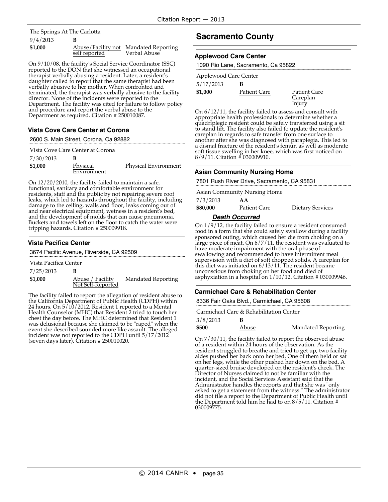### 9/4/2013 **B** The Springs At The Carlotta

| \$1,000 |               | Abuse/Facility not Mandated Reporting |
|---------|---------------|---------------------------------------|
|         | self reported | Verbal Abuse                          |

On 9/10/08, the facility's Social Service Coordinator (SSC) reported to the DON that she witnessed an occupational therapist verbally abusing a resident. Later, a resident's daughter called to report that the same therapist had been verbally abusive to her mother. When confronted and terminated, the therapist was verbally abusive to the facility director. None of the incidents were reported to the Department. The facility was cited for failure to follow policy and procedure and report the verbal abuse to the Department as required. Citation # 250010087.

### **Vista Cove Care Center at Corona**

2600 S. Main Street, Corona, Ca 92882

|           | Vista Cove Care Center at Corona |                             |
|-----------|----------------------------------|-----------------------------|
| 7/30/2013 |                                  |                             |
| \$1,000   | Physical<br>Environment          | <b>Physical Environment</b> |
|           |                                  |                             |

On 12/20/2010, the facility failed to maintain a safe, functional, sanitary and comfortable environment for residents, staff and the public by not repairing severe roof leaks, which led to hazards throughout the facility, including damage to the ceiling, walls and floor, leaks coming out of and near electrical equipment, wetness in a resident's bed, and the development of molds that can cause pneumonia. Buckets and towels left on the floor to catch the water were tripping hazards. Citation # 250009918.

#### **Vista Pacifica Center**

3674 Pacific Avenue, Riverside, CA 92509

Vista Pacifica Center

7/25/2013 **B**

**\$1,000** Abuse / Facility Not Self-Reported Mandated Reporting

The facility failed to report the allegation of resident abuse to the California Department of Public Health (CDPH) within 24 hours. On 5/10/2012, Resident 1 reported to a Mental Health Counselor (MHC) that Resident 2 tried to touch her chest the day before. The MHC determined that Resident 1 was delusional because she claimed to be "raped" when the event she described sounded more like assault. The alleged incident was not reported to the CDPH until 5/17/2012 (seven days later). Citation  $\#$  250010020.

# **Sacramento County**

#### **Applewood Care Center**

| 1090 Rio Lane, Sacramento, Ca 95822 |                                           |
|-------------------------------------|-------------------------------------------|
| Applewood Care Center               |                                           |
| в                                   |                                           |
| Patient Care                        | <b>Patient Care</b><br>Careplan<br>Injury |
|                                     |                                           |

On 6/12/11, the facility failed to assess and consult with appropriate health professionals to determine whether a quadriplegic resident could be safely transferred using a sit to stand lift. The facility also failed to update the resident's careplan in regards to safe transfer from one surface to another after she was diagnosed with paraplegia. This led to a dismal fracture of the resident's femur, as well as moderate soft tissue swelling in her knee, which was first noticed on 8/9/11. Citation # 030009910.

#### **Asian Community Nursing Home**

7801 Rush River Drive, Sacramento, CA 95831

Asian Community Nursing Home

| 7/3/2013 | AА           |                         |
|----------|--------------|-------------------------|
| \$80,000 | Patient Care | <b>Dietary Services</b> |

#### **Death Occurred**

On 1/9/12, the facility failed to ensure a resident consumed food in a form that she could safely swallow during a facility sponsored outing, which caused her die from choking on a large piece of meat. On  $6/7/11$ , the resident was evaluated to have moderate impairment with the oral phase of swallowing and recommended to have intermittent meal supervision with a diet of soft chopped solids. A careplan for this diet was initiated on 6/13/11. The resident became unconscious from choking on her food and died of asphyxiation in a hospital on 1/10/12. Citation # 030009946.

### **Carmichael Care & Rehabilitation Center**

8336 Fair Oaks Blvd., Carmichael, CA 95608

|          | Carmichael Care & Rehabilitation Center |                    |
|----------|-----------------------------------------|--------------------|
| 3/8/2013 | в                                       |                    |
| \$500    | Abuse                                   | Mandated Reporting |

On 7/30/11, the facility failed to report the observed abuse of a resident within 24 hours of the observation. As the resident struggled to breathe and tried to get up, two facility aides pushed her back onto her bed. One of them held or sat<br>on her legs, while the other pushed her down on the bed. A quarter-sized bruise developed on the resident's cheek. The Director of Nurses claimed to not be familiar with the incident, and the Social Services Assistant said that the Administrator handles the reports and that she was "only asked to get <sup>a</sup> statement from the witness." The administrator did not file a report to the Department of Public Health until the Department told him he had to on 8/5/11. Citation # 030009775.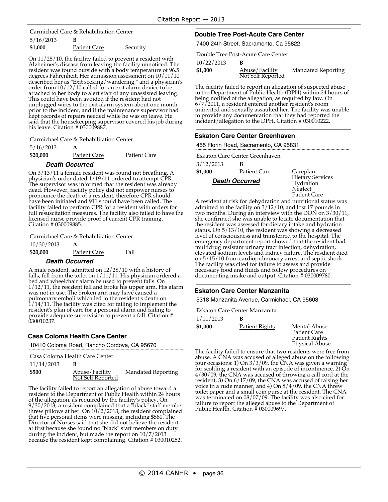5/16/2013 **B** Carmichael Care & Rehabilitation Center

| \$1,000<br>Security<br>Patient Care |  |
|-------------------------------------|--|
|-------------------------------------|--|

On 11/28/10, the facility failed to prevent a resident with Alzheimer's disease from leaving the facility unnoticed. The resident was found outside with a body temperature of 96.5 degrees Fahrenheit. Her admission assessment on 10/11/10 described her as "Exit seeking/wandering," and a physician's order from 10/12/10 called for an exit alarm device to be attached to her body to alert staff of any unassisted leaving. This could have been avoided if the resident had not unplugged wires to the exit alarm system about one month prior to the incident, and if the maintenance supervisor had kept records of repairs needed while he was on leave. He said that the housekeeping supervisor covered his job during his leave. Citation # 030009887.

Carmichael Care & Rehabilitation Center

| 5/16/2013 | A |
|-----------|---|
|-----------|---|

| \$20,000 | Patient Care | Patient Care |
|----------|--------------|--------------|
|----------|--------------|--------------|

### **Death Occurred**

On 3/13/11 a female resident was found not breathing. A physician's order dated 1/19/11 ordered to attempt CPR. The supervisor was informed that the resident was already dead. However, facility policy did not empower nurses to pronounce the death of a resident, therefore CPR should have been initiated and 911 should have been called. The facility failed to perform CPR for a resident with orders for full resuscitation measures. The facility also failed to have the licensed nurse provide proof of current CPR training. Citation # 030009885.

Carmichael Care & Rehabilitation Center

10/30/2013 **A \$20,000** Patient Care Fall

**Death Occurred**

A male resident, admitted on 12/28/10 with a history of falls, fell from the toilet on 1/11/11. His physician ordered a bed and wheelchair alarm be used to prevent falls. On 1/12/11, the resident fell and broke his upper arm. His alarm was not in use. The broken arm may have caused a pulmonary emboli which led to the resident's death on 1/14/11. The facility was cited for failing to implement the resident's plan of care for a personal alarm and failing to provide adequate supervision to prevent a fall. Citation # 030010237.

### **Casa Coloma Health Care Center**

10410 Coloma Road, Rancho Cordova, CA 95670

Casa Coloma Health Care Center

| 11/14/2013 | B |
|------------|---|
|------------|---|

**\$500** Abuse/Facility Not Self Reported Mandated Reporting

The facility failed to report an allegation of abuse toward a resident to the Department of Public Health within 24 hours of the allegation, as required by the facility's policy. On 9/30/2013, a resident complained that a "black" staff member threw pillows at her. On 10/2/2013, the resident complained that five personal items were missing, including \$580. The Director of Nurses said that she did not believe the resident at first because she found no "black" staff members on duty during the incident, but made the report on 10/7/2013 because the resident kept complaining. Citation # 030010252.

### **Double Tree Post-Acute Care Center**

7400 24th Street, Sacramento, Ca 95822

Double Tree Post-Acute Care Center

10/22/2013 **B**

| 10122120 |                                     |                    |
|----------|-------------------------------------|--------------------|
| \$1,000  | Abuse/Facility<br>Not Self Reported | Mandated Reporting |
|          |                                     |                    |

The facility failed to report an allegation of suspected abuse to the Department of Public Health (DPH) within 24 hours of being notified of the allegation, as required by law. On 6/7/2011, a resident entered another resident's room uninvited and sexually assaulted her. The facility was unable to provide any documentation that they had reported the incident/allegation to the DPH. Citation # 030010222.

### **Eskaton Care Center Greenhaven**

455 Florin Road, Sacramento, CA 95831

3/12/2013 **B \$1,000** Patient Care Careplan Eskaton Care Center Greenhaven

**Death Occurred**

Dietary Services Hydration Neglect Patient Care

A resident at risk for dehydration and nutritional status was admitted to the facility on 3/12/10, and lost 17 pounds in two months. During an interview with the DON on 3/30/11, she confirmed she was unable to locate documentation that the resident was assessed for dietary intake and hydration status. On 5/13/10, the resident was showing a decreased level of consciousness and transferred to the hospital. The emergency department report showed that the resident had multidrug resistant urinary tract infection, dehydration, elevated sodium levels and kidney failure. The resdient died on 5/15/10 from cardiopulmonary arrest and septic shock. The facility was cited for failure to assess and provide necessary food and fluids and follow procedures on documenting intake and output. Citation # 030009780.

#### **Eskaton Care Center Manzanita**

5318 Manzanita Avenue, Carmichael, CA 95608

Eskaton Care Center Manzanita

| 1/11/2013 | B              |
|-----------|----------------|
| \$1,000   | Patient Rights |

**Mental Abuse** Patient Care Patient Rights Physical Abuse

The facility failed to ensure that two residents were free from abuse. A CNA was accused of alleged abuse on the following four occasions: 1) On 3/3/09, the CNA was given a warning for scolding a resident with an episode of incontinence, 2) On 4/30/09, the CNA was accused of throwing a call cord at the resident, 3) On 6/17/09, the CNA was accused of raising her voice in a rude manner, and 4) On 8/4/09, the CNA threw toilet paper and a small coin purse at the resident. The CNA was terminated on 08/07/09. The facility was also cited for failure to report the alleged abuse to the Department of Public Health. Citation # 030009697.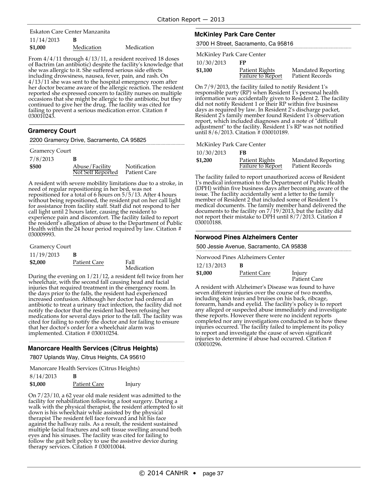11/14/2013 **B** Eskaton Care Center Manzanita

| \$1,000 | Medication | Medication |
|---------|------------|------------|
|         |            |            |

From 4/4/11 through 4/13/11, a resident received 18 doses of Bactrim (an antibiotic) despite the facility's knowledge that she was allergic to it. She suffered serious side effects including drowsiness, nausea, fever, pain, and rash. On 4/13/11 she was sent to the hospital emergency room after her doctor became aware of the allergic reaction. The resident reported she expressed concern to facility nurses on multiple occasions that she might be allergic to the antibiotic, but they continued to give her the drug. The facility was cited for failing to prevent a serious medication error. Citation # 030010243.

### **Gramercy Court**

| 2200 Gramercy Drive, Sacramento, CA 95825 |  |
|-------------------------------------------|--|
|                                           |  |

#### Gramercy Court

| 7/8/2013 | В                                   |                                     |
|----------|-------------------------------------|-------------------------------------|
| \$500    | Abuse/Facility<br>Not Self Reported | <b>Notification</b><br>Patient Care |

A resident with severe mobility limitations due to a stroke, in need of regular repositioning in her bed, was not repositioned for a total of 6 hours on  $5/5/13$ . After 4 hours without being repositioned, the resident put on her call light for assistance from facility staff. Staff did not respond to her call light until 2 hours later, causing the resident to experience pain and discomfort. The facility failed to report the resident's allegation of abuse to the Department of Public Health within the 24 hour period required by law. Citation # 030009993.

| <b>Gramercy Court</b> |  |
|-----------------------|--|
|-----------------------|--|

| 11/19/2013 | в                   |                     |
|------------|---------------------|---------------------|
| \$2,000    | <b>Patient Care</b> | Fall<br>$M_{\odot}$ |

Medication

During the evening on 1/21/12, a resident fell twice from her wheelchair, with the second fall causing head and facial injuries that required treatment in the emergency room. In the days prior to the falls, the resident had experienced increased confusion. Although her doctor had ordered an antibiotic to treat a urinary tract infection, the facility did not notify the doctor that the resident had been refusing her medications for several days prior to the fall. The facility was cited for failing to notify the doctor and for failing to ensure<br>that her doctor's order for a wheelchair alarm was<br>implemented. Citation # 030010254.

### **Manorcare Health Services (Citrus Heights)**

7807 Uplands Way, Citrus Heights, CA 95610

Manorcare Health Services (Citrus Heights)

| 8/14/2013 | B                   |        |
|-----------|---------------------|--------|
| \$1,000   | <b>Patient Care</b> | Injury |

On 7/23/10, a 62 year old male resident was admitted to the facility for rehabilitation following a foot surgery. During a walk with the physical therapist, the resident attempted to sit down is his wheelchair while assisted by the physical therapist The resident fell face forward and hit his face against the hallway rails. As a result, the resident sustained multiple facial fractures and soft tissue swelling around both eyes and his sinuses. The facility was cited for failing to follow the gait belt policy to use the assistive device during therapy services. Citation # 030010044.

### **McKinley Park Care Center**

3700 H Street, Sacramento, Ca 95816

McKinley Park Care Center

10/30/2013 **FP**

| .       | Patient Rights    | Mandated Reporting |
|---------|-------------------|--------------------|
| \$1,100 | Failure to Report | Patient Records    |
|         |                   |                    |

On 7/9/2013, the facility failed to notify Resident 1's responsible party (RP) when Resident 1's personal health information was accidentally given to Resident 2. The facility did not notify Resident 1 or their RP within five business days as required by law. In Resident 2's discharge packet, Resident 2's family member found Resident 1's observation report, which included diagnoses and a note of "difficult adjustment" to the facility. Resident 1's RP was not notified until 8/6/2013. Citation # 030010189.

McKinley Park Care Center

| 10/30/2013 | FB                                         |                                              |
|------------|--------------------------------------------|----------------------------------------------|
| \$1,200    | Patient Rights<br><b>Failure to Report</b> | <b>Mandated Reporting</b><br>Patient Records |

The facility failed to report unauthorized access of Resident 1's medical information to the Department of Public Health (DPH) within five business days after becoming aware of the issue. The facility accidentally sent a letter to the family member of Resident 2 that included some of Resident 1's medical documents. The family member hand delivered the documents to the facility on 7/19/2013, but the facility did not report their mistake to DPH until 8/7/2013. Citation # 030010188.

#### **Norwood Pines Alzheimers Center**

500 Jessie Avenue, Sacramento, CA 95838

Norwood Pines Alzheimers Center

| 12/13/2013 |              |                        |
|------------|--------------|------------------------|
| \$1,000    | Patient Care | Injury<br>Patient Care |

A resident with Alzheimer's Disease was found to have seven different injuries over the course of two months, including skin tears and bruises on his back, ribcage, forearm, hands and eyelid. The facility's policy is to report any alleged or suspected abuse immediately and investigate these reports. However there were no incident reports these reports. However there were no incident reports completed nor any investigations conducted as to how these injuries occurred. The facility failed to implement its policy to report and investigate the cause of seven significant injuries to determine if abuse had occurred. Citation # 030010296.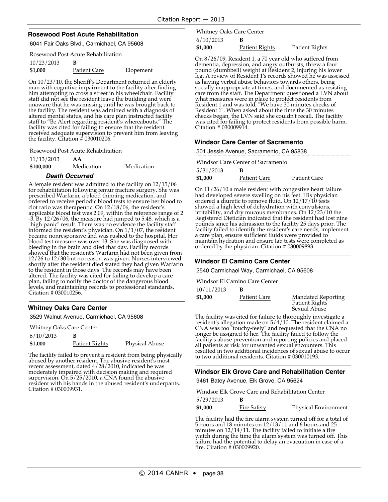#### **Rosewood Post Acute Rehabilitation**

6041 Fair Oaks Blvd., Carmichael, CA 95608

Rosewood Post Acute Rehabilitation

| 10/23/2013 |                     |           |
|------------|---------------------|-----------|
| \$1,000    | <b>Patient Care</b> | Elopement |

On 10/23/10, the Sheriff's Department returned an elderly man with cognitive impairment to the facility after finding him attempting to cross a street in his wheelchair. Facility staff did not see the resident leave the building and were unaware that he was missing until he was brought back to the facility. The resident was admitted with a diagnosis of altered mental status, and his care plan instructed facility staff to "Be Alert regarding resident's whereabouts." The facility was cited for failing to ensure that the resident received adequate supervision to prevent him from leaving the facility. Citation # 030010206.

Rosewood Post Acute Rehabilitation

| 11/13/2013 | AA |
|------------|----|
|------------|----|

**\$100,000** Medication Medication

#### **Death Occurred**

A female resident was admitted to the facility on 12/15/06 for rehabilitation following femur fracture surgery. She was prescribed Warfarin, a blood thinning medication, and ordered to receive periodic blood tests to ensure her blood to clot ratio was therapeutic. On 12/18/06, the resident's applicable blood test was 2.09, within the reference range of 2 -3. By 12/26/06, the measure had jumped to 5.48, which is a "high panic" result. There was no evidence the facility staff informed the resident's physician. On 1/1/07, the resident became nonresponsive and was rushed to the hospital. Her blood test measure was over 13. She was diagnosed with bleeding in the brain and died that day. Facility records showed that the resident's Warfarin had not been given from 12/26 to 12/30 but no reason was given. Nurses interviewed shortly after the resident died stated they had given Warfarin to the resident in those days. The records may have been altered. The facility was cited for failing to develop a care plan, failing to notify the doctor of the dangerous blood levels, and maintaining records to professional standards. Citation # 030010256.

### **Whitney Oaks Care Center**

3529 Walnut Avenue, Carmichael, CA 95608

Whitney Oaks Care Center

| 6/10/2013 |                |                       |
|-----------|----------------|-----------------------|
| \$1,000   | Patient Rights | <b>Physical Abuse</b> |

The facility failed to prevent a resident from being physically abused by another resident. The abusive resident's most recent assessment, dated 4/28/2010, indicated he was moderately impaired with decision making and required supervision. On 5/25/2010, a CNA found the abusive resident with his hands in the abused resident's underpants. Citation # 030009931.

6/10/2013 **B** Whitney Oaks Care Center

**\$1,000** Patient Rights Patient Rights

On 8/26/09, Resident 1, a 70 year old who suffered from dementia, depression, and angry outbursts, threw a four pound (dumbbell) weight at Resident 2, injuring his lower leg. A review of Resident 1's records showed he was assessed as having verbal abuse behaviors towards others, being socially inappropriate at times, and documented as resisting care from the staff. The Department questioned a LVN about what measures were in place to protect residents from Resident 1 and was told, "We have 30 minutes checks of Resident 1". When asked about the time the 30 minutes checks began, the LVN said she couldn't recall. The facility was cited for failing to protect residents from possible harm. Citation # 030009914.

#### **Windsor Care Center of Sacramento**

| 501 Jessie Avenue, Sacramento, CA 95838 |              |              |  |
|-----------------------------------------|--------------|--------------|--|
| Windsor Care Center of Sacramento       |              |              |  |
| 5/31/2013<br>в                          |              |              |  |
| \$1,000                                 | Patient Care | Patient Care |  |

On 11/26/10 a male resident with congestive heart failure<br>had developed severe swelling on his feet. His physician ordered a diuretic to remove fluid. On 12/17/10 tests showed a high level of dehydration with convulsions, irritability, and dry mucous membranes. On 12/23/10 the Registered Dietician indicated that the resident had lost nine pounds since his admission to the facility 25 days prior. The facility failed to identify the resident's care needs, implement <sup>a</sup> care plan, ensure sufficient fluids were provided to maintain hydration and ensure lab tests were completed as<br>ordered by the physician. Citation # 030009893.

#### **Windsor El Camino Care Center**

2540 Carmichael Way, Carmichael, CA 95608

10/11/2013 **B** Windsor El Camino Care Center

**\$1,000** Patient Care Mandated Reporting Patient Rights Sexual Abuse

The facility was cited for failure to thoroughly investigate a resident's allegation made on 5/4/10. The resident claimed a CNA was too "touchy-feely" and requested that the CNA no longer be assigned to her. The facility failed to follow the facility's abuse prevention and reporting policies and placed all patients at risk for unwanted sexual encounters. This resulted in two additional incidences of sexual abuse to occur to two additional residents. Citation # 030010193.

### **Windsor Elk Grove Care and Rehabilitation Center**

9461 Batey Avenue, Elk Grove, CA 95624

| Windsor Elk Grove Care and Rehabilitation Center |                    |                      |  |
|--------------------------------------------------|--------------------|----------------------|--|
| 5/29/2013                                        |                    |                      |  |
| \$1,000                                          | <b>Fire Safety</b> | Physical Environment |  |

The facility had the fire alarm system turned off for a total of 5 hours and 18 minutes on 12/13/11 and 6 hours and 25 minutes on 12/14/11. The facility failed to initiate a fire watch during the time the alarm system was turned off. This failure had the potential to delay an evacuation in case of a fire. Citation # 030009920.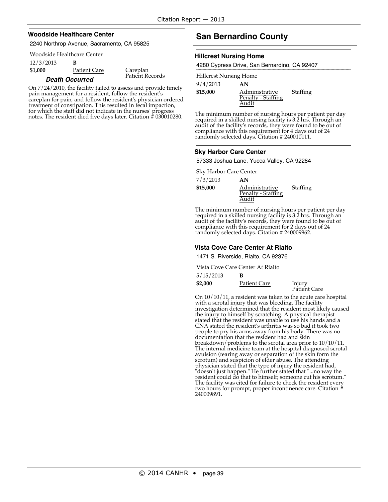#### **Woodside Healthcare Center**

2240 Northrop Avenue, Sacramento, CA 95825

#### Woodside Healthcare Center

### 12/3/2013 **B**

**\$1,000** Patient Care Careplan

Patient Records

#### **Death Occurred**

On 7/24/2010, the facility failed to assess and provide timely pain management for a resident, follow the resident's careplan for pain, and follow the resident's physician ordered treatment of constipation. This resulted in fecal impaction, for which the staff did not indicate in the nurses' progress notes. The resident died five days later. Citation # 030010280.

# **San Bernardino County**

#### **Hillcrest Nursing Home**

4280 Cypress Drive, San Bernardino, CA 92407

| <b>Hillcrest Nursing Home</b> |                    |          |
|-------------------------------|--------------------|----------|
| 9/4/2013                      | AN                 |          |
| \$15,000                      | Administrative     | Staffing |
|                               | Penalty - Staffing |          |
|                               |                    |          |

The minimum number of nursing hours per patient per day required in a skilled nursing facility is 3.2 hrs. Through an audit of the facility's records, they were found to be out of compliance with this requirement for 4 days out of 24 randomly selected days. Citation # 240010111.

#### **Sky Harbor Care Center**

57333 Joshua Lane, Yucca Valley, CA 92284

Sky Harbor Care Center

| 7/3/2013 | AN                                            |          |
|----------|-----------------------------------------------|----------|
| \$15,000 | Administrative<br>Penalty - Staffing<br>Audit | Staffing |

The minimum number of nursing hours per patient per day required in a skilled nursing facility is 3.2 hrs. Through an audit of the facility's records, they were found to be out of compliance with this requirement for 2 days out of 24 randomly selected days. Citation # 240009962.

### **Vista Cove Care Center At Rialto**

1471 S. Riverside, Rialto, CA 92376

Vista Cove Care Center At Rialto

| 5/15/2013 |              |                        |
|-----------|--------------|------------------------|
| \$2,000   | Patient Care | Injury<br>Patient Care |

On 10/10/11, a resident was taken to the acute care hospital with a scrotal injury that was bleeding. The facility investigation determined that the resident most likely caused the injury to himself by scratching. A physical therapist stated that the resident was unable to use his hands and a CNA stated the resident's arthritis was so bad it took two people to pry his arms away from his body. There was no documentation that the resident had and skin breakdown/problems to the scrotal area prior to 10/10/11. The internal medicine team at the hospital diagnosed scrotal avulsion (tearing away or separation of the skin form the scrotum) and suspicion of elder abuse. The attending physician stated that the type of injury the resident had, "doesn't just happen." He further stated that "...no way the resident could do that to himself; someone cut his scrotum." The facility was cited for failure to check the resident every two hours for prompt, proper incontinence care. Citation # 240009891.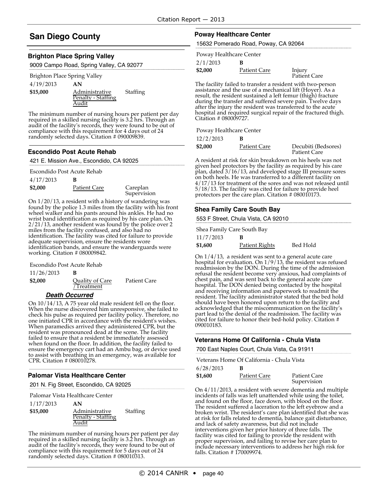# **San Diego County**

#### **Brighton Place Spring Valley**

9009 Campo Road, Spring Valley, CA 92077

| AN                                            |          |
|-----------------------------------------------|----------|
| Administrative<br>Penalty - Staffing<br>Audit | Staffing |
|                                               |          |

The minimum number of nursing hours per patient per day required in a skilled nursing facility is 3.2 hrs. Through an audit of the facility's records, they were found to be out of compliance with this requirement for 4 days out of 24 randomly selected days. Citation # 090009839.

#### **Escondido Post Acute Rehab**

421 E. Mission Ave., Escondido, CA 92025

Escondido Post Acute Rehab

| 4/17/2013 |              |                         |
|-----------|--------------|-------------------------|
| \$2,000   | Patient Care | Careplan<br>Supervision |

On 1/20/13, a resident with a history of wandering was found by the police 1.3 miles from the facility with his front wheel walker and his pants around his ankles. He had no wrist band identification as required by his care plan. On 2/21/13, another resident was found by the police over 2 miles from the facility confused, and also had no identification. The facility was cited for failure to provide adequate supervision, ensure the residents wore identification bands, and ensure the wanderguards were working. Citation # 080009842.

Escondido Post Acute Rehab

| 11/26/2013 |                 |              |
|------------|-----------------|--------------|
| \$2,000    | Quality of Care | Patient Care |
|            | 7Treatment      |              |

#### **Death Occurred**

On 10/14/13, A 75 year old male resident fell on the floor. When the nurse discovered him unresponsive, she failed to check his pulse as required per facility policy. Therefore, no one initiated CPR in accordance with the resident's wishes. When paramedics arrived they administered CPR, but the resident was pronounced dead at the scene. The facility failed to ensure that a resident be immediately assessed when found on the floor. In addition, the facility failed to ensure the emergency cart had an Ambu bag, or device used to assist with breathing in an emergency, was available for CPR. Citation # 080010278.

### **Palomar Vista Healthcare Center**

201 N. Fig Street, Escondido, CA 92025

|           | Palomar Vista Healthcare Center |          |
|-----------|---------------------------------|----------|
| 1/17/2013 | AN                              |          |
| \$15,000  | Administrative                  | Staffing |
|           | Penalty - Staffing              |          |
|           | Audit                           |          |

The minimum number of nursing hours per patient per day required in a skilled nursing facility is 3.2 hrs. Through an audit of the facility's records, they were found to be out of compliance with this requirement for 5 days out of 24 randomly selected days. Citation # 080010313.

### **Poway Healthcare Center**

15632 Pomerado Road, Poway, CA 92064

2/1/2013 **B** Poway Healthcare Center

| 47 I 72019 |              |                        |
|------------|--------------|------------------------|
| \$2,000    | Patient Care | Injury<br>Patient Care |

The facility failed to transfer a resident with two-person assistance and the use of a mechanical lift (Hoyer). As a result, the resident sustained a left femur (thigh) fracture during the transfer and suffered severe pain. Twelve days after the injury the resident was transferred to the acute hospital and required surgical repair of the fractured thigh. Citation # 080009727.

Poway Healthcare Center

| 12/2/2013 |              |                                     |
|-----------|--------------|-------------------------------------|
| \$2,000   | Patient Care | Decubiti (Bedsores)<br>Patient Care |

A resident at risk for skin breakdown on his heels was not given heel protectors by the facility as required by his care plan, dated 3/16/13, and developed stage III pressure sores on both heels. He was transferred to a different facility on 4/17/13 for treatment of the sores and was not released until 5/18/13. The facility was cited for failure to provide heel protectors per the care plan. Citation # 080010173.

### **Shea Family Care South Bay**

553 F Street, Chula Vista, CA 92010

|           | Shea Family Care South Bay |          |
|-----------|----------------------------|----------|
| 11/7/2013 | в                          |          |
| \$1,600   | Patient Rights             | Bed Hold |

On 1/4/13, a resident was sent to a general acute care hospital for evaluation. On 1/9/13, the resident was refused readmission by the DON. During the time of the admission refusal the resident become very anxious, had complaints of chest pain, and was sent back to the general acute care hospital. The DON denied being contacted by the hospital and receiving information and paperwork to readmit the resident. The facility administrator stated that the bed hold should have been honored upon return to the facility and acknowledged that the miscommunication on the facility's part lead to the denial of the readmission. The facility was cited for failure to honor their bed-hold policy. Citation # 090010183.

#### **Veterans Home Of California - Chula Vista**

700 East Naples Court, Chula Vista, Ca 91911

| 6/28/2013 | В            |                                    |
|-----------|--------------|------------------------------------|
| \$1,600   | Patient Care | <b>Patient Care</b><br>Supervision |

On 4/11/2013, a resident with severe dementia and multiple incidents of falls was left unattended while using the toilet, and found on the floor, face down, with blood on the floor. The resident suffered a laceration to the left eyebrow and a broken wrist. The resident's care plan identified that she was at risk for falls related to dementia, balance gait disturbance, and lack of safety awareness, but did not include interventions given her prior history of three falls. The facility was cited for failing to provide the resident with proper supervision, and failing to revise her care plan to include necessary interventions to address her high risk for falls. Citation # 170009974.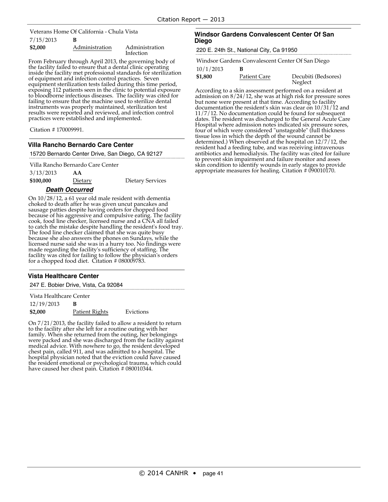7/15/2013 **B** Veterans Home Of California - Chula Vista

| \$2,000 | Administration | Administration |
|---------|----------------|----------------|
|         |                | Infection      |

From February through April 2013, the governing body of the facility failed to ensure that a dental clinic operating inside the facility met professional standards for sterilization of equipment and infection control practices. Seven equipment sterilization tests failed during this time period, exposing 112 patients seen in the clinic to potential exposure to bloodborne infectious diseases. The facility was cited for failing to ensure that the machine used to sterilize dental instruments was properly maintained, sterilization test results were reported and reviewed, and infection control practices were established and implemented.

Citation # 170009991.

#### **Villa Rancho Bernardo Care Center**

15720 Bernardo Center Drive, San Diego, CA 92127

Villa Rancho Bernardo Care Center

3/13/2013 **AA**

**\$100,000** Dietary Dietary Services

#### **Death Occurred**

On 10/28/12, a 61 year old male resident with dementia choked to death after he was given uncut pancakes and sausage patties despite having orders for chopped food because of his aggressive and compulsive eating. The facility cook, food line checker, licensed nurse and a CNA all failed to catch the mistake despite handling the resident's food tray. The food line checker claimed that she was quite busy because she also answers the phones on Sundays, while the licensed nurse said she was in a hurry too. No findings were made regarding the facility's sufficiency of staffing. The facility was cited for failing to follow the physician's orders for a chopped food diet. Citation # 080009783.

#### **Vista Healthcare Center**

247 E. Bobier Drive, Vista, Ca 92084

Vista Healthcare Center

| 12/19/2013 |                |           |
|------------|----------------|-----------|
| \$2,000    | Patient Rights | Evictions |

On 7/21/2013, the facility failed to allow a resident to return to the facility after she left for a routine outing with her family. When she returned from the outing, her belongings were packed and she was discharged from the facility against medical advice. With nowhere to go, the resident developed chest pain, called 911, and was admitted to a hospital. The hospital physician noted that the eviction could have caused the resident emotional or psychological trauma, which could have caused her chest pain. Citation # 080010344.

#### **Windsor Gardens Convalescent Center Of San Diego**

220 E. 24th St., National City, Ca 91950

Windsor Gardens Convalescent Center Of San Diego

10/1/2013 **B**

**\$1,800** Patient Care Decubiti (Bedsores) Neglect

According to a skin assessment performed on a resident at admission on 8/24/12, she was at high risk for pressure sores but none were present at that time. According to facility documentation the resident's skin was clear on 10/31/12 and 11/7/12. No documentation could be found for subsequent dates. The resident was discharged to the General Acute Care Hospital where admission notes indicated six pressure sores, four of which were considered "unstageable" (full thickness tissue loss in which the depth of the wound cannot be determined.) When observed at the hospital on 12/7/12, the resident had a feeding tube, and was receiving intravenous antibiotics and hemodialysis. The facility was cited for failure to prevent skin impairment and failure monitor and asses skin condition to identify wounds in early stages to provide appropriate measures for healing. Citation # 090010170.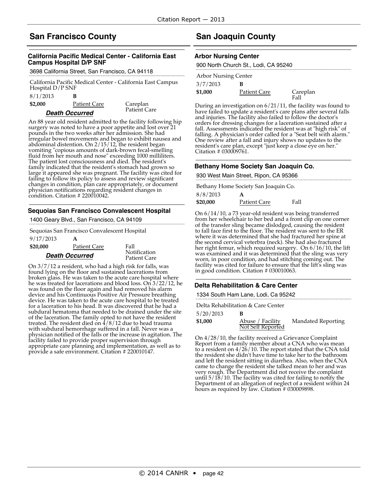# **San Francisco County**

### **California Pacific Medical Center - California East Campus Hospital D/P SNF**

3698 California Street, San Francisco, CA 94118

California Pacific Medical Center - California East Campus Hospital D/P SNF

| 8/1/2013      |  |
|---------------|--|
| $\sim$ $\sim$ |  |

**\$2,000** Patient Care Careplan

Patient Care

### **Death Occurred**

condition. Citation # 220010042.

An 88 year old resident admitted to the facility following hip surgery was noted to have a poor appetite and lost over 21 pounds in the two weeks after her admission. She had irregular bowel movements and began to exhibit nausea and abdominal distention. On 2/15/12, the resident began vomiting "copious amounts of dark-brown fecal-smelling fluid from her mouth and nose" exceeding 1000 milliliters. The patient lost consciousness and died. The resident's family indicated that the resident's stomach had grown so large it appeared she was pregnant. The facility was cited for failing to follow its policy to assess and review significant changes in condition, plan care appropriately, or document

### **Sequoias San Francisco Convalescent Hospital**

physician notifications regarding resident changes in

1400 Geary Blvd., San Francisco, CA 94109

Sequoias San Francisco Convalescent Hospital

| 9/17/2013             | А                   |                              |
|-----------------------|---------------------|------------------------------|
| \$20,000              | <b>Patient Care</b> | Fall                         |
| <b>Death Occurred</b> |                     | Notification<br>Patient Care |

On 3/7/12 a resident, who had a high risk for falls, was found lying on the floor and sustained lacerations from broken glass. He was taken to the acute care hospital where he was treated for lacerations and blood loss. On 3/22/12, he was found on the floor again and had removed his alarm device and his Continuous Positive Air Pressure breathing device. He was taken to the acute care hospital to be treated for a laceration to his head. It was discovered that he had a subdural hematoma that needed to be drained under the site of the laceration. The family opted to not have the resident treated. The resident died on 4/8/12 due to head trauma with subdural hemorrhage suffered in a fall. Never was a physician notified of the falls or the increase in agitation. The facility failed to provide proper supervision through appropriate care planning and implementation, as well as to provide a safe environment. Citation # 220010147.

# **San Joaquin County**

#### **Arbor Nursing Center**

|                             | 900 North Church St., Lodi, CA 95240 |          |  |
|-----------------------------|--------------------------------------|----------|--|
| <b>Arbor Nursing Center</b> |                                      |          |  |
| 3/7/2013                    |                                      |          |  |
| \$1,000                     | Patient Care                         | Careplan |  |
|                             |                                      | Fall     |  |

During an investigation on 6/21/11, the facility was found to have failed to update a resident's care plans after several falls and injuries. The facility also failed to follow the doctor's orders for dressing changes for a laceration sustained after a fall. Assessments indicated the resident was at "high risk" of falling. A physician's order called for a "Seat belt with alarm." One review after a fall and injury shows no updates to the resident's care plan, except "just keep a close eye on her." Citation # 030009761.

### **Bethany Home Society San Joaquin Co.**

930 West Main Street, Ripon, CA 95366

|          | Bethany Home Society San Joaquin Co. |      |
|----------|--------------------------------------|------|
| 8/8/2013 | A                                    |      |
| \$20,000 | Patient Care                         | Fall |

On 6/14/10, a 73 year-old resident was being transferred from her wheelchair to her bed and a front clip on one corner of the transfer sling became dislodged, causing the resident to fall face first to the floor. The resident was sent to the ER where it was determined that she had fractured her spine at the second cervical veterbra (neck). She had also fractured her right femur, which required surgery. On 6/16/10, the lift was examined and it was determined that the sling was very worn, in poor condition, and had stitching coming out. The facility was cited for failure to ensure that the lift's sling was in good condition. Citation # 030010063.

### **Delta Rehabilitation & Care Center**

1334 South Ham Lane, Lodi, Ca 95242

Delta Rehabilitation & Care Center

5/20/2013 **B**

| -------- |                                       |                    |
|----------|---------------------------------------|--------------------|
| \$1,000  | Abuse / Facility<br>Not Self Reported | Mandated Reporting |
|          |                                       |                    |

On 4/28/10, the facility received a Grievance Complaint Report from a family member about a CNA who was mean to a resident on 4/26/10. The report stated that the CNA told the resident she didn't have time to take her to the bathroom and left the resident sitting in diarrhea. Also, when the CNA came to change the resident she talked mean to her and was very rough. The Department did not receive the complaint until 5/18/10. The facility was cited for failing to notify the Department of an allegation of neglect of a resident within 24 hours as required by law. Citation # 030009898.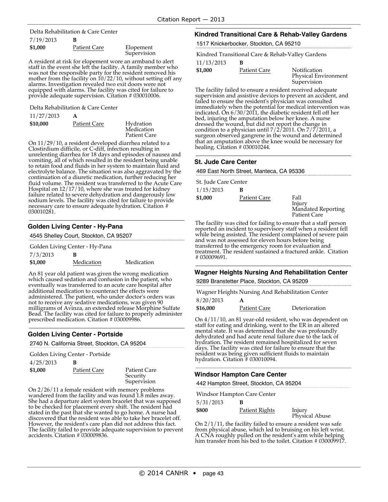#### 7/19/2013 **B** Delta Rehabilitation & Care Center

| \$1,000 | <b>Patient Care</b> | Elopement<br>Supervision |
|---------|---------------------|--------------------------|
|         |                     |                          |

A resident at risk for elopement wore an armband to alert was not the responsible party for the resident removed his mother from the facility on  $10/22/10$ , without setting off any alarms. Investigation revealed two exit doors were not equipped with alarms. The facility was cited for failure to provide adequate supervision. Citation # 030010006.

Delta Rehabilitation & Care Center

| 11/27/2013 | A            |                                                |
|------------|--------------|------------------------------------------------|
| \$10,000   | Patient Care | Hydration<br>Medication<br><b>Patient Care</b> |

On 11/29/10, a resident developed diarrhea related to a Clostirdium difficile, or C-diff, infection resulting in unrelenting diarrhea for 18 days and episodes of nausea and vomiting, all of which resulted in the resident being unable to retain food and fluids in her system to maintain fluid and electrolyte balance. The situation was also aggravated by the continuation of a diuretic medication, further reducing her fluid volume. The resident was transferred to the Acute Care Hospital on 12/17/10, where she was treated for kidney failure related to severe dehydration and dangerously low sodium levels. The facility was cited for failure to provide necessary care to ensure adequate hydration. Citation # 030010281.

### **Golden Living Center - Hy-Pana**

| 4545 Shelley Court, Stockton, CA 95207 |  |
|----------------------------------------|--|
|                                        |  |

Golden Living Center - Hy-Pana

| 7/3/2013 | B          |            |
|----------|------------|------------|
| \$1,000  | Medication | Medication |

An 81 year old patient was given the wrong medication which caused sedation and confusion in the patient, who eventually was transferred to an acute care hospital after additional medication to counteract the effects were administered. The patient, who under doctor's orders was not to receive any sedative medications, was given 90 milligrams of Avinza, an extended release Morphine Sulfate Bead. The facility was cited for failure to properly administer prescribed medication. Citation # 030009986.

### **Golden Living Center - Portside**

2740 N. California Street, Stockton, CA 95204

| Golden Living Center - Portside |              |                                         |  |
|---------------------------------|--------------|-----------------------------------------|--|
| 4/25/2013                       | в            |                                         |  |
| \$1,000                         | Patient Care | Patient Care<br>Security<br>Supervision |  |

On 2/26/11 a female resident with memory problems wandered from the facility and was found 1.8 miles away. She had a departure alert system bracelet that was supposed to be checked for placement every shift. The resident had stated in the past that she wanted to go home. A nurse had discovered that the resident was able to take her bracelet off. However, the resident's care plan did not address this fact. The facility failed to provide adequate supervision to prevent accidents. Citation # 030009836.

### **Kindred Transitional Care & Rehab-Valley Gardens**

1517 Knickerbocker, Stockton, CA 95210

Kindred Transitional Care & Rehab-Valley Gardens

11/13/2013 **B**

**\$1,000** Patient Care Notification

The facility failed to ensure a resident received adequate supervision and assistive devices to prevent an accident, and failed to ensure the resident's physician was consulted immediately when the potential for medical intervention was indicated. On  $6/30/2011$ , the diabetic resident fell off her bed, injuring the amputation below her knee. A nurse dressed the wound, but did not report the change in condition to a physician until  $7/2/2011$ . On  $7/7/2011$ , a surgeon observed gangrene in the wound and determined that an amputation above the knee would be necessary for healing. Citation # 030010244.

Physical Environment

Supervision

#### **St. Jude Care Center**

469 East North Street, Manteca, CA 95336

| St. Jude Care Center |              |                     |  |
|----------------------|--------------|---------------------|--|
| 1/15/2013            | в            |                     |  |
| \$1,000              | Patient Care | Fall                |  |
|                      |              | Injury              |  |
|                      |              | Mandated Reporting  |  |
|                      |              | <b>Patient Care</b> |  |

The facility was cited for failing to ensure that a staff person reported an incident to supervisory staff when a resident fell while being assisted. The resident complained of severe pain and was not assessed for eleven hours before being transferred to the emergency room for evaluation and treatment. The resident sustained a fractured ankle. Citation # 030009691.

# **Wagner Heights Nursing And Rehabilitation Center**

9289 Branstetter Place, Stockton, CA 95209

8/20/2013 **A** Wagner Heights Nursing And Rehabilitation Center

| 0 / 20 / 2013<br>\$16,000 | Patient Care | Deterioration |
|---------------------------|--------------|---------------|
|                           |              |               |

On 4/11/10, an 81 year-old resident, who was dependent on staff for eating and drinking, went to the ER in an altered mental state. It was determined that she was profoundly dehydrated and had acute renal failure due to the lack of hydration. The resident remained hospitalized for seven days. The facility was cited for failure to ensure that the resident was being given sufficient fluids to maintain hydration. Citation # 030010094.

#### **Windsor Hampton Care Center**

442 Hampton Street, Stockton, CA 95204

Windsor Hampton Care Center

| 5/31/2013 |                |                          |
|-----------|----------------|--------------------------|
| \$800     | Patient Rights | Injury<br>Physical Abuse |

On  $2/1/11$ , the facility failed to ensure a resident was safe from physical abuse, which led to bruising on his left wrist. A CNA roughly pulled on the resident's arm while helping him transfer from his bed to the toilet. Citation # 030009917.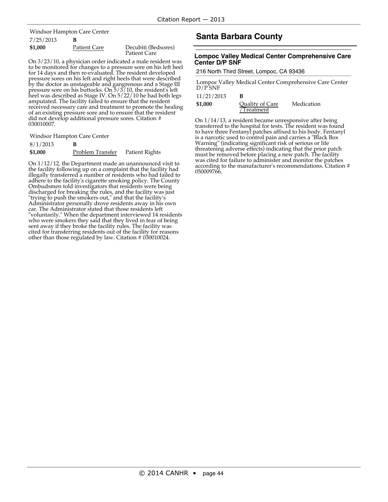7/25/2013 **B** Windsor Hampton Care Center

| \$1,000 | Patient Care | Decubiti (Bedsores) |
|---------|--------------|---------------------|
|         |              | Patient Care        |

On 3/23/10, <sup>a</sup> physician order indicated <sup>a</sup> male resident was to be monitored for changes to <sup>a</sup> pressure sore on his left heel for 14 days and then re-evaluated. The resident developed pressure sores on his left and right heels that were described by the doctor as unstageable and gangrenous and a Stage III pressure sore on his buttocks. On 5/3/10, the resident's left heel was described as Stage IV. On 5/22/10 he had both legs<br>amputated. The facility failed to ensure that the resident received necessary care and treatment to promote the healing of an existing pressure sore and to ensure that the resident did not develop additional pressure sores. Citation # 030010007.

Windsor Hampton Care Center

8/1/2013 **B \$1,000** Problem Transfer Patient Rights

On 1/12/12, the Department made an unannounced visit to the facility following up on a complaint that the facility had illegally transferred a number of residents who had failed to adhere to the facility's cigarette smoking policy. The County Ombudsmen told investigators that residents were being discharged for breaking the rules, and the facility was just "trying to push the smokers out," and that the facility's Administrator personally drove residents away in his own car. The Administrator stated that those residents left "voluntarily." When the department interviewed 14 residents who were smokers they said that they lived in fear of being sent away if they broke the facility rules. The facility was cited for transferring residents out of the facility for reasons other than those regulated by law. Citation # 030010024.

# **Santa Barbara County**

#### **Lompoc Valley Medical Center Comprehensive Care Center D/P SNF**

#### 216 North Third Street, Lompoc, CA 93436

Lompoc Valley Medical Center Comprehensive Care Center  $D/P$ SNF

| 11/21/2013 |  |
|------------|--|
|------------|--|

| \$1,000 | <b>Ouality of Care</b> | Medication |
|---------|------------------------|------------|
|         | /Treatment             |            |

On 1/14/13, a resident became unresponsive after being transferred to the hospital for tests. The resident was found to have three Fentanyl patches affixed to his body. Fentanyl is a narcotic used to control pain and carries a "Black Box Warning" (indicating significant risk of serious or life threatening adverse effects) indicating that the prior patch must be removed before placing a new patch. The facility was cited for failure to administer and monitor the patches according to the manufacturer's recommendations. Citation # 050009766.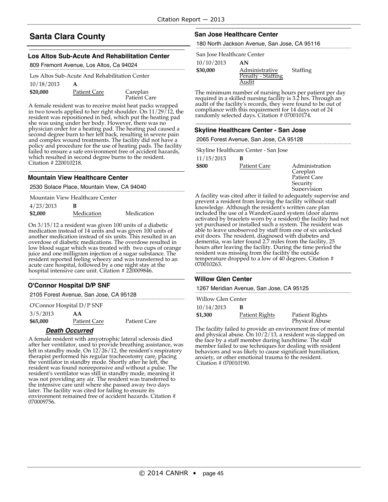# **Santa Clara County**

#### **Los Altos Sub-Acute And Rehabilitation Center**

809 Fremont Avenue, Los Altos, Ca 94024

| Los Altos Sub-Acute And Rehabilitation Center |                     |                          |  |
|-----------------------------------------------|---------------------|--------------------------|--|
| 10/18/2013                                    | А                   |                          |  |
| \$20,000                                      | <b>Patient Care</b> | Careplan<br>Patient Care |  |

A female resident was to receive moist heat packs wrapped in two towels applied to her right shoulder. On 11/29/12, the resident was repositioned in bed, which put the heating pad she was using under her body. However, there was no physician order for a heating pad. The heating pad caused a second degree burn to her left back, resulting in severe pain and complex wound treatments. The facility did not have a policy and procedure for the use of heating pads. The facility failed to ensure a safe environment free of accident hazards, which resulted in second degree burns to the resident. Citation # 220010218.

#### **Mountain View Healthcare Center**

2530 Solace Place, Mountain View, CA 94040

| Mountain View Healthcare Center |            |            |  |
|---------------------------------|------------|------------|--|
| 4/23/2013                       | в          |            |  |
| \$2,000                         | Medication | Medication |  |

On 3/15/12 a resident was given 100 units of a diabetic medication instead of 14 units and was given 100 units of another medication instead of six units. This resulted in an overdose of diabetic medications. The overdose resulted in low blood sugar which was treated with two cups of orange juice and one milligram injection of a sugar substance. The resident reported feeling wheezy and was transferred to an acute care hospital, followed by a one night stay at the hospital intensive care unit. Citation #220009846.

### **O'Connor Hospital D/P SNF**

2105 Forest Avenue, San Jose, CA 95128

O'Connor Hospital D/P SNF

3/5/2013 **AA \$65,000** Patient Care Patient Care

# **Death Occurred**

A female resident with amyotrophic lateral sclerosis died Freman exercise and the provide breathing assistance, was<br>left in standby mode. On 12/26/12, the resident's respiratory<br>therapist performed his regular tracheostomy care, placing<br>the ventilator in standby mode. Shortly aft resident was found nonreponsive and without a pulse. The was not providing any air. The resident was transferred to<br>the intensive care unit where she passed away two days later. The facility was cited for failing to ensure its environment remained free of accident hazards. Citation # 070009756.

#### **San Jose Healthcare Center**

180 North Jackson Avenue, San Jose, CA 95116

San Jose Healthcare Center

10/10/2013 **AN**

| \$30,000 | Administrative     |
|----------|--------------------|
|          | Penalty - Staffing |
|          | Audit              |

The minimum number of nursing hours per patient per day required in a skilled nursing facility is 3.2 hrs. Through an audit of the facility's records, they were found to be out of compliance with this requirement for 14 days out of 24 randomly selected days. Citation # 070010174.

#### **Skyline Healthcare Center - San Jose**

2065 Forest Avenue, San Jose, CA 95128

Skyline Healthcare Center - San Jose

| 11/15/2013 | В |  |
|------------|---|--|
|            |   |  |

**\$800** Patient Care Administration

Careplan Patient Care Security Supervision

Staffing

A facility was cited after it failed to adequately supervise and prevent a resident from leaving the facility without staff knowledge. Although the resident's written care plan included the use of a WanderGuard system (door alarms activated by bracelets worn by a resident) the facility had not yet purchased or installed such a system. The resident was able to leave unobserved by staff from one of six unlocked exit doors. The resident, diagnosed with diabetes and dementia, was later found 2.7 miles from the facility, 25 hours after leaving the facility. During the time period the resident was missing from the facility the outside temperature dropped to a low of 40 degrees. Citation # 070010263.

#### **Willow Glen Center**

1267 Meridian Avenue, San Jose, CA 95125

Willow Glen Center

| 10/14/2013 |                |                                  |
|------------|----------------|----------------------------------|
| \$1,300    | Patient Rights | Patient Rights<br>Physical Abuse |

The facility failed to provide an environment free of mental and physical abuse. On 10/2/13, a resident was slapped on the face by a staff member during lunchtime. The staff member failed to use techniques for dealing with resident behaviors and was likely to cause significant humiliation, anxiety, or other emotional trauma to the resident. Citation # 070010190.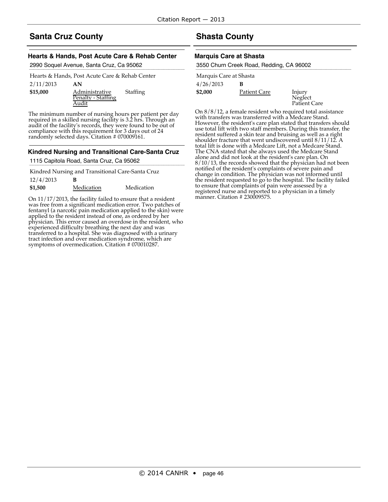# **Santa Cruz County**

### **Hearts & Hands, Post Acute Care & Rehab Center**

2990 Soquel Avenue, Santa Cruz, Ca 95062

| Staffing                                            |
|-----------------------------------------------------|
| AN<br>Administrative<br>Penalty - Staffing<br>Audit |

The minimum number of nursing hours per patient per day required in a skilled nursing facility is 3.2 hrs. Through an audit of the facility's records, they were found to be out of compliance with this requirement for 3 days out of 24 randomly selected days. Citation # 070009161.

### **Kindred Nursing and Transitional Care-Santa Cruz**

1115 Capitola Road, Santa Cruz, Ca 95062

Kindred Nursing and Transitional Care-Santa Cruz

| 12/4/2013 |            |            |
|-----------|------------|------------|
| \$1,500   | Medication | Medication |

On 11/17/2013, the facility failed to ensure that a resident was free from a significant medication error. Two patches of fentanyl (a narcotic pain medication applied to the skin) were applied to the resident instead of one, as ordered by her physician. This error caused an overdose in the resident, who experienced difficulty breathing the next day and was transferred to a hospital. She was diagnosed with a urinary tract infection and over medication syndrome, which are symptoms of overmedication. Citation # 070010287.

# **Shasta County**

### **Marquis Care at Shasta**

| 3550 Churn Creek Road, Redding, CA 96002 |                     |                                   |  |
|------------------------------------------|---------------------|-----------------------------------|--|
| Marquis Care at Shasta                   |                     |                                   |  |
| 4/26/2013                                | в                   |                                   |  |
| \$2,000                                  | <b>Patient Care</b> |                                   |  |
|                                          |                     | Injury<br>Neglect<br>Patient Care |  |
|                                          |                     |                                   |  |

On 8/8/12, a female resident who required total assistance with transfers was transferred with a Medcare Stand. However, the resident's care plan stated that transfers should use total lift with two staff members. During this transfer, the resident suffered a skin tear and bruising as well as a right shoulder fracture that went undiscovered until 8/11/12. A total lift is done with a Medcare Lift, not a Medcare Stand. The CNA stated that she always used the Medcare Stand alone and did not look at the resident's care plan. On 8/10/13, the records showed that the physician had not been notified of the resident's complaints of severe pain and change in condition. The physician was not informed until the resident requested to go to the hospital. The facility failed to ensure that complaints of pain were assessed by a registered nurse and reported to a physician in a timely manner. Citation # 230009575.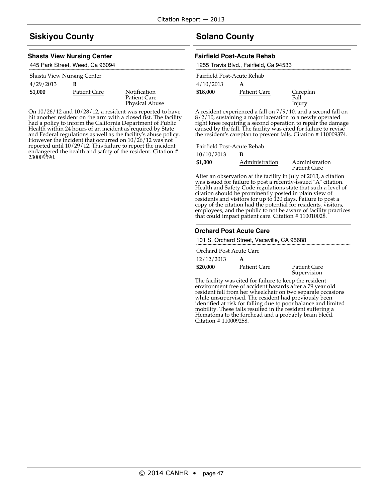# **Siskiyou County**

#### **Shasta View Nursing Center**

| 445 Park Street, Weed, Ca 96094 |  |  |
|---------------------------------|--|--|
|---------------------------------|--|--|

| Shasta View Nursing Center |                     |  |  |
|----------------------------|---------------------|--|--|
| 4/29/2013                  | в                   |  |  |
| \$1,000                    | <b>Patient Care</b> |  |  |

**Notification** Patient Care Physical Abuse

On 10/26/12 and 10/28/12, a resident was reported to have hit another resident on the arm with a closed fist. The facility had a policy to inform the California Department of Public Health within 24 hours of an incident as required by State and Federal regulations as well as the facility's abuse policy. However the incident that occurred on 10/26/12 was not reported until 10/29/12. This failure to report the incident endangered the health and safety of the resident. Citation # 230009590.

# **Solano County**

#### **Fairfield Post-Acute Rehab**

|                            | 1255 Travis Blvd., Fairfield, Ca 94533 |          |  |
|----------------------------|----------------------------------------|----------|--|
| Fairfield Post-Acute Rehab |                                        |          |  |
| 4/10/2013                  | А                                      |          |  |
| \$18,000                   | Patient Care                           | Careplan |  |
|                            |                                        | Fall     |  |
|                            |                                        | Injury   |  |

A resident experienced a fall on 7/9/10, and a second fall on 8/2/10, sustaining a major laceration to a newly operated right knee requiring a second operation to repair the damage caused by the fall. The facility was cited for failure to revise the resident's careplan to prevent falls. Citation # 110009374.

Fairfield Post-Acute Rehab

10/10/2013 **B**

| .       |                |                                       |
|---------|----------------|---------------------------------------|
| \$1,000 | Administration | Administration<br><b>Patient Care</b> |
|         |                |                                       |

After an observation at the facility in July of 2013, a citation was issued for failure to post a recently-issued "A" citation. Health and Safety Code regulations state that such a level of citation should be prominently posted in plain view of residents and visitors for up to 120 days. Failure to post a copy of the citation had the potential for residents, visitors, employees, and the public to not be aware of facility practices that could impact patient care. Citation # 110010028.

#### **Orchard Post Acute Care**

101 S. Orchard Street, Vacaville, CA 95688

Orchard Post Acute Care

| 12/12/2013 |              |                                    |
|------------|--------------|------------------------------------|
| \$20,000   | Patient Care | <b>Patient Care</b><br>Supervision |

The facility was cited for failure to keep the resident environment free of accident hazards after a 79 year old resident fell from her wheelchair on two separate occasions while unsupervised. The resident had previously been identified at risk for falling due to poor balance and limited<br>mobility. These falls resulted in the resident suffering a Hematoma to the forehead and a probably brain bleed. Citation # 110009258.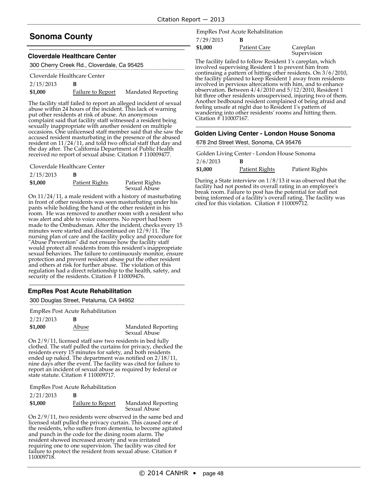# **Sonoma County**

#### **Cloverdale Healthcare Center**

| 300 Cherry Creek Rd., Cloverdale, Ca 95425 |  |
|--------------------------------------------|--|
|--------------------------------------------|--|

| Cloverdale Healthcare Center |                   |                           |
|------------------------------|-------------------|---------------------------|
| 2/15/2013                    |                   |                           |
| \$1,000                      | Failure to Report | <b>Mandated Reporting</b> |

The facility staff failed to report an alleged incident of sexual abuse within 24 hours of the incident. This lack of warning put other residents at risk of abuse. An anonymous complaint said that facility staff witnessed a resident being sexually inappropriate with another resident on multiple occasions. One unlicensed staff member said that she saw the accused resident masturbating in the presence of the abused resident on 11/24/11, and told two official staff that day and the day after. The California Department of Public Health received no report of sexual abuse. Citation # 110009477.

Cloverdale Healthcare Center

| 2/15/2013 |                |                                |
|-----------|----------------|--------------------------------|
| \$1,000   | Patient Rights | Patient Rights<br>Sexual Abuse |

On 11/24/11, a male resident with a history of masturbating in front of other residents was seen masturbating under his pants while holding the hand of the other resident in his room. He was removed to another room with a resident who was alert and able to voice concerns. No report had been made to the Ombudsman. After the incident, checks every 15 minutes were started and discontinued on 12/9/11. The nursing plan of care and the facility policy and procedure for "Abuse Prevention" did not ensure how the facility staff would protect all residents from this resident's inappropriate sexual behaviors. The failure to continuously monitor, ensure protection and prevent resident abuse put the other resident and others at risk for further abuse. The violation of this regulation had a direct relationship to the health, safety, and security of the residents. Citation # 110009476.

### **EmpRes Post Acute Rehabilitation**

300 Douglas Street, Petaluma, CA 94952

| EmpRes Post Acute Rehabilitation |
|----------------------------------|
|----------------------------------|

| 2/21/2013 |       |                                           |
|-----------|-------|-------------------------------------------|
| \$1,000   | Abuse | <b>Mandated Reporting</b><br>Sexual Abuse |

On 2/9/11, licensed staff saw two residents in bed fully clothed. The staff pulled the curtains for privacy, checked the residents every 15 minutes for safety, and both residents ended up naked. The department was notified on 2/18/11, nine days after the event. The facility was cited for failure to report an incident of sexual abuse as required by federal or state statute. Citation # 110009717.

EmpRes Post Acute Rehabilitation

| 2/21/2013 |                   |                                           |
|-----------|-------------------|-------------------------------------------|
| \$1,000   | Failure to Report | <b>Mandated Reporting</b><br>Sexual Abuse |

On 2/9/11, two residents were observed in the same bed and licensed staff pulled the privacy curtain. This caused one of the residents, who suffers from dementia, to become agitated and punch in the code for the dining room alarm. The resident showed increased anxiety and was irritated requiring one to one supervision. The facility was cited for failure to protect the resident from sexual abuse. Citation # 110009718.

7/29/2013 **B** EmpRes Post Acute Rehabilitation

**\$1,000** Patient Care Careplan

**Supervision** 

The facility failed to follow Resident 1's careplan, which involved supervising Resident 1 to prevent him from continuing a pattern of hitting other residents. On 3/6/2010, the facility planned to keep Resident 1 away from residents involved in pervious altercations with him, and to enhance observation. Between 4/4/2010 and 5/12/2010, Resident 1 hit three other residents unsupervised, injuring two of them. Another bedbound resident complained of being afraid and feeling unsafe at night due to Resident 1's pattern of wandering into other residents' rooms and hitting them. Citation # 110007167.

#### **Golden Living Center - London House Sonoma**

678 2nd Street West, Sonoma, CA 95476

| Golden Living Center - London House Sonoma |                |                |  |
|--------------------------------------------|----------------|----------------|--|
| 2/6/2013                                   | в              |                |  |
| \$1,000                                    | Patient Rights | Patient Rights |  |

During a State interview on 1/8/13 it was observed that the facility had not posted its overall rating in an employee's break room. Failure to post has the potential for staff not being informed of a facility's overall rating. The facility was cited for this violation. Citation # 110009712.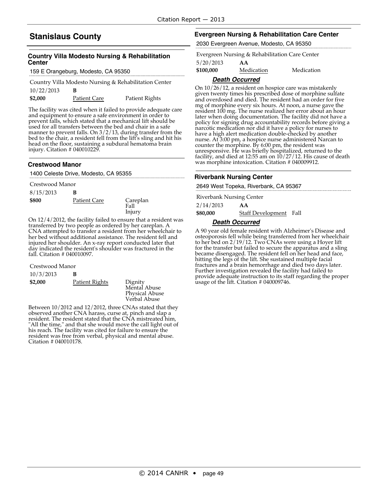# **Stanislaus County**

### **Country Villa Modesto Nursing & Rehabilitation Center**

159 E Orangeburg, Modesto, CA 95350

Country Villa Modesto Nursing & Rehabilitation Center

| 10/22/2013 |                     |                |
|------------|---------------------|----------------|
| \$2,000    | <b>Patient Care</b> | Patient Rights |

The facility was cited when it failed to provide adequate care and equipment to ensure a safe environment in order to prevent falls, which stated that a mechanical lift should be used for all transfers between the bed and chair in a safe manner to prevent falls. On 3/2/13, during transfer from the bed to the chair, a resident fell from the lift's sling and hit his head on the floor, sustaining a subdural hematoma brain injury. Citation # 040010229.

#### **Crestwood Manor**

|  |  |  |  | 1400 Celeste Drive, Modesto, CA 95355 |  |  |
|--|--|--|--|---------------------------------------|--|--|
|--|--|--|--|---------------------------------------|--|--|

| Crestwood Manor |              |                            |
|-----------------|--------------|----------------------------|
| 8/15/2013       | в            |                            |
| \$800           | Patient Care | Careplan<br>Fall<br>Injury |

On 12/4/2012, the facility failed to ensure that a resident was transferred by two people as ordered by her careplan. A CNA attempted to transfer a resident from her wheelchair to her bed without additional assistance. The resident fell and injured her shoulder. An x-ray report conducted later that day indicated the resident's shoulder was fractured in the fall. Citation # 040010097.

Crestwood Manor

| 10/3/2013 | в              |                                                                  |
|-----------|----------------|------------------------------------------------------------------|
| \$2,000   | Patient Rights | Dignity<br>Mental Abuse<br><b>Physical Abuse</b><br>Verbal Abuse |

Between 10/2012 and 12/2012, three CNAs stated that they observed another CNA harass, curse at, pinch and slap a resident. The resident stated that the CNA mistreated him, "All the time," and that she would move the call light out of his reach. The facility was cited for failure to ensure the resident was free from verbal, physical and mental abuse. Citation # 040010178.

#### **Evergreen Nursing & Rehabilitation Care Center**

2030 Evergreen Avenue, Modesto, CA 95350

Evergreen Nursing & Rehabilitation Care Center

5/20/2013 **AA**

**\$100,000** Medication Medication

#### **Death Occurred**

On 10/26/12, a resident on hospice care was mistakenly given twenty times his prescribed dose of morphine sulfate and overdosed and died. The resident had an order for five mg of morphine every six hours. At noon, a nurse gave the resident 100 mg. The nurse realized her error about an hour later when doing documentation. The facility did not have a policy for signing drug accountability records before giving a narcotic medication nor did it have a policy for nurses to have a high alert medication double-checked by another nurse. At 3:00 pm, a hospice nurse administered Narcan to counter the morphine. By 6:00 pm, the resident was unresponsive. He was briefly hospitalized, returned to the facility, and died at 12:55 am on 10/27/12. His cause of death was morphine intoxication. Citation # 040009912.

#### **Riverbank Nursing Center**

2649 West Topeka, Riverbank, CA 95367

2/14/2013 **AA** Riverbank Nursing Center

**\$80,000** Staff Development Fall

#### **Death Occurred**

A 90 year old female resident with Alzheimer's Disease and osteoporosis fell while being transferred from her wheelchair to her bed on 2/19/12. Two CNAs were using a Hoyer lift for the transfer but failed to secure the apparatus and a sling became disengaged. The resident fell on her head and face, hitting the legs of the lift. She sustained multiple facial fractures and a brain hemorrhage and died two days later. Further investigation revealed the facility had failed to provide adequate instruction to its staff regarding the proper usage of the lift. Citation # 040009746.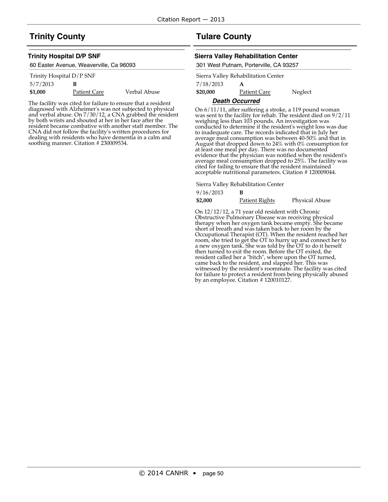# **Trinity County**

#### **Trinity Hospital D/P SNF**

| 60 Easter Avenue, Weaverville, Ca 96093 |
|-----------------------------------------|
| Trinity Hospital D/P SNF                |

| 5/7/2013 | В            |              |
|----------|--------------|--------------|
| \$1,000  | Patient Care | Verbal Abuse |

The facility was cited for failure to ensure that a resident diagnosed with Alzheimer's was not subjected to physical and verbal abuse. On 7/30/12, a CNA grabbed the resident by both wrists and shouted at her in her face after the resident became combative with another staff member. The CNA did not follow the facility's written procedures for dealing with residents who have dementia in a calm and soothing manner. Citation # 230009534.

# **Tulare County**

#### **Sierra Valley Rehabilitation Center**

301 West Putnam, Porterville, CA 93257

|           | Sierra Valley Rehabilitation Center |         |
|-----------|-------------------------------------|---------|
| 7/18/2013 | А                                   |         |
| \$20,000  | <b>Patient Care</b>                 | Neglect |

#### **Death Occurred**

On 6/11/11, after suffering a stroke, a 119 pound woman was sent to the facility for rehab. The resident died on 9/2/11 weighing less than 103 pounds. An investigation was conducted to determine if the resident's weight loss was due to inadequate care. The records indicated that in July her average meal consumption was between 40-50% and that in August that dropped down to 24% with 0% consumption for at least one meal per day. There was no documented evidence that the physician was notified when the resident's average meal consumption dropped to 25%. The facility was cited for failing to ensure that the resident maintained acceptable nutritional parameters. Citation # 120009044.

Sierra Valley Rehabilitation Center

| 9/16/2013 |                |                       |
|-----------|----------------|-----------------------|
| \$2,000   | Patient Rights | <b>Physical Abuse</b> |

On 12/12/12, a 71 year old resident with Chronic Obstructive Pulmonary Disease was receiving physical therapy when her oxygen tank became empty. She became short of breath and was taken back to her room by the Occupational Therapist (OT). When the resident reached her room, she tried to get the OT to hurry up and connect her to a new oxygen tank. She was told by the OT to do it herself then turned to exit the room. Before the OT exited, the resident called her a "bitch", where upon the OT turned, came back to the resident, and slapped her. This was witnessed by the resident's roommate. The facility was cited for failure to protect a resident from being physically abused by an employee. Citation # 120010127.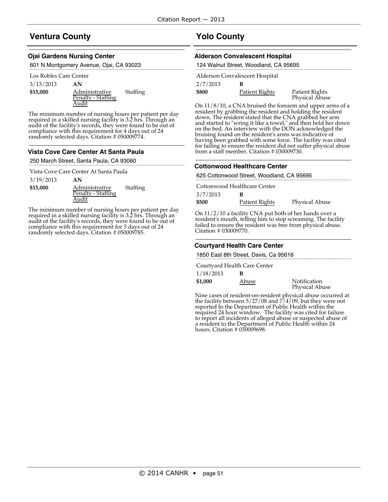# **Ventura County**

#### **Ojai Gardens Nursing Center**

601 N Montgomery Avenue, Ojai, CA 93023

#### Los Robles Care Center

3/13/2013 **AN**

| \$15,000 | Administrative     | Staffing |
|----------|--------------------|----------|
|          | Penalty - Staffing |          |
|          | Audit              |          |

The minimum number of nursing hours per patient per day required in a skilled nursing facility is 3.2 hrs. Through an audit of the facility's records, they were found to be out of compliance with this requirement for 4 days out of 24 randomly selected days. Citation # 050009774.

#### **Vista Cove Care Center At Santa Paula**

250 March Street, Santa Paula, CA 93060

Vista Cove Care Center At Santa Paula

| 3/19/2013 | ΑN                 |                 |
|-----------|--------------------|-----------------|
| \$15,000  | Administrative     | <b>Staffing</b> |
|           | Penalty - Staffing |                 |
|           | Audit              |                 |

The minimum number of nursing hours per patient per day required in a skilled nursing facility is 3.2 hrs. Through an audit of the facility's records, they were found to be out of compliance with this requirement for 3 days out of 24 randomly selected days. Citation # 050009785.

# **Yolo County**

### **Alderson Convalescent Hospital**

| 124 Walnut Street, Woodland, CA 95695 |                                |                                  |
|---------------------------------------|--------------------------------|----------------------------------|
|                                       | Alderson Convalescent Hospital |                                  |
| 2/7/2013                              | в                              |                                  |
| \$800                                 | Patient Rights                 | Patient Rights<br>Physical Abuse |
|                                       |                                |                                  |

On 11/8/10, a CNA bruised the forearm and upper arms of a resident by grabbing the resident and holding the resident down. The resident stated that the CNA grabbed her arm and started to "wring it like a towel," and then held her down on the bed. An interview with the DON acknowledged the bruising found on the resident's arms was indicative of having been grabbed with some force. The facility was cited for failing to ensure the resident did not suffer physical abuse from a staff member. Citation # 030009730.

### **Cottonwood Healthcare Center**

625 Cottonwood Street, Woodland, CA 95695

| Cottonwood Healthcare Center |                |                       |
|------------------------------|----------------|-----------------------|
| 3/7/2013                     |                |                       |
| \$500                        | Patient Rights | <b>Physical Abuse</b> |

On 11/2/10 a facility CNA put both of her hands over a resident's mouth, telling him to stop screaming. The facility failed to ensure the resident was free from physical abuse. Citation # 030009770.

### **Courtyard Health Care Center**

1850 East 8th Street, Davis, Ca 95616

|           | Courtyard Health Care Center |                                       |
|-----------|------------------------------|---------------------------------------|
| 1/18/2013 |                              |                                       |
| \$1,000   | Abuse                        | Notification<br><b>Physical Abuse</b> |

Nine cases of resident-on-resident physical abuse occurred at the facility between 5/27/08 and 7/4/09, but they were not reported to the Department of Public Health within the required 24 hour window. The facility was cited for failure to report all incidents of alleged abuse or suspected abuse of a resident to the Department of Public Health within 24 hours. Citation # 030009698.